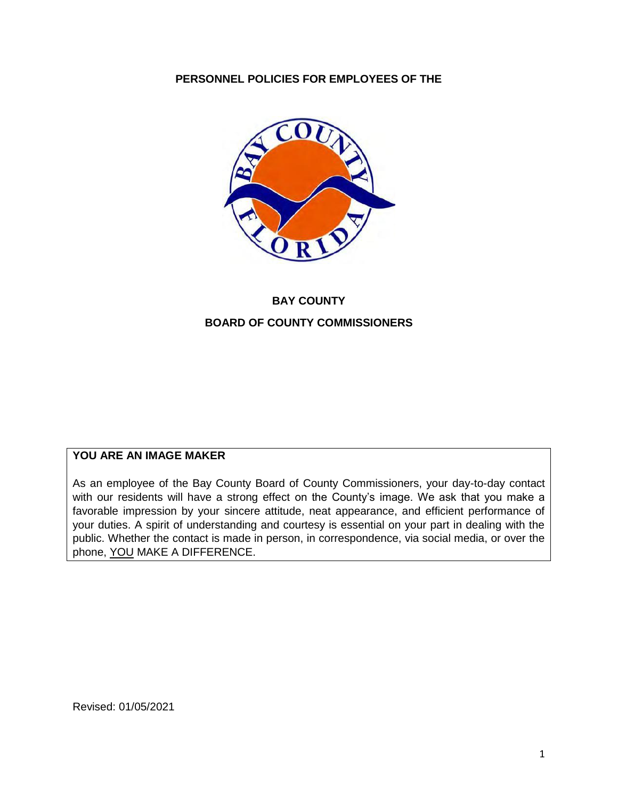# **PERSONNEL POLICIES FOR EMPLOYEES OF THE**



# **BAY COUNTY BOARD OF COUNTY COMMISSIONERS**

# **YOU ARE AN IMAGE MAKER**

As an employee of the Bay County Board of County Commissioners, your day-to-day contact with our residents will have a strong effect on the County's image. We ask that you make a favorable impression by your sincere attitude, neat appearance, and efficient performance of your duties. A spirit of understanding and courtesy is essential on your part in dealing with the public. Whether the contact is made in person, in correspondence, via social media, or over the phone, YOU MAKE A DIFFERENCE.

Revised: 01/05/2021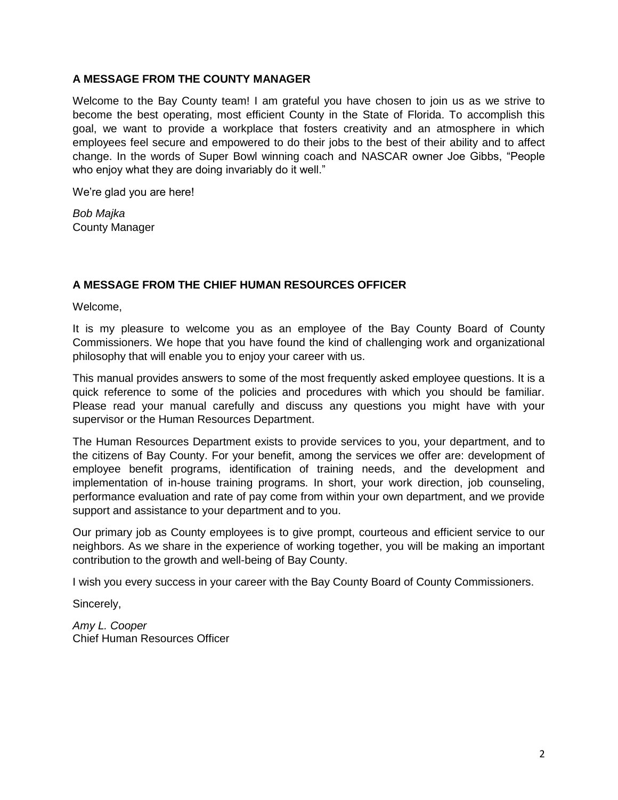# **A MESSAGE FROM THE COUNTY MANAGER**

Welcome to the Bay County team! I am grateful you have chosen to join us as we strive to become the best operating, most efficient County in the State of Florida. To accomplish this goal, we want to provide a workplace that fosters creativity and an atmosphere in which employees feel secure and empowered to do their jobs to the best of their ability and to affect change. In the words of Super Bowl winning coach and NASCAR owner Joe Gibbs, "People who enjoy what they are doing invariably do it well."

We're glad you are here!

*Bob Majka* County Manager

# **A MESSAGE FROM THE CHIEF HUMAN RESOURCES OFFICER**

Welcome,

It is my pleasure to welcome you as an employee of the Bay County Board of County Commissioners. We hope that you have found the kind of challenging work and organizational philosophy that will enable you to enjoy your career with us.

This manual provides answers to some of the most frequently asked employee questions. It is a quick reference to some of the policies and procedures with which you should be familiar. Please read your manual carefully and discuss any questions you might have with your supervisor or the Human Resources Department.

The Human Resources Department exists to provide services to you, your department, and to the citizens of Bay County. For your benefit, among the services we offer are: development of employee benefit programs, identification of training needs, and the development and implementation of in-house training programs. In short, your work direction, job counseling, performance evaluation and rate of pay come from within your own department, and we provide support and assistance to your department and to you.

Our primary job as County employees is to give prompt, courteous and efficient service to our neighbors. As we share in the experience of working together, you will be making an important contribution to the growth and well-being of Bay County.

I wish you every success in your career with the Bay County Board of County Commissioners.

Sincerely,

*Amy L. Cooper* Chief Human Resources Officer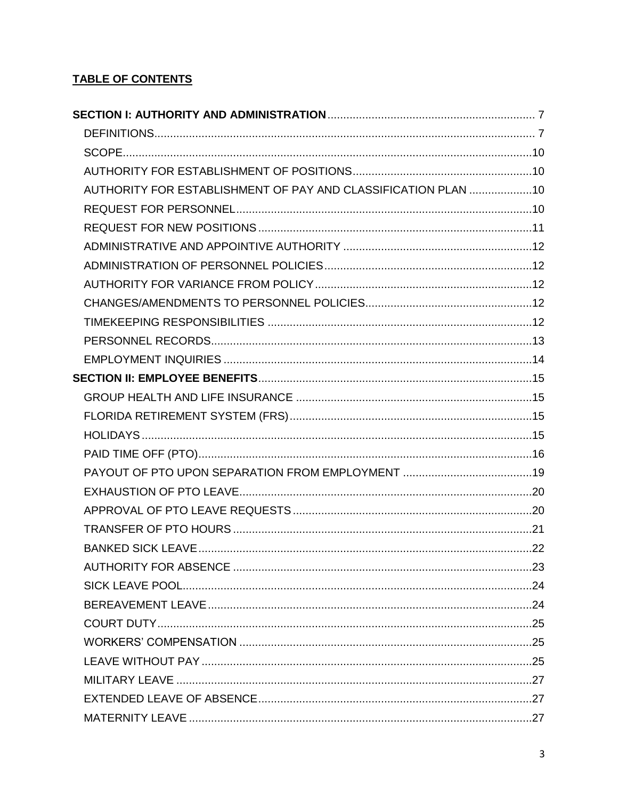# **TABLE OF CONTENTS**

| AUTHORITY FOR ESTABLISHMENT OF PAY AND CLASSIFICATION PLAN 10 |  |
|---------------------------------------------------------------|--|
|                                                               |  |
|                                                               |  |
|                                                               |  |
|                                                               |  |
|                                                               |  |
|                                                               |  |
|                                                               |  |
|                                                               |  |
|                                                               |  |
|                                                               |  |
|                                                               |  |
|                                                               |  |
|                                                               |  |
|                                                               |  |
|                                                               |  |
|                                                               |  |
|                                                               |  |
|                                                               |  |
|                                                               |  |
|                                                               |  |
|                                                               |  |
|                                                               |  |
|                                                               |  |
|                                                               |  |
|                                                               |  |
|                                                               |  |
|                                                               |  |
|                                                               |  |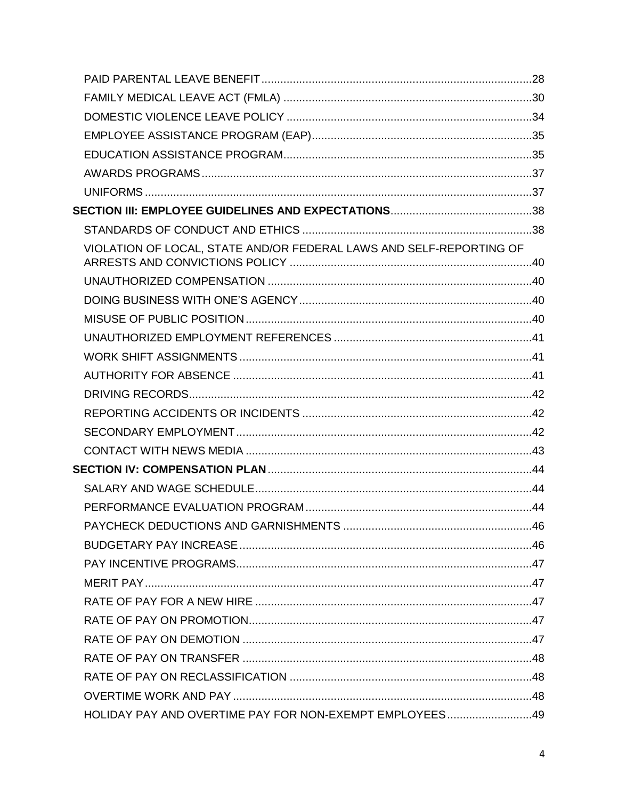| VIOLATION OF LOCAL, STATE AND/OR FEDERAL LAWS AND SELF-REPORTING OF |  |
|---------------------------------------------------------------------|--|
|                                                                     |  |
|                                                                     |  |
|                                                                     |  |
|                                                                     |  |
|                                                                     |  |
|                                                                     |  |
|                                                                     |  |
|                                                                     |  |
|                                                                     |  |
|                                                                     |  |
|                                                                     |  |
|                                                                     |  |
|                                                                     |  |
|                                                                     |  |
|                                                                     |  |
|                                                                     |  |
|                                                                     |  |
|                                                                     |  |
|                                                                     |  |
|                                                                     |  |
|                                                                     |  |
|                                                                     |  |
|                                                                     |  |
| HOLIDAY PAY AND OVERTIME PAY FOR NON-EXEMPT EMPLOYEES49             |  |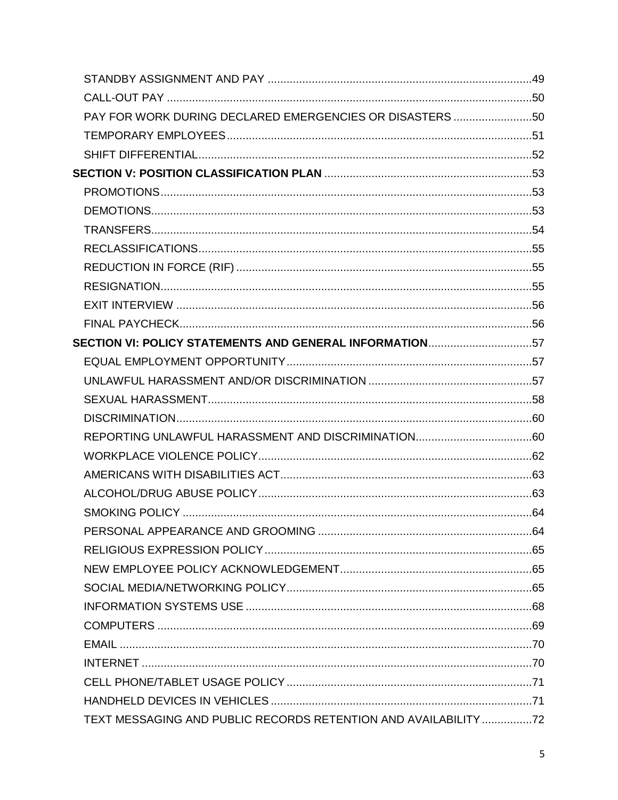| PAY FOR WORK DURING DECLARED EMERGENCIES OR DISASTERS 50        |  |
|-----------------------------------------------------------------|--|
|                                                                 |  |
|                                                                 |  |
|                                                                 |  |
|                                                                 |  |
|                                                                 |  |
|                                                                 |  |
|                                                                 |  |
|                                                                 |  |
|                                                                 |  |
|                                                                 |  |
|                                                                 |  |
| SECTION VI: POLICY STATEMENTS AND GENERAL INFORMATION57         |  |
|                                                                 |  |
|                                                                 |  |
|                                                                 |  |
|                                                                 |  |
|                                                                 |  |
|                                                                 |  |
|                                                                 |  |
|                                                                 |  |
|                                                                 |  |
|                                                                 |  |
|                                                                 |  |
|                                                                 |  |
|                                                                 |  |
|                                                                 |  |
|                                                                 |  |
|                                                                 |  |
|                                                                 |  |
|                                                                 |  |
|                                                                 |  |
| TEXT MESSAGING AND PUBLIC RECORDS RETENTION AND AVAILABILITY 72 |  |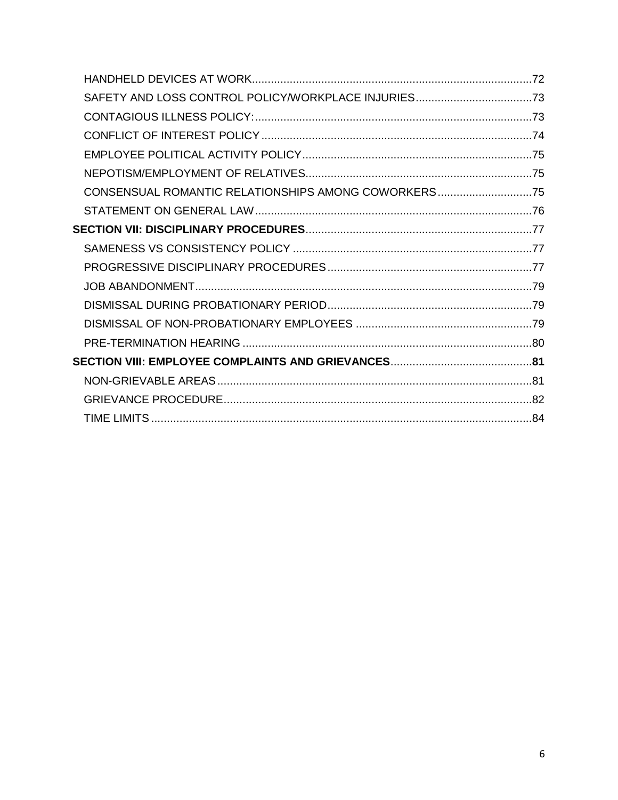| CONSENSUAL ROMANTIC RELATIONSHIPS AMONG COWORKERS75 |  |
|-----------------------------------------------------|--|
|                                                     |  |
|                                                     |  |
|                                                     |  |
|                                                     |  |
|                                                     |  |
|                                                     |  |
|                                                     |  |
|                                                     |  |
|                                                     |  |
|                                                     |  |
|                                                     |  |
|                                                     |  |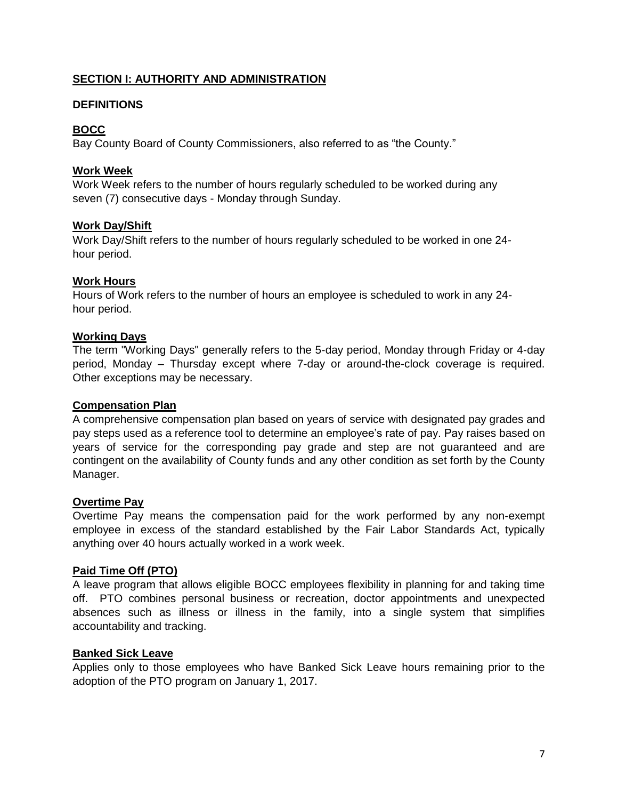# <span id="page-6-0"></span>**SECTION I: AUTHORITY AND ADMINISTRATION**

## <span id="page-6-1"></span>**DEFINITIONS**

# **BOCC**

Bay County Board of County Commissioners, also referred to as "the County."

# **Work Week**

Work Week refers to the number of hours regularly scheduled to be worked during any seven (7) consecutive days - Monday through Sunday.

# **Work Day/Shift**

Work Day/Shift refers to the number of hours regularly scheduled to be worked in one 24 hour period.

# **Work Hours**

Hours of Work refers to the number of hours an employee is scheduled to work in any 24 hour period.

# **Working Days**

The term "Working Days" generally refers to the 5-day period, Monday through Friday or 4-day period, Monday – Thursday except where 7-day or around-the-clock coverage is required. Other exceptions may be necessary.

### **Compensation Plan**

A comprehensive compensation plan based on years of service with designated pay grades and pay steps used as a reference tool to determine an employee's rate of pay. Pay raises based on years of service for the corresponding pay grade and step are not guaranteed and are contingent on the availability of County funds and any other condition as set forth by the County Manager.

## **Overtime Pay**

Overtime Pay means the compensation paid for the work performed by any non-exempt employee in excess of the standard established by the Fair Labor Standards Act, typically anything over 40 hours actually worked in a work week.

### **Paid Time Off (PTO)**

A leave program that allows eligible BOCC employees flexibility in planning for and taking time off. PTO combines personal business or recreation, doctor appointments and unexpected absences such as illness or illness in the family, into a single system that simplifies accountability and tracking.

### **Banked Sick Leave**

Applies only to those employees who have Banked Sick Leave hours remaining prior to the adoption of the PTO program on January 1, 2017.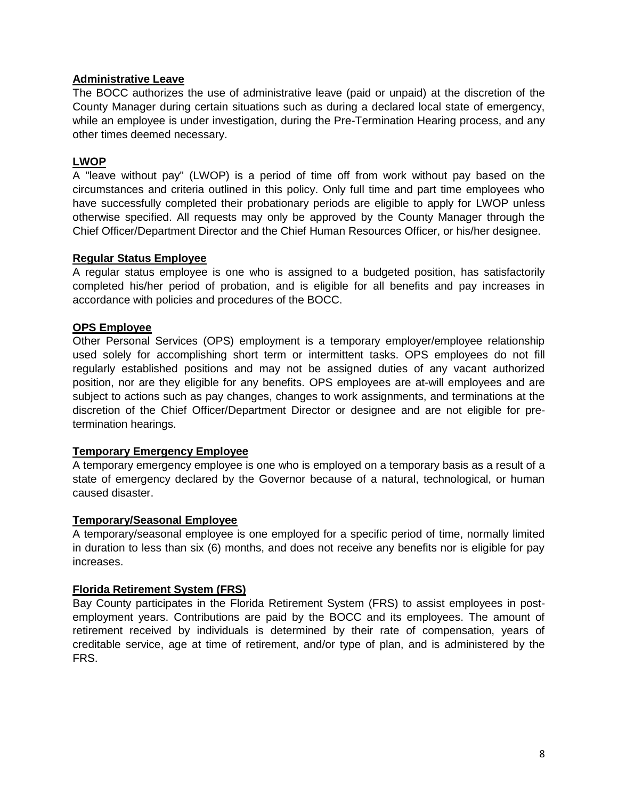# **Administrative Leave**

The BOCC authorizes the use of administrative leave (paid or unpaid) at the discretion of the County Manager during certain situations such as during a declared local state of emergency, while an employee is under investigation, during the Pre-Termination Hearing process, and any other times deemed necessary.

## **LWOP**

A "leave without pay" (LWOP) is a period of time off from work without pay based on the circumstances and criteria outlined in this policy. Only full time and part time employees who have successfully completed their probationary periods are eligible to apply for LWOP unless otherwise specified. All requests may only be approved by the County Manager through the Chief Officer/Department Director and the Chief Human Resources Officer, or his/her designee.

### **Regular Status Employee**

A regular status employee is one who is assigned to a budgeted position, has satisfactorily completed his/her period of probation, and is eligible for all benefits and pay increases in accordance with policies and procedures of the BOCC.

### **OPS Employee**

Other Personal Services (OPS) employment is a temporary employer/employee relationship used solely for accomplishing short term or intermittent tasks. OPS employees do not fill regularly established positions and may not be assigned duties of any vacant authorized position, nor are they eligible for any benefits. OPS employees are at-will employees and are subject to actions such as pay changes, changes to work assignments, and terminations at the discretion of the Chief Officer/Department Director or designee and are not eligible for pretermination hearings.

### **Temporary Emergency Employee**

A temporary emergency employee is one who is employed on a temporary basis as a result of a state of emergency declared by the Governor because of a natural, technological, or human caused disaster.

#### **Temporary/Seasonal Employee**

A temporary/seasonal employee is one employed for a specific period of time, normally limited in duration to less than six (6) months, and does not receive any benefits nor is eligible for pay increases.

### **Florida Retirement System (FRS)**

Bay County participates in the Florida Retirement System (FRS) to assist employees in postemployment years. Contributions are paid by the BOCC and its employees. The amount of retirement received by individuals is determined by their rate of compensation, years of creditable service, age at time of retirement, and/or type of plan, and is administered by the FRS.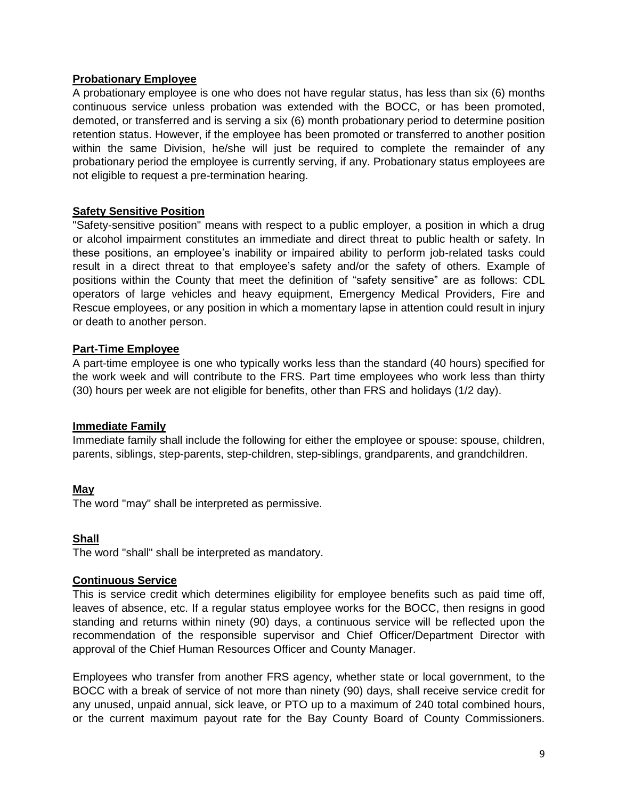## **Probationary Employee**

A probationary employee is one who does not have regular status, has less than six (6) months continuous service unless probation was extended with the BOCC, or has been promoted, demoted, or transferred and is serving a six (6) month probationary period to determine position retention status. However, if the employee has been promoted or transferred to another position within the same Division, he/she will just be required to complete the remainder of any probationary period the employee is currently serving, if any. Probationary status employees are not eligible to request a pre-termination hearing.

# **Safety Sensitive Position**

"Safety-sensitive position" means with respect to a public employer, a position in which a drug or alcohol impairment constitutes an immediate and direct threat to public health or safety. In these positions, an employee's inability or impaired ability to perform job-related tasks could result in a direct threat to that employee's safety and/or the safety of others. Example of positions within the County that meet the definition of "safety sensitive" are as follows: CDL operators of large vehicles and heavy equipment, Emergency Medical Providers, Fire and Rescue employees, or any position in which a momentary lapse in attention could result in injury or death to another person.

# **Part-Time Employee**

A part-time employee is one who typically works less than the standard (40 hours) specified for the work week and will contribute to the FRS. Part time employees who work less than thirty (30) hours per week are not eligible for benefits, other than FRS and holidays (1/2 day).

### **Immediate Family**

Immediate family shall include the following for either the employee or spouse: spouse, children, parents, siblings, step-parents, step-children, step-siblings, grandparents, and grandchildren.

### **May**

The word "may" shall be interpreted as permissive.

### **Shall**

The word "shall" shall be interpreted as mandatory.

### **Continuous Service**

This is service credit which determines eligibility for employee benefits such as paid time off, leaves of absence, etc. If a regular status employee works for the BOCC, then resigns in good standing and returns within ninety (90) days, a continuous service will be reflected upon the recommendation of the responsible supervisor and Chief Officer/Department Director with approval of the Chief Human Resources Officer and County Manager.

Employees who transfer from another FRS agency, whether state or local government, to the BOCC with a break of service of not more than ninety (90) days, shall receive service credit for any unused, unpaid annual, sick leave, or PTO up to a maximum of 240 total combined hours, or the current maximum payout rate for the Bay County Board of County Commissioners.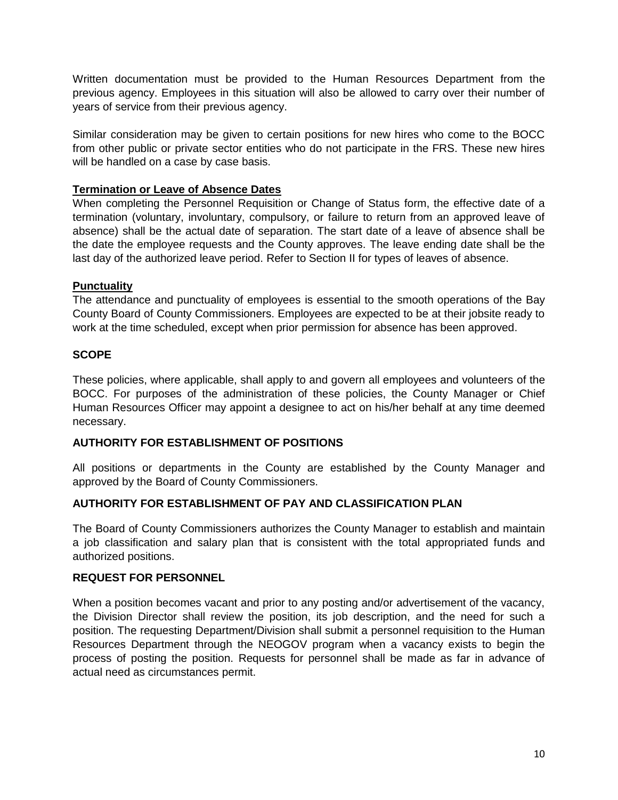Written documentation must be provided to the Human Resources Department from the previous agency. Employees in this situation will also be allowed to carry over their number of years of service from their previous agency.

Similar consideration may be given to certain positions for new hires who come to the BOCC from other public or private sector entities who do not participate in the FRS. These new hires will be handled on a case by case basis.

## **Termination or Leave of Absence Dates**

When completing the Personnel Requisition or Change of Status form, the effective date of a termination (voluntary, involuntary, compulsory, or failure to return from an approved leave of absence) shall be the actual date of separation. The start date of a leave of absence shall be the date the employee requests and the County approves. The leave ending date shall be the last day of the authorized leave period. Refer to Section II for types of leaves of absence.

# **Punctuality**

The attendance and punctuality of employees is essential to the smooth operations of the Bay County Board of County Commissioners. Employees are expected to be at their jobsite ready to work at the time scheduled, except when prior permission for absence has been approved.

# <span id="page-9-0"></span>**SCOPE**

These policies, where applicable, shall apply to and govern all employees and volunteers of the BOCC. For purposes of the administration of these policies, the County Manager or Chief Human Resources Officer may appoint a designee to act on his/her behalf at any time deemed necessary.

### <span id="page-9-1"></span>**AUTHORITY FOR ESTABLISHMENT OF POSITIONS**

All positions or departments in the County are established by the County Manager and approved by the Board of County Commissioners.

### <span id="page-9-2"></span>**AUTHORITY FOR ESTABLISHMENT OF PAY AND CLASSIFICATION PLAN**

The Board of County Commissioners authorizes the County Manager to establish and maintain a job classification and salary plan that is consistent with the total appropriated funds and authorized positions.

# <span id="page-9-3"></span>**REQUEST FOR PERSONNEL**

When a position becomes vacant and prior to any posting and/or advertisement of the vacancy, the Division Director shall review the position, its job description, and the need for such a position. The requesting Department/Division shall submit a personnel requisition to the Human Resources Department through the NEOGOV program when a vacancy exists to begin the process of posting the position. Requests for personnel shall be made as far in advance of actual need as circumstances permit.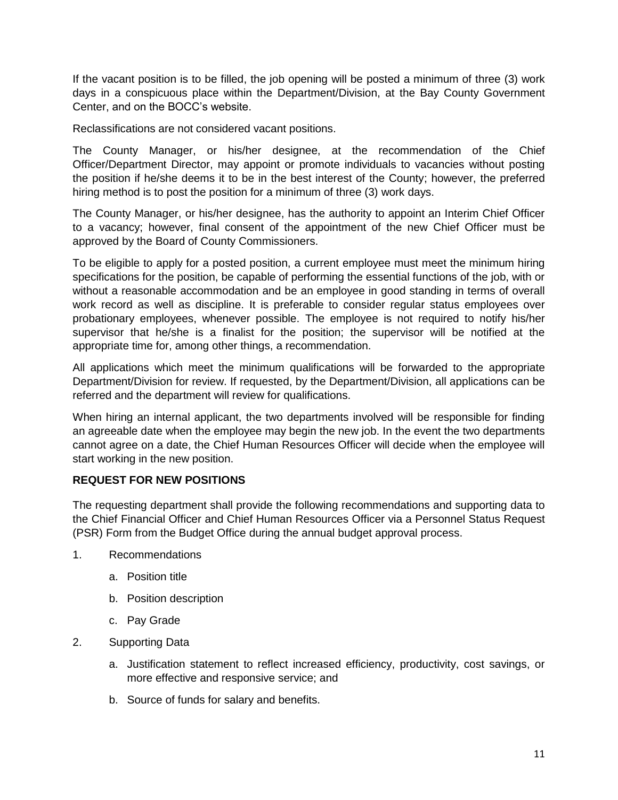If the vacant position is to be filled, the job opening will be posted a minimum of three (3) work days in a conspicuous place within the Department/Division, at the Bay County Government Center, and on the BOCC's website.

Reclassifications are not considered vacant positions.

The County Manager, or his/her designee, at the recommendation of the Chief Officer/Department Director, may appoint or promote individuals to vacancies without posting the position if he/she deems it to be in the best interest of the County; however, the preferred hiring method is to post the position for a minimum of three (3) work days.

The County Manager, or his/her designee, has the authority to appoint an Interim Chief Officer to a vacancy; however, final consent of the appointment of the new Chief Officer must be approved by the Board of County Commissioners.

To be eligible to apply for a posted position, a current employee must meet the minimum hiring specifications for the position, be capable of performing the essential functions of the job, with or without a reasonable accommodation and be an employee in good standing in terms of overall work record as well as discipline. It is preferable to consider regular status employees over probationary employees, whenever possible. The employee is not required to notify his/her supervisor that he/she is a finalist for the position; the supervisor will be notified at the appropriate time for, among other things, a recommendation.

All applications which meet the minimum qualifications will be forwarded to the appropriate Department/Division for review. If requested, by the Department/Division, all applications can be referred and the department will review for qualifications.

When hiring an internal applicant, the two departments involved will be responsible for finding an agreeable date when the employee may begin the new job. In the event the two departments cannot agree on a date, the Chief Human Resources Officer will decide when the employee will start working in the new position.

# <span id="page-10-0"></span>**REQUEST FOR NEW POSITIONS**

The requesting department shall provide the following recommendations and supporting data to the Chief Financial Officer and Chief Human Resources Officer via a Personnel Status Request (PSR) Form from the Budget Office during the annual budget approval process.

- 1. Recommendations
	- a. Position title
	- b. Position description
	- c. Pay Grade
- 2. Supporting Data
	- a. Justification statement to reflect increased efficiency, productivity, cost savings, or more effective and responsive service; and
	- b. Source of funds for salary and benefits.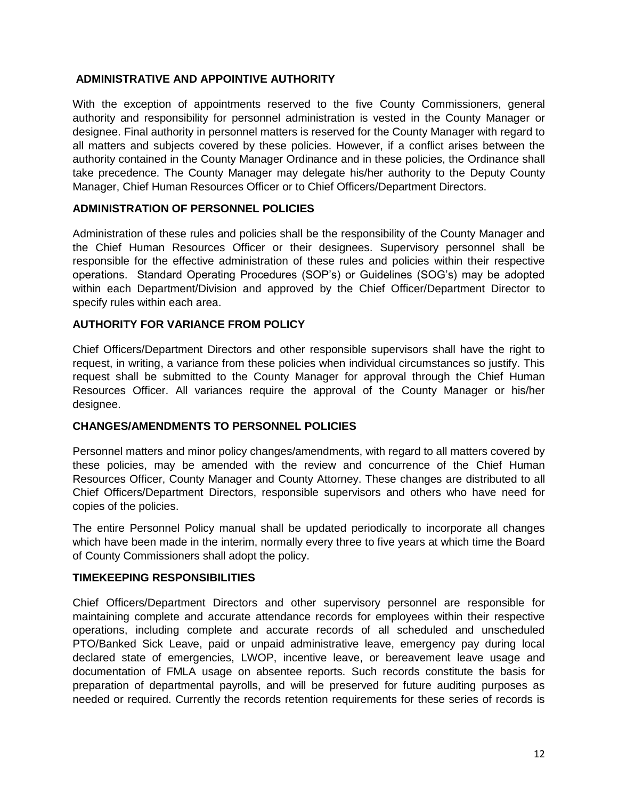## <span id="page-11-0"></span>**ADMINISTRATIVE AND APPOINTIVE AUTHORITY**

With the exception of appointments reserved to the five County Commissioners, general authority and responsibility for personnel administration is vested in the County Manager or designee. Final authority in personnel matters is reserved for the County Manager with regard to all matters and subjects covered by these policies. However, if a conflict arises between the authority contained in the County Manager Ordinance and in these policies, the Ordinance shall take precedence. The County Manager may delegate his/her authority to the Deputy County Manager, Chief Human Resources Officer or to Chief Officers/Department Directors.

# <span id="page-11-1"></span>**ADMINISTRATION OF PERSONNEL POLICIES**

Administration of these rules and policies shall be the responsibility of the County Manager and the Chief Human Resources Officer or their designees. Supervisory personnel shall be responsible for the effective administration of these rules and policies within their respective operations. Standard Operating Procedures (SOP's) or Guidelines (SOG's) may be adopted within each Department/Division and approved by the Chief Officer/Department Director to specify rules within each area.

### <span id="page-11-2"></span>**AUTHORITY FOR VARIANCE FROM POLICY**

Chief Officers/Department Directors and other responsible supervisors shall have the right to request, in writing, a variance from these policies when individual circumstances so justify. This request shall be submitted to the County Manager for approval through the Chief Human Resources Officer. All variances require the approval of the County Manager or his/her designee.

### <span id="page-11-3"></span>**CHANGES/AMENDMENTS TO PERSONNEL POLICIES**

Personnel matters and minor policy changes/amendments, with regard to all matters covered by these policies, may be amended with the review and concurrence of the Chief Human Resources Officer, County Manager and County Attorney. These changes are distributed to all Chief Officers/Department Directors, responsible supervisors and others who have need for copies of the policies.

The entire Personnel Policy manual shall be updated periodically to incorporate all changes which have been made in the interim, normally every three to five years at which time the Board of County Commissioners shall adopt the policy.

### <span id="page-11-4"></span>**TIMEKEEPING RESPONSIBILITIES**

Chief Officers/Department Directors and other supervisory personnel are responsible for maintaining complete and accurate attendance records for employees within their respective operations, including complete and accurate records of all scheduled and unscheduled PTO/Banked Sick Leave, paid or unpaid administrative leave, emergency pay during local declared state of emergencies, LWOP, incentive leave, or bereavement leave usage and documentation of FMLA usage on absentee reports. Such records constitute the basis for preparation of departmental payrolls, and will be preserved for future auditing purposes as needed or required. Currently the records retention requirements for these series of records is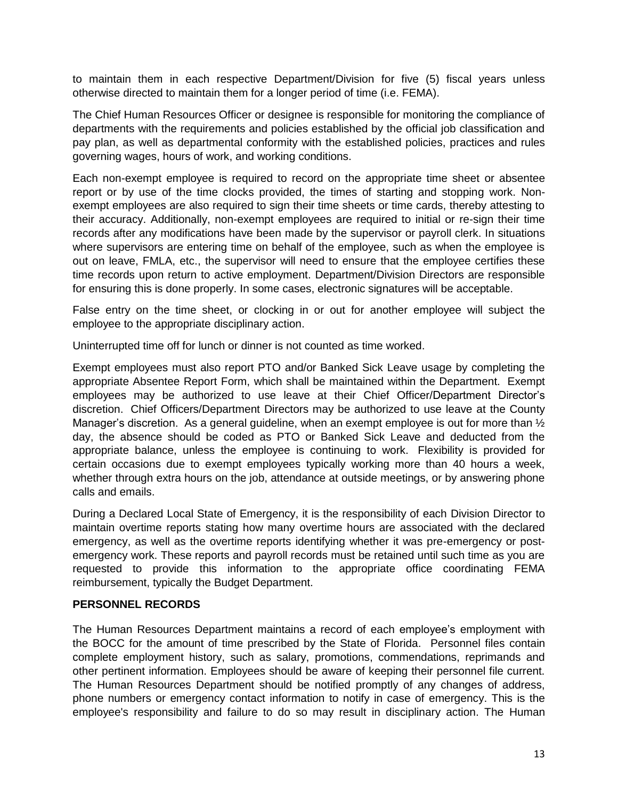to maintain them in each respective Department/Division for five (5) fiscal years unless otherwise directed to maintain them for a longer period of time (i.e. FEMA).

The Chief Human Resources Officer or designee is responsible for monitoring the compliance of departments with the requirements and policies established by the official job classification and pay plan, as well as departmental conformity with the established policies, practices and rules governing wages, hours of work, and working conditions.

Each non-exempt employee is required to record on the appropriate time sheet or absentee report or by use of the time clocks provided, the times of starting and stopping work. Nonexempt employees are also required to sign their time sheets or time cards, thereby attesting to their accuracy. Additionally, non-exempt employees are required to initial or re-sign their time records after any modifications have been made by the supervisor or payroll clerk. In situations where supervisors are entering time on behalf of the employee, such as when the employee is out on leave, FMLA, etc., the supervisor will need to ensure that the employee certifies these time records upon return to active employment. Department/Division Directors are responsible for ensuring this is done properly. In some cases, electronic signatures will be acceptable.

False entry on the time sheet, or clocking in or out for another employee will subject the employee to the appropriate disciplinary action.

Uninterrupted time off for lunch or dinner is not counted as time worked.

Exempt employees must also report PTO and/or Banked Sick Leave usage by completing the appropriate Absentee Report Form, which shall be maintained within the Department. Exempt employees may be authorized to use leave at their Chief Officer/Department Director's discretion. Chief Officers/Department Directors may be authorized to use leave at the County Manager's discretion. As a general guideline, when an exempt employee is out for more than  $\frac{1}{2}$ day, the absence should be coded as PTO or Banked Sick Leave and deducted from the appropriate balance, unless the employee is continuing to work. Flexibility is provided for certain occasions due to exempt employees typically working more than 40 hours a week, whether through extra hours on the job, attendance at outside meetings, or by answering phone calls and emails.

During a Declared Local State of Emergency, it is the responsibility of each Division Director to maintain overtime reports stating how many overtime hours are associated with the declared emergency, as well as the overtime reports identifying whether it was pre-emergency or postemergency work. These reports and payroll records must be retained until such time as you are requested to provide this information to the appropriate office coordinating FEMA reimbursement, typically the Budget Department.

### <span id="page-12-0"></span>**PERSONNEL RECORDS**

The Human Resources Department maintains a record of each employee's employment with the BOCC for the amount of time prescribed by the State of Florida. Personnel files contain complete employment history, such as salary, promotions, commendations, reprimands and other pertinent information. Employees should be aware of keeping their personnel file current. The Human Resources Department should be notified promptly of any changes of address, phone numbers or emergency contact information to notify in case of emergency. This is the employee's responsibility and failure to do so may result in disciplinary action. The Human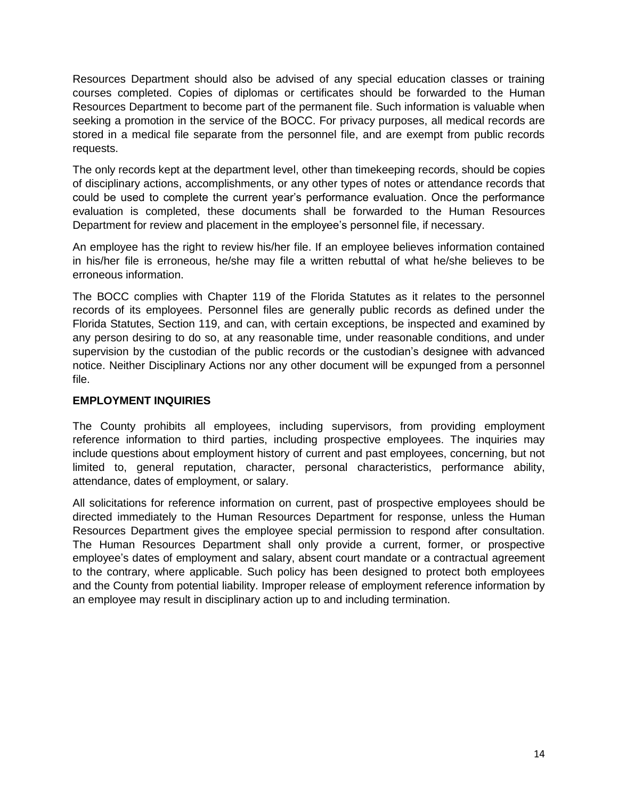Resources Department should also be advised of any special education classes or training courses completed. Copies of diplomas or certificates should be forwarded to the Human Resources Department to become part of the permanent file. Such information is valuable when seeking a promotion in the service of the BOCC. For privacy purposes, all medical records are stored in a medical file separate from the personnel file, and are exempt from public records requests.

The only records kept at the department level, other than timekeeping records, should be copies of disciplinary actions, accomplishments, or any other types of notes or attendance records that could be used to complete the current year's performance evaluation. Once the performance evaluation is completed, these documents shall be forwarded to the Human Resources Department for review and placement in the employee's personnel file, if necessary.

An employee has the right to review his/her file. If an employee believes information contained in his/her file is erroneous, he/she may file a written rebuttal of what he/she believes to be erroneous information.

The BOCC complies with Chapter 119 of the Florida Statutes as it relates to the personnel records of its employees. Personnel files are generally public records as defined under the Florida Statutes, Section 119, and can, with certain exceptions, be inspected and examined by any person desiring to do so, at any reasonable time, under reasonable conditions, and under supervision by the custodian of the public records or the custodian's designee with advanced notice. Neither Disciplinary Actions nor any other document will be expunged from a personnel file.

### <span id="page-13-0"></span>**EMPLOYMENT INQUIRIES**

The County prohibits all employees, including supervisors, from providing employment reference information to third parties, including prospective employees. The inquiries may include questions about employment history of current and past employees, concerning, but not limited to, general reputation, character, personal characteristics, performance ability, attendance, dates of employment, or salary.

All solicitations for reference information on current, past of prospective employees should be directed immediately to the Human Resources Department for response, unless the Human Resources Department gives the employee special permission to respond after consultation. The Human Resources Department shall only provide a current, former, or prospective employee's dates of employment and salary, absent court mandate or a contractual agreement to the contrary, where applicable. Such policy has been designed to protect both employees and the County from potential liability. Improper release of employment reference information by an employee may result in disciplinary action up to and including termination.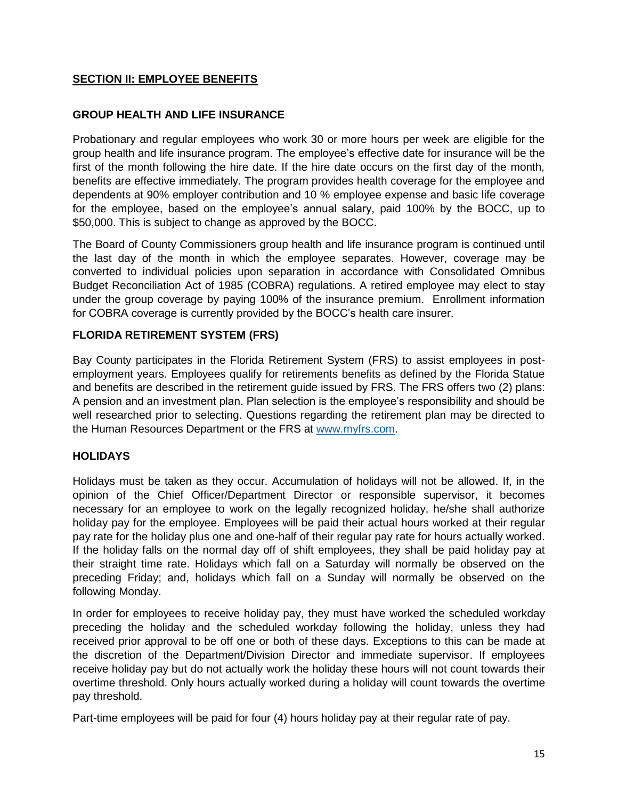# <span id="page-14-0"></span>**SECTION II: EMPLOYEE BENEFITS**

## <span id="page-14-1"></span>**GROUP HEALTH AND LIFE INSURANCE**

Probationary and regular employees who work 30 or more hours per week are eligible for the group health and life insurance program. The employee's effective date for insurance will be the first of the month following the hire date. If the hire date occurs on the first day of the month, benefits are effective immediately. The program provides health coverage for the employee and dependents at 90% employer contribution and 10 % employee expense and basic life coverage for the employee, based on the employee's annual salary, paid 100% by the BOCC, up to \$50,000. This is subject to change as approved by the BOCC.

The Board of County Commissioners group health and life insurance program is continued until the last day of the month in which the employee separates. However, coverage may be converted to individual policies upon separation in accordance with Consolidated Omnibus Budget Reconciliation Act of 1985 (COBRA) regulations. A retired employee may elect to stay under the group coverage by paying 100% of the insurance premium. Enrollment information for COBRA coverage is currently provided by the BOCC's health care insurer.

### <span id="page-14-2"></span>**FLORIDA RETIREMENT SYSTEM (FRS)**

Bay County participates in the Florida Retirement System (FRS) to assist employees in postemployment years. Employees qualify for retirements benefits as defined by the Florida Statue and benefits are described in the retirement guide issued by FRS. The FRS offers two (2) plans: A pension and an investment plan. Plan selection is the employee's responsibility and should be well researched prior to selecting. Questions regarding the retirement plan may be directed to the Human Resources Department or the FRS at [www.myfrs.com.](http://www.myfrs.com/)

### <span id="page-14-3"></span>**HOLIDAYS**

Holidays must be taken as they occur. Accumulation of holidays will not be allowed. If, in the opinion of the Chief Officer/Department Director or responsible supervisor, it becomes necessary for an employee to work on the legally recognized holiday, he/she shall authorize holiday pay for the employee. Employees will be paid their actual hours worked at their regular pay rate for the holiday plus one and one-half of their regular pay rate for hours actually worked. If the holiday falls on the normal day off of shift employees, they shall be paid holiday pay at their straight time rate. Holidays which fall on a Saturday will normally be observed on the preceding Friday; and, holidays which fall on a Sunday will normally be observed on the following Monday.

In order for employees to receive holiday pay, they must have worked the scheduled workday preceding the holiday and the scheduled workday following the holiday, unless they had received prior approval to be off one or both of these days. Exceptions to this can be made at the discretion of the Department/Division Director and immediate supervisor. If employees receive holiday pay but do not actually work the holiday these hours will not count towards their overtime threshold. Only hours actually worked during a holiday will count towards the overtime pay threshold.

Part-time employees will be paid for four (4) hours holiday pay at their regular rate of pay.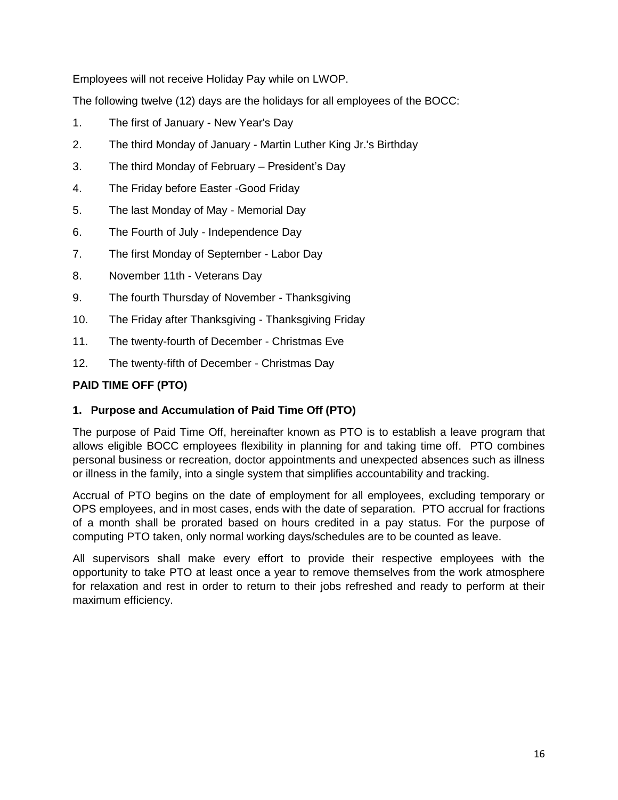Employees will not receive Holiday Pay while on LWOP.

The following twelve (12) days are the holidays for all employees of the BOCC:

- 1. The first of January New Year's Day
- 2. The third Monday of January Martin Luther King Jr.'s Birthday
- 3. The third Monday of February President's Day
- 4. The Friday before Easter -Good Friday
- 5. The last Monday of May Memorial Day
- 6. The Fourth of July Independence Day
- 7. The first Monday of September Labor Day
- 8. November 11th Veterans Day
- 9. The fourth Thursday of November Thanksgiving
- 10. The Friday after Thanksgiving Thanksgiving Friday
- 11. The twenty-fourth of December Christmas Eve
- 12. The twenty-fifth of December Christmas Day

# <span id="page-15-0"></span>**PAID TIME OFF (PTO)**

# **1. Purpose and Accumulation of Paid Time Off (PTO)**

The purpose of Paid Time Off, hereinafter known as PTO is to establish a leave program that allows eligible BOCC employees flexibility in planning for and taking time off. PTO combines personal business or recreation, doctor appointments and unexpected absences such as illness or illness in the family, into a single system that simplifies accountability and tracking.

Accrual of PTO begins on the date of employment for all employees, excluding temporary or OPS employees, and in most cases, ends with the date of separation. PTO accrual for fractions of a month shall be prorated based on hours credited in a pay status. For the purpose of computing PTO taken, only normal working days/schedules are to be counted as leave.

All supervisors shall make every effort to provide their respective employees with the opportunity to take PTO at least once a year to remove themselves from the work atmosphere for relaxation and rest in order to return to their jobs refreshed and ready to perform at their maximum efficiency.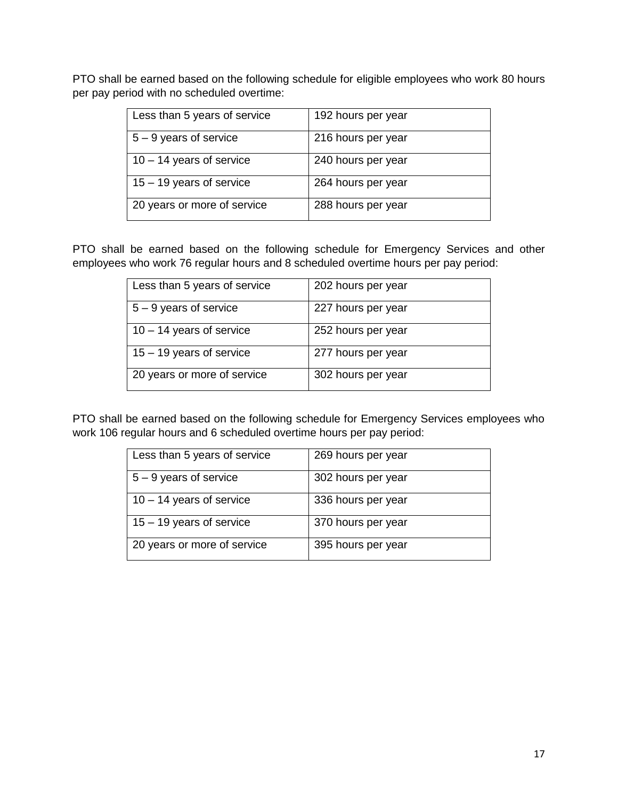PTO shall be earned based on the following schedule for eligible employees who work 80 hours per pay period with no scheduled overtime:

| Less than 5 years of service | 192 hours per year |
|------------------------------|--------------------|
| $5 - 9$ years of service     | 216 hours per year |
| $10 - 14$ years of service   | 240 hours per year |
| $15 - 19$ years of service   | 264 hours per year |
| 20 years or more of service  | 288 hours per year |

PTO shall be earned based on the following schedule for Emergency Services and other employees who work 76 regular hours and 8 scheduled overtime hours per pay period:

| Less than 5 years of service | 202 hours per year |
|------------------------------|--------------------|
| $5 - 9$ years of service     | 227 hours per year |
| $10 - 14$ years of service   | 252 hours per year |
| $15 - 19$ years of service   | 277 hours per year |
| 20 years or more of service  | 302 hours per year |

PTO shall be earned based on the following schedule for Emergency Services employees who work 106 regular hours and 6 scheduled overtime hours per pay period:

| Less than 5 years of service | 269 hours per year |
|------------------------------|--------------------|
| $5 - 9$ years of service     | 302 hours per year |
| $10 - 14$ years of service   | 336 hours per year |
| $15 - 19$ years of service   | 370 hours per year |
| 20 years or more of service  | 395 hours per year |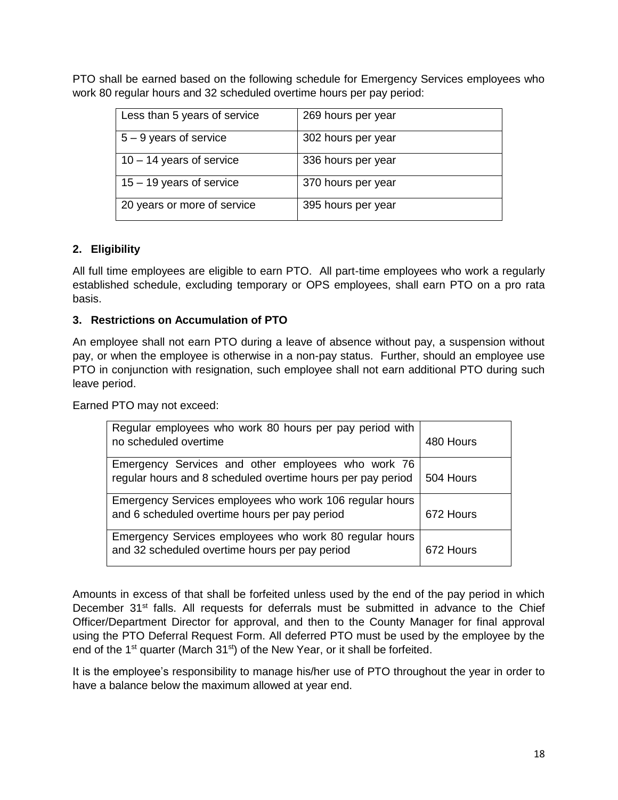PTO shall be earned based on the following schedule for Emergency Services employees who work 80 regular hours and 32 scheduled overtime hours per pay period:

| Less than 5 years of service | 269 hours per year |
|------------------------------|--------------------|
| $5 - 9$ years of service     | 302 hours per year |
| $10 - 14$ years of service   | 336 hours per year |
| $15 - 19$ years of service   | 370 hours per year |
| 20 years or more of service  | 395 hours per year |

# **2. Eligibility**

All full time employees are eligible to earn PTO. All part-time employees who work a regularly established schedule, excluding temporary or OPS employees, shall earn PTO on a pro rata basis.

# **3. Restrictions on Accumulation of PTO**

An employee shall not earn PTO during a leave of absence without pay, a suspension without pay, or when the employee is otherwise in a non-pay status. Further, should an employee use PTO in conjunction with resignation, such employee shall not earn additional PTO during such leave period.

Earned PTO may not exceed:

| Regular employees who work 80 hours per pay period with<br>no scheduled overtime                                  | 480 Hours |
|-------------------------------------------------------------------------------------------------------------------|-----------|
| Emergency Services and other employees who work 76<br>regular hours and 8 scheduled overtime hours per pay period | 504 Hours |
| Emergency Services employees who work 106 regular hours<br>and 6 scheduled overtime hours per pay period          | 672 Hours |
| Emergency Services employees who work 80 regular hours<br>and 32 scheduled overtime hours per pay period          | 672 Hours |

Amounts in excess of that shall be forfeited unless used by the end of the pay period in which December 31<sup>st</sup> falls. All requests for deferrals must be submitted in advance to the Chief Officer/Department Director for approval, and then to the County Manager for final approval using the PTO Deferral Request Form. All deferred PTO must be used by the employee by the end of the 1<sup>st</sup> quarter (March 31<sup>st</sup>) of the New Year, or it shall be forfeited.

It is the employee's responsibility to manage his/her use of PTO throughout the year in order to have a balance below the maximum allowed at year end.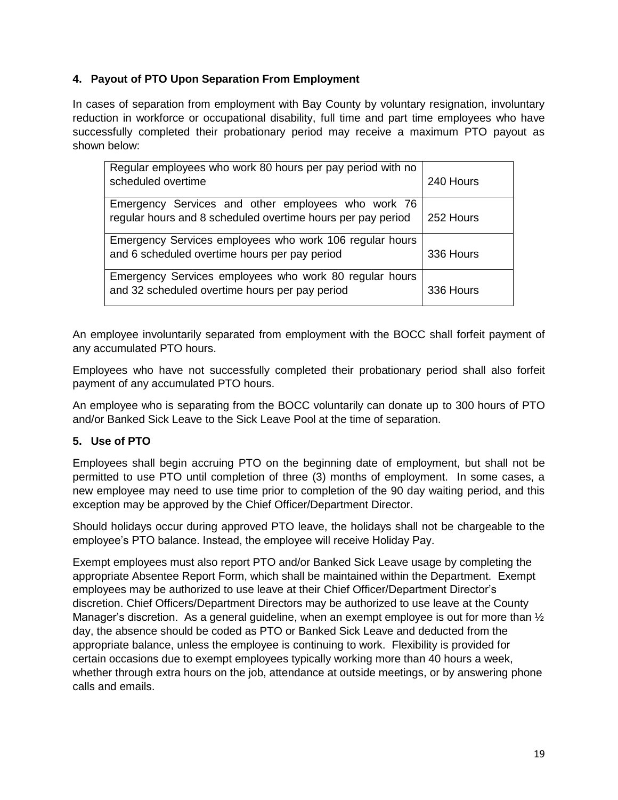# <span id="page-18-0"></span>**4. Payout of PTO Upon Separation From Employment**

In cases of separation from employment with Bay County by voluntary resignation, involuntary reduction in workforce or occupational disability, full time and part time employees who have successfully completed their probationary period may receive a maximum PTO payout as shown below:

| Regular employees who work 80 hours per pay period with no<br>scheduled overtime                                  | 240 Hours |
|-------------------------------------------------------------------------------------------------------------------|-----------|
| Emergency Services and other employees who work 76<br>regular hours and 8 scheduled overtime hours per pay period | 252 Hours |
| Emergency Services employees who work 106 regular hours<br>and 6 scheduled overtime hours per pay period          | 336 Hours |
| Emergency Services employees who work 80 regular hours<br>and 32 scheduled overtime hours per pay period          | 336 Hours |

An employee involuntarily separated from employment with the BOCC shall forfeit payment of any accumulated PTO hours.

Employees who have not successfully completed their probationary period shall also forfeit payment of any accumulated PTO hours.

An employee who is separating from the BOCC voluntarily can donate up to 300 hours of PTO and/or Banked Sick Leave to the Sick Leave Pool at the time of separation.

# **5. Use of PTO**

Employees shall begin accruing PTO on the beginning date of employment, but shall not be permitted to use PTO until completion of three (3) months of employment. In some cases, a new employee may need to use time prior to completion of the 90 day waiting period, and this exception may be approved by the Chief Officer/Department Director.

Should holidays occur during approved PTO leave, the holidays shall not be chargeable to the employee's PTO balance. Instead, the employee will receive Holiday Pay.

Exempt employees must also report PTO and/or Banked Sick Leave usage by completing the appropriate Absentee Report Form, which shall be maintained within the Department. Exempt employees may be authorized to use leave at their Chief Officer/Department Director's discretion. Chief Officers/Department Directors may be authorized to use leave at the County Manager's discretion. As a general guideline, when an exempt employee is out for more than  $\frac{1}{2}$ day, the absence should be coded as PTO or Banked Sick Leave and deducted from the appropriate balance, unless the employee is continuing to work. Flexibility is provided for certain occasions due to exempt employees typically working more than 40 hours a week, whether through extra hours on the job, attendance at outside meetings, or by answering phone calls and emails.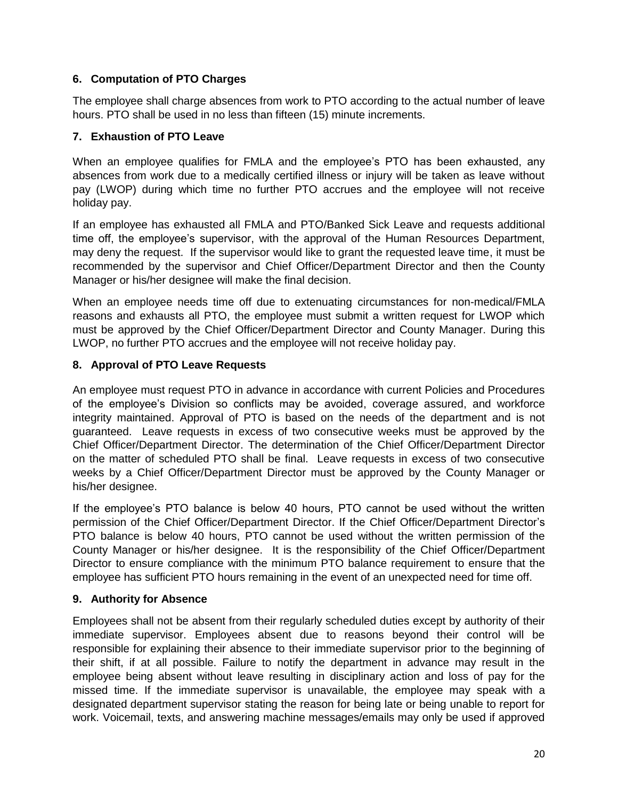# **6. Computation of PTO Charges**

The employee shall charge absences from work to PTO according to the actual number of leave hours. PTO shall be used in no less than fifteen (15) minute increments.

# <span id="page-19-0"></span>**7. Exhaustion of PTO Leave**

When an employee qualifies for FMLA and the employee's PTO has been exhausted, any absences from work due to a medically certified illness or injury will be taken as leave without pay (LWOP) during which time no further PTO accrues and the employee will not receive holiday pay.

If an employee has exhausted all FMLA and PTO/Banked Sick Leave and requests additional time off, the employee's supervisor, with the approval of the Human Resources Department, may deny the request. If the supervisor would like to grant the requested leave time, it must be recommended by the supervisor and Chief Officer/Department Director and then the County Manager or his/her designee will make the final decision.

When an employee needs time off due to extenuating circumstances for non-medical/FMLA reasons and exhausts all PTO, the employee must submit a written request for LWOP which must be approved by the Chief Officer/Department Director and County Manager. During this LWOP, no further PTO accrues and the employee will not receive holiday pay.

# <span id="page-19-1"></span>**8. Approval of PTO Leave Requests**

An employee must request PTO in advance in accordance with current Policies and Procedures of the employee's Division so conflicts may be avoided, coverage assured, and workforce integrity maintained. Approval of PTO is based on the needs of the department and is not guaranteed. Leave requests in excess of two consecutive weeks must be approved by the Chief Officer/Department Director. The determination of the Chief Officer/Department Director on the matter of scheduled PTO shall be final. Leave requests in excess of two consecutive weeks by a Chief Officer/Department Director must be approved by the County Manager or his/her designee.

If the employee's PTO balance is below 40 hours, PTO cannot be used without the written permission of the Chief Officer/Department Director. If the Chief Officer/Department Director's PTO balance is below 40 hours, PTO cannot be used without the written permission of the County Manager or his/her designee. It is the responsibility of the Chief Officer/Department Director to ensure compliance with the minimum PTO balance requirement to ensure that the employee has sufficient PTO hours remaining in the event of an unexpected need for time off.

# **9. Authority for Absence**

Employees shall not be absent from their regularly scheduled duties except by authority of their immediate supervisor. Employees absent due to reasons beyond their control will be responsible for explaining their absence to their immediate supervisor prior to the beginning of their shift, if at all possible. Failure to notify the department in advance may result in the employee being absent without leave resulting in disciplinary action and loss of pay for the missed time. If the immediate supervisor is unavailable, the employee may speak with a designated department supervisor stating the reason for being late or being unable to report for work. Voicemail, texts, and answering machine messages/emails may only be used if approved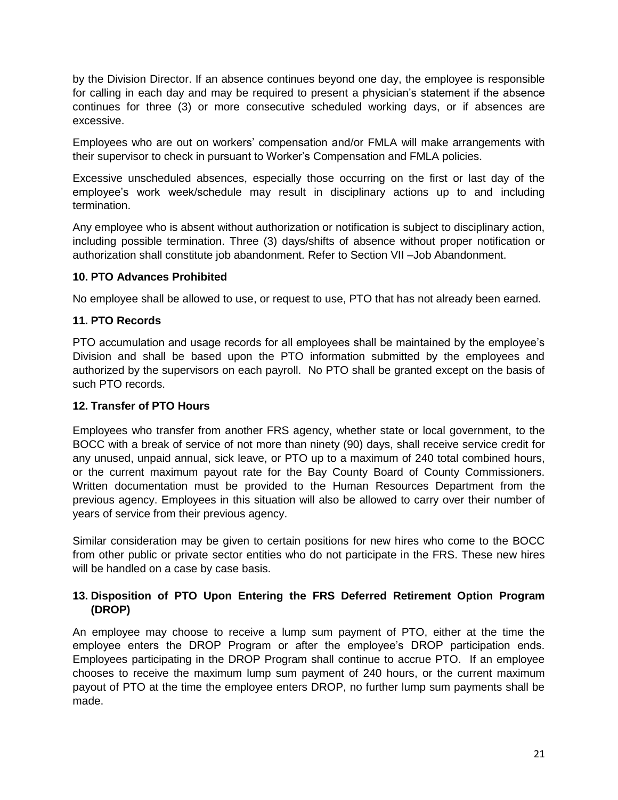by the Division Director. If an absence continues beyond one day, the employee is responsible for calling in each day and may be required to present a physician's statement if the absence continues for three (3) or more consecutive scheduled working days, or if absences are excessive.

Employees who are out on workers' compensation and/or FMLA will make arrangements with their supervisor to check in pursuant to Worker's Compensation and FMLA policies.

Excessive unscheduled absences, especially those occurring on the first or last day of the employee's work week/schedule may result in disciplinary actions up to and including termination.

Any employee who is absent without authorization or notification is subject to disciplinary action, including possible termination. Three (3) days/shifts of absence without proper notification or authorization shall constitute job abandonment. Refer to Section VII –Job Abandonment.

# **10. PTO Advances Prohibited**

No employee shall be allowed to use, or request to use, PTO that has not already been earned.

# **11. PTO Records**

PTO accumulation and usage records for all employees shall be maintained by the employee's Division and shall be based upon the PTO information submitted by the employees and authorized by the supervisors on each payroll. No PTO shall be granted except on the basis of such PTO records.

## <span id="page-20-0"></span>**12. Transfer of PTO Hours**

Employees who transfer from another FRS agency, whether state or local government, to the BOCC with a break of service of not more than ninety (90) days, shall receive service credit for any unused, unpaid annual, sick leave, or PTO up to a maximum of 240 total combined hours, or the current maximum payout rate for the Bay County Board of County Commissioners. Written documentation must be provided to the Human Resources Department from the previous agency. Employees in this situation will also be allowed to carry over their number of years of service from their previous agency.

Similar consideration may be given to certain positions for new hires who come to the BOCC from other public or private sector entities who do not participate in the FRS. These new hires will be handled on a case by case basis.

# **13. Disposition of PTO Upon Entering the FRS Deferred Retirement Option Program (DROP)**

An employee may choose to receive a lump sum payment of PTO, either at the time the employee enters the DROP Program or after the employee's DROP participation ends. Employees participating in the DROP Program shall continue to accrue PTO. If an employee chooses to receive the maximum lump sum payment of 240 hours, or the current maximum payout of PTO at the time the employee enters DROP, no further lump sum payments shall be made.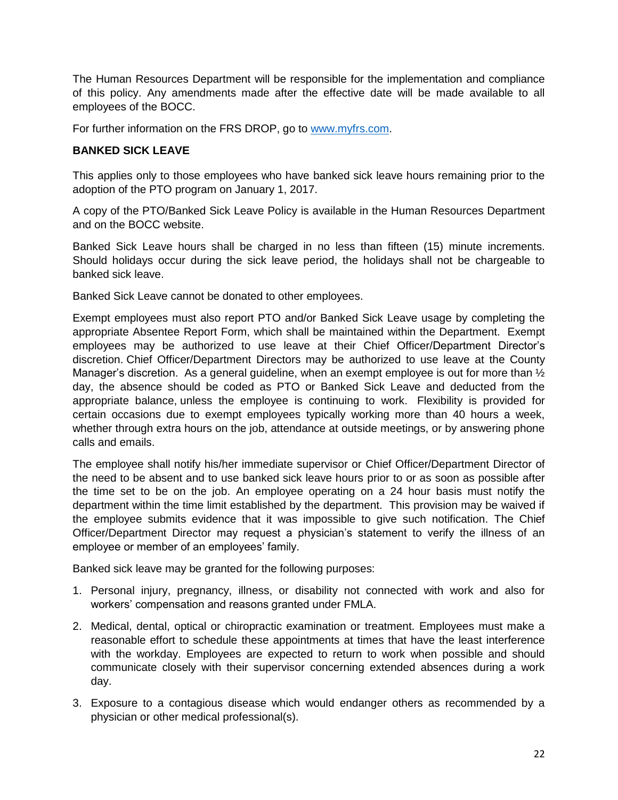The Human Resources Department will be responsible for the implementation and compliance of this policy. Any amendments made after the effective date will be made available to all employees of the BOCC.

For further information on the FRS DROP, go to [www.myfrs.com.](http://www.myfrs.com/)

## <span id="page-21-0"></span>**BANKED SICK LEAVE**

This applies only to those employees who have banked sick leave hours remaining prior to the adoption of the PTO program on January 1, 2017.

A copy of the PTO/Banked Sick Leave Policy is available in the Human Resources Department and on the BOCC website.

Banked Sick Leave hours shall be charged in no less than fifteen (15) minute increments. Should holidays occur during the sick leave period, the holidays shall not be chargeable to banked sick leave.

Banked Sick Leave cannot be donated to other employees.

Exempt employees must also report PTO and/or Banked Sick Leave usage by completing the appropriate Absentee Report Form, which shall be maintained within the Department. Exempt employees may be authorized to use leave at their Chief Officer/Department Director's discretion. Chief Officer/Department Directors may be authorized to use leave at the County Manager's discretion. As a general guideline, when an exempt employee is out for more than  $\frac{1}{2}$ day, the absence should be coded as PTO or Banked Sick Leave and deducted from the appropriate balance, unless the employee is continuing to work. Flexibility is provided for certain occasions due to exempt employees typically working more than 40 hours a week, whether through extra hours on the job, attendance at outside meetings, or by answering phone calls and emails.

The employee shall notify his/her immediate supervisor or Chief Officer/Department Director of the need to be absent and to use banked sick leave hours prior to or as soon as possible after the time set to be on the job. An employee operating on a 24 hour basis must notify the department within the time limit established by the department. This provision may be waived if the employee submits evidence that it was impossible to give such notification. The Chief Officer/Department Director may request a physician's statement to verify the illness of an employee or member of an employees' family.

Banked sick leave may be granted for the following purposes:

- 1. Personal injury, pregnancy, illness, or disability not connected with work and also for workers' compensation and reasons granted under FMLA.
- 2. Medical, dental, optical or chiropractic examination or treatment. Employees must make a reasonable effort to schedule these appointments at times that have the least interference with the workday. Employees are expected to return to work when possible and should communicate closely with their supervisor concerning extended absences during a work day.
- 3. Exposure to a contagious disease which would endanger others as recommended by a physician or other medical professional(s).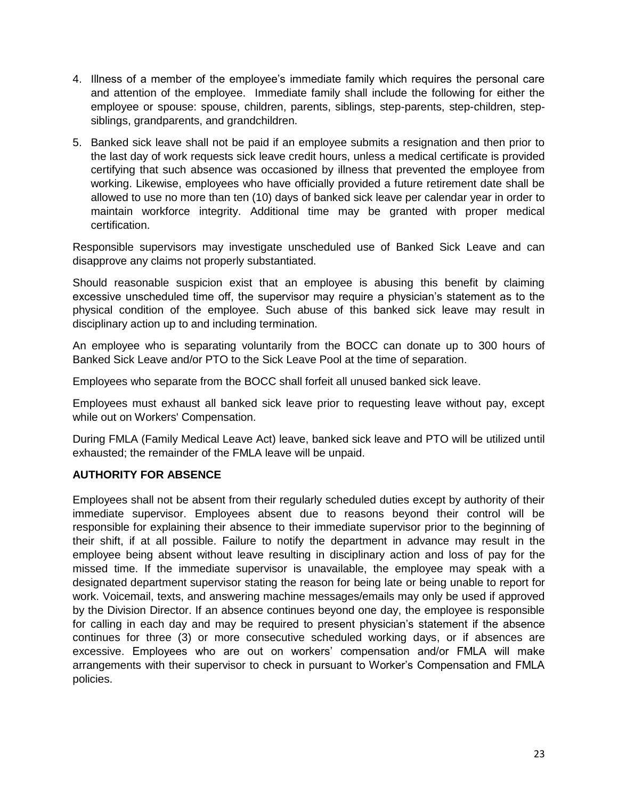- 4. Illness of a member of the employee's immediate family which requires the personal care and attention of the employee. Immediate family shall include the following for either the employee or spouse: spouse, children, parents, siblings, step-parents, step-children, stepsiblings, grandparents, and grandchildren.
- 5. Banked sick leave shall not be paid if an employee submits a resignation and then prior to the last day of work requests sick leave credit hours, unless a medical certificate is provided certifying that such absence was occasioned by illness that prevented the employee from working. Likewise, employees who have officially provided a future retirement date shall be allowed to use no more than ten (10) days of banked sick leave per calendar year in order to maintain workforce integrity. Additional time may be granted with proper medical certification.

Responsible supervisors may investigate unscheduled use of Banked Sick Leave and can disapprove any claims not properly substantiated.

Should reasonable suspicion exist that an employee is abusing this benefit by claiming excessive unscheduled time off, the supervisor may require a physician's statement as to the physical condition of the employee. Such abuse of this banked sick leave may result in disciplinary action up to and including termination.

An employee who is separating voluntarily from the BOCC can donate up to 300 hours of Banked Sick Leave and/or PTO to the Sick Leave Pool at the time of separation.

Employees who separate from the BOCC shall forfeit all unused banked sick leave.

Employees must exhaust all banked sick leave prior to requesting leave without pay, except while out on Workers' Compensation.

During FMLA (Family Medical Leave Act) leave, banked sick leave and PTO will be utilized until exhausted; the remainder of the FMLA leave will be unpaid.

# <span id="page-22-0"></span>**AUTHORITY FOR ABSENCE**

Employees shall not be absent from their regularly scheduled duties except by authority of their immediate supervisor. Employees absent due to reasons beyond their control will be responsible for explaining their absence to their immediate supervisor prior to the beginning of their shift, if at all possible. Failure to notify the department in advance may result in the employee being absent without leave resulting in disciplinary action and loss of pay for the missed time. If the immediate supervisor is unavailable, the employee may speak with a designated department supervisor stating the reason for being late or being unable to report for work. Voicemail, texts, and answering machine messages/emails may only be used if approved by the Division Director. If an absence continues beyond one day, the employee is responsible for calling in each day and may be required to present physician's statement if the absence continues for three (3) or more consecutive scheduled working days, or if absences are excessive. Employees who are out on workers' compensation and/or FMLA will make arrangements with their supervisor to check in pursuant to Worker's Compensation and FMLA policies.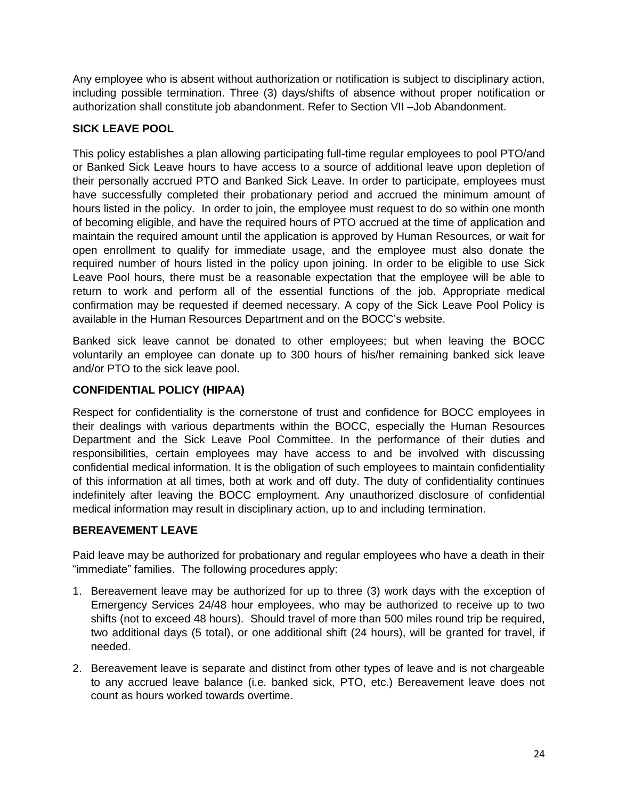Any employee who is absent without authorization or notification is subject to disciplinary action, including possible termination. Three (3) days/shifts of absence without proper notification or authorization shall constitute job abandonment. Refer to Section VII –Job Abandonment.

# <span id="page-23-0"></span>**SICK LEAVE POOL**

This policy establishes a plan allowing participating full-time regular employees to pool PTO/and or Banked Sick Leave hours to have access to a source of additional leave upon depletion of their personally accrued PTO and Banked Sick Leave. In order to participate, employees must have successfully completed their probationary period and accrued the minimum amount of hours listed in the policy. In order to join, the employee must request to do so within one month of becoming eligible, and have the required hours of PTO accrued at the time of application and maintain the required amount until the application is approved by Human Resources, or wait for open enrollment to qualify for immediate usage, and the employee must also donate the required number of hours listed in the policy upon joining. In order to be eligible to use Sick Leave Pool hours, there must be a reasonable expectation that the employee will be able to return to work and perform all of the essential functions of the job. Appropriate medical confirmation may be requested if deemed necessary. A copy of the Sick Leave Pool Policy is available in the Human Resources Department and on the BOCC's website.

Banked sick leave cannot be donated to other employees; but when leaving the BOCC voluntarily an employee can donate up to 300 hours of his/her remaining banked sick leave and/or PTO to the sick leave pool.

# **CONFIDENTIAL POLICY (HIPAA)**

Respect for confidentiality is the cornerstone of trust and confidence for BOCC employees in their dealings with various departments within the BOCC, especially the Human Resources Department and the Sick Leave Pool Committee. In the performance of their duties and responsibilities, certain employees may have access to and be involved with discussing confidential medical information. It is the obligation of such employees to maintain confidentiality of this information at all times, both at work and off duty. The duty of confidentiality continues indefinitely after leaving the BOCC employment. Any unauthorized disclosure of confidential medical information may result in disciplinary action, up to and including termination.

### <span id="page-23-1"></span>**BEREAVEMENT LEAVE**

Paid leave may be authorized for probationary and regular employees who have a death in their "immediate" families. The following procedures apply:

- 1. Bereavement leave may be authorized for up to three (3) work days with the exception of Emergency Services 24/48 hour employees, who may be authorized to receive up to two shifts (not to exceed 48 hours). Should travel of more than 500 miles round trip be required, two additional days (5 total), or one additional shift (24 hours), will be granted for travel, if needed.
- 2. Bereavement leave is separate and distinct from other types of leave and is not chargeable to any accrued leave balance (i.e. banked sick, PTO, etc.) Bereavement leave does not count as hours worked towards overtime.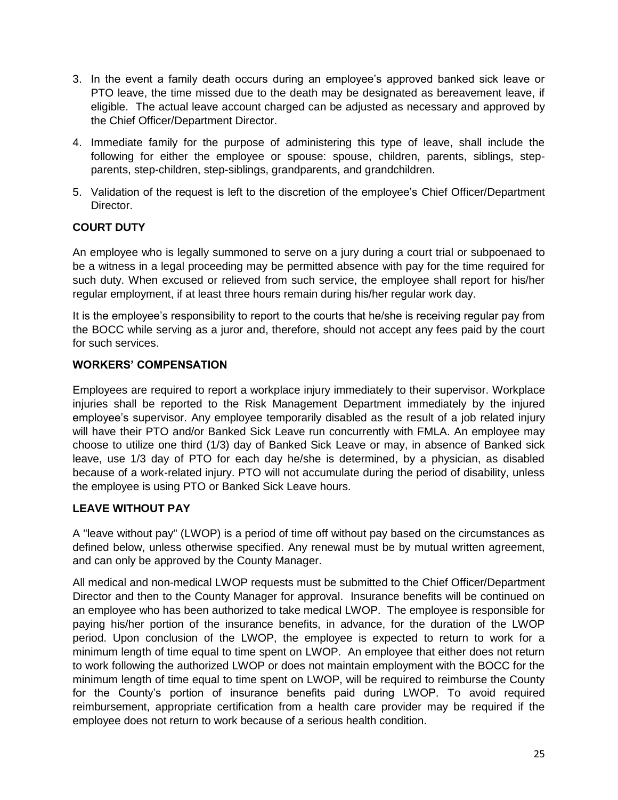- 3. In the event a family death occurs during an employee's approved banked sick leave or PTO leave, the time missed due to the death may be designated as bereavement leave, if eligible. The actual leave account charged can be adjusted as necessary and approved by the Chief Officer/Department Director.
- 4. Immediate family for the purpose of administering this type of leave, shall include the following for either the employee or spouse: spouse, children, parents, siblings, stepparents, step-children, step-siblings, grandparents, and grandchildren.
- 5. Validation of the request is left to the discretion of the employee's Chief Officer/Department Director.

# <span id="page-24-0"></span>**COURT DUTY**

An employee who is legally summoned to serve on a jury during a court trial or subpoenaed to be a witness in a legal proceeding may be permitted absence with pay for the time required for such duty. When excused or relieved from such service, the employee shall report for his/her regular employment, if at least three hours remain during his/her regular work day.

It is the employee's responsibility to report to the courts that he/she is receiving regular pay from the BOCC while serving as a juror and, therefore, should not accept any fees paid by the court for such services.

# <span id="page-24-1"></span>**WORKERS' COMPENSATION**

Employees are required to report a workplace injury immediately to their supervisor. Workplace injuries shall be reported to the Risk Management Department immediately by the injured employee's supervisor. Any employee temporarily disabled as the result of a job related injury will have their PTO and/or Banked Sick Leave run concurrently with FMLA. An employee may choose to utilize one third (1/3) day of Banked Sick Leave or may, in absence of Banked sick leave, use 1/3 day of PTO for each day he/she is determined, by a physician, as disabled because of a work-related injury. PTO will not accumulate during the period of disability, unless the employee is using PTO or Banked Sick Leave hours.

# <span id="page-24-2"></span>**LEAVE WITHOUT PAY**

A "leave without pay" (LWOP) is a period of time off without pay based on the circumstances as defined below, unless otherwise specified. Any renewal must be by mutual written agreement, and can only be approved by the County Manager.

All medical and non-medical LWOP requests must be submitted to the Chief Officer/Department Director and then to the County Manager for approval. Insurance benefits will be continued on an employee who has been authorized to take medical LWOP. The employee is responsible for paying his/her portion of the insurance benefits, in advance, for the duration of the LWOP period. Upon conclusion of the LWOP, the employee is expected to return to work for a minimum length of time equal to time spent on LWOP. An employee that either does not return to work following the authorized LWOP or does not maintain employment with the BOCC for the minimum length of time equal to time spent on LWOP, will be required to reimburse the County for the County's portion of insurance benefits paid during LWOP. To avoid required reimbursement, appropriate certification from a health care provider may be required if the employee does not return to work because of a serious health condition.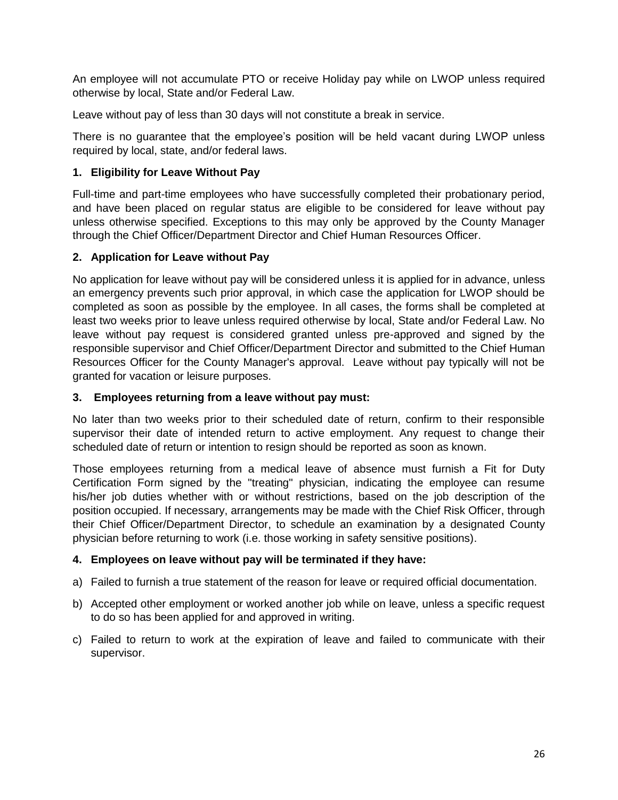An employee will not accumulate PTO or receive Holiday pay while on LWOP unless required otherwise by local, State and/or Federal Law.

Leave without pay of less than 30 days will not constitute a break in service.

There is no guarantee that the employee's position will be held vacant during LWOP unless required by local, state, and/or federal laws.

# **1. Eligibility for Leave Without Pay**

Full-time and part-time employees who have successfully completed their probationary period, and have been placed on regular status are eligible to be considered for leave without pay unless otherwise specified. Exceptions to this may only be approved by the County Manager through the Chief Officer/Department Director and Chief Human Resources Officer.

# **2. Application for Leave without Pay**

No application for leave without pay will be considered unless it is applied for in advance, unless an emergency prevents such prior approval, in which case the application for LWOP should be completed as soon as possible by the employee. In all cases, the forms shall be completed at least two weeks prior to leave unless required otherwise by local, State and/or Federal Law. No leave without pay request is considered granted unless pre-approved and signed by the responsible supervisor and Chief Officer/Department Director and submitted to the Chief Human Resources Officer for the County Manager's approval. Leave without pay typically will not be granted for vacation or leisure purposes.

# **3. Employees returning from a leave without pay must:**

No later than two weeks prior to their scheduled date of return, confirm to their responsible supervisor their date of intended return to active employment. Any request to change their scheduled date of return or intention to resign should be reported as soon as known.

Those employees returning from a medical leave of absence must furnish a Fit for Duty Certification Form signed by the "treating" physician, indicating the employee can resume his/her job duties whether with or without restrictions, based on the job description of the position occupied. If necessary, arrangements may be made with the Chief Risk Officer, through their Chief Officer/Department Director, to schedule an examination by a designated County physician before returning to work (i.e. those working in safety sensitive positions).

# **4. Employees on leave without pay will be terminated if they have:**

- a) Failed to furnish a true statement of the reason for leave or required official documentation.
- b) Accepted other employment or worked another job while on leave, unless a specific request to do so has been applied for and approved in writing.
- c) Failed to return to work at the expiration of leave and failed to communicate with their supervisor.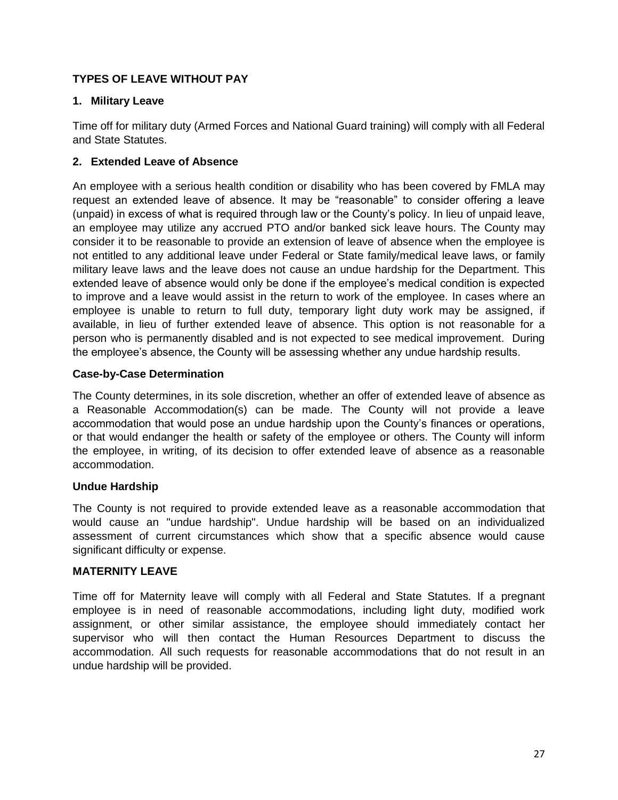# **TYPES OF LEAVE WITHOUT PAY**

# <span id="page-26-0"></span>**1. Military Leave**

Time off for military duty (Armed Forces and National Guard training) will comply with all Federal and State Statutes.

# <span id="page-26-1"></span>**2. Extended Leave of Absence**

An employee with a serious health condition or disability who has been covered by FMLA may request an extended leave of absence. It may be "reasonable" to consider offering a leave (unpaid) in excess of what is required through law or the County's policy. In lieu of unpaid leave, an employee may utilize any accrued PTO and/or banked sick leave hours. The County may consider it to be reasonable to provide an extension of leave of absence when the employee is not entitled to any additional leave under Federal or State family/medical leave laws, or family military leave laws and the leave does not cause an undue hardship for the Department. This extended leave of absence would only be done if the employee's medical condition is expected to improve and a leave would assist in the return to work of the employee. In cases where an employee is unable to return to full duty, temporary light duty work may be assigned, if available, in lieu of further extended leave of absence. This option is not reasonable for a person who is permanently disabled and is not expected to see medical improvement. During the employee's absence, the County will be assessing whether any undue hardship results.

# **Case-by-Case Determination**

The County determines, in its sole discretion, whether an offer of extended leave of absence as a Reasonable Accommodation(s) can be made. The County will not provide a leave accommodation that would pose an undue hardship upon the County's finances or operations, or that would endanger the health or safety of the employee or others. The County will inform the employee, in writing, of its decision to offer extended leave of absence as a reasonable accommodation.

### **Undue Hardship**

The County is not required to provide extended leave as a reasonable accommodation that would cause an "undue hardship". Undue hardship will be based on an individualized assessment of current circumstances which show that a specific absence would cause significant difficulty or expense.

### <span id="page-26-2"></span>**MATERNITY LEAVE**

Time off for Maternity leave will comply with all Federal and State Statutes. If a pregnant employee is in need of reasonable accommodations, including light duty, modified work assignment, or other similar assistance, the employee should immediately contact her supervisor who will then contact the Human Resources Department to discuss the accommodation. All such requests for reasonable accommodations that do not result in an undue hardship will be provided.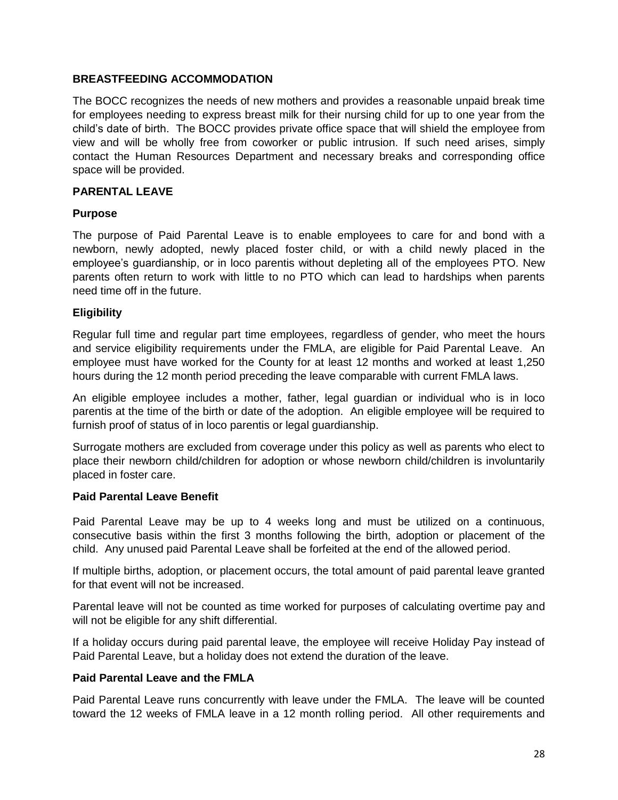# **BREASTFEEDING ACCOMMODATION**

The BOCC recognizes the needs of new mothers and provides a reasonable unpaid break time for employees needing to express breast milk for their nursing child for up to one year from the child's date of birth. The BOCC provides private office space that will shield the employee from view and will be wholly free from coworker or public intrusion. If such need arises, simply contact the Human Resources Department and necessary breaks and corresponding office space will be provided.

## **PARENTAL LEAVE**

### **Purpose**

The purpose of Paid Parental Leave is to enable employees to care for and bond with a newborn, newly adopted, newly placed foster child, or with a child newly placed in the employee's guardianship, or in loco parentis without depleting all of the employees PTO. New parents often return to work with little to no PTO which can lead to hardships when parents need time off in the future.

# **Eligibility**

Regular full time and regular part time employees, regardless of gender, who meet the hours and service eligibility requirements under the FMLA, are eligible for Paid Parental Leave. An employee must have worked for the County for at least 12 months and worked at least 1,250 hours during the 12 month period preceding the leave comparable with current FMLA laws.

An eligible employee includes a mother, father, legal guardian or individual who is in loco parentis at the time of the birth or date of the adoption. An eligible employee will be required to furnish proof of status of in loco parentis or legal guardianship.

Surrogate mothers are excluded from coverage under this policy as well as parents who elect to place their newborn child/children for adoption or whose newborn child/children is involuntarily placed in foster care.

### <span id="page-27-0"></span>**Paid Parental Leave Benefit**

Paid Parental Leave may be up to 4 weeks long and must be utilized on a continuous, consecutive basis within the first 3 months following the birth, adoption or placement of the child. Any unused paid Parental Leave shall be forfeited at the end of the allowed period.

If multiple births, adoption, or placement occurs, the total amount of paid parental leave granted for that event will not be increased.

Parental leave will not be counted as time worked for purposes of calculating overtime pay and will not be eligible for any shift differential.

If a holiday occurs during paid parental leave, the employee will receive Holiday Pay instead of Paid Parental Leave, but a holiday does not extend the duration of the leave.

### **Paid Parental Leave and the FMLA**

Paid Parental Leave runs concurrently with leave under the FMLA. The leave will be counted toward the 12 weeks of FMLA leave in a 12 month rolling period. All other requirements and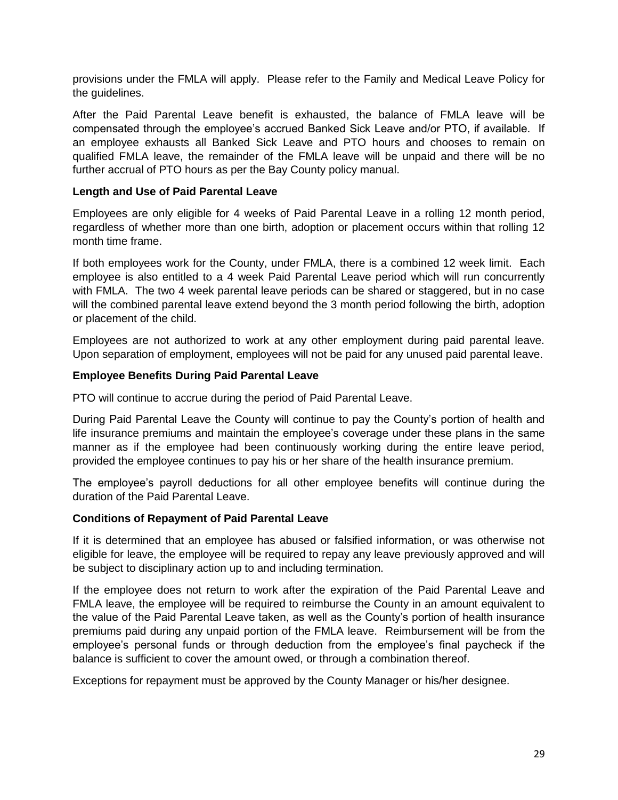provisions under the FMLA will apply. Please refer to the Family and Medical Leave Policy for the guidelines.

After the Paid Parental Leave benefit is exhausted, the balance of FMLA leave will be compensated through the employee's accrued Banked Sick Leave and/or PTO, if available. If an employee exhausts all Banked Sick Leave and PTO hours and chooses to remain on qualified FMLA leave, the remainder of the FMLA leave will be unpaid and there will be no further accrual of PTO hours as per the Bay County policy manual.

### **Length and Use of Paid Parental Leave**

Employees are only eligible for 4 weeks of Paid Parental Leave in a rolling 12 month period, regardless of whether more than one birth, adoption or placement occurs within that rolling 12 month time frame.

If both employees work for the County, under FMLA, there is a combined 12 week limit. Each employee is also entitled to a 4 week Paid Parental Leave period which will run concurrently with FMLA. The two 4 week parental leave periods can be shared or staggered, but in no case will the combined parental leave extend beyond the 3 month period following the birth, adoption or placement of the child.

Employees are not authorized to work at any other employment during paid parental leave. Upon separation of employment, employees will not be paid for any unused paid parental leave.

### **Employee Benefits During Paid Parental Leave**

PTO will continue to accrue during the period of Paid Parental Leave.

During Paid Parental Leave the County will continue to pay the County's portion of health and life insurance premiums and maintain the employee's coverage under these plans in the same manner as if the employee had been continuously working during the entire leave period, provided the employee continues to pay his or her share of the health insurance premium.

The employee's payroll deductions for all other employee benefits will continue during the duration of the Paid Parental Leave.

#### **Conditions of Repayment of Paid Parental Leave**

If it is determined that an employee has abused or falsified information, or was otherwise not eligible for leave, the employee will be required to repay any leave previously approved and will be subject to disciplinary action up to and including termination.

If the employee does not return to work after the expiration of the Paid Parental Leave and FMLA leave, the employee will be required to reimburse the County in an amount equivalent to the value of the Paid Parental Leave taken, as well as the County's portion of health insurance premiums paid during any unpaid portion of the FMLA leave. Reimbursement will be from the employee's personal funds or through deduction from the employee's final paycheck if the balance is sufficient to cover the amount owed, or through a combination thereof.

Exceptions for repayment must be approved by the County Manager or his/her designee.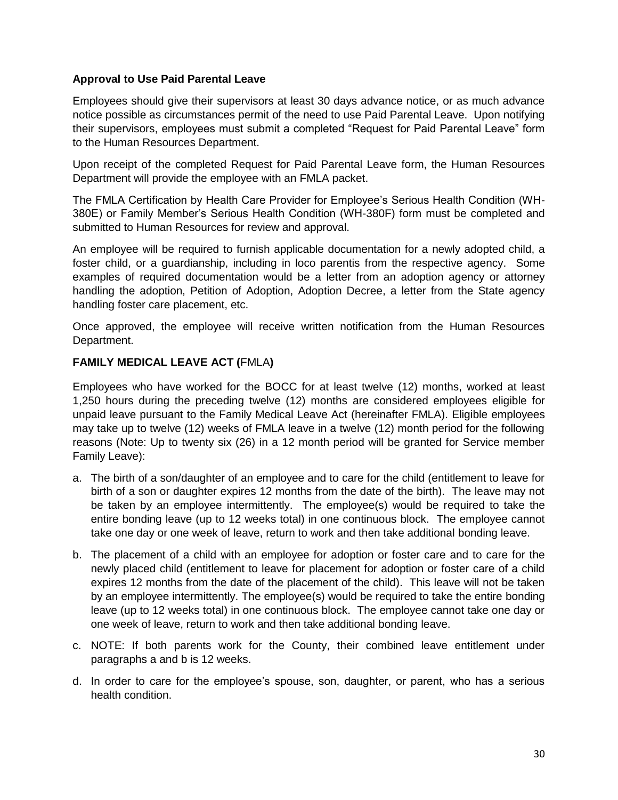## **Approval to Use Paid Parental Leave**

Employees should give their supervisors at least 30 days advance notice, or as much advance notice possible as circumstances permit of the need to use Paid Parental Leave. Upon notifying their supervisors, employees must submit a completed "Request for Paid Parental Leave" form to the Human Resources Department.

Upon receipt of the completed Request for Paid Parental Leave form, the Human Resources Department will provide the employee with an FMLA packet.

The FMLA Certification by Health Care Provider for Employee's Serious Health Condition (WH-380E) or Family Member's Serious Health Condition (WH-380F) form must be completed and submitted to Human Resources for review and approval.

An employee will be required to furnish applicable documentation for a newly adopted child, a foster child, or a guardianship, including in loco parentis from the respective agency. Some examples of required documentation would be a letter from an adoption agency or attorney handling the adoption, Petition of Adoption, Adoption Decree, a letter from the State agency handling foster care placement, etc.

Once approved, the employee will receive written notification from the Human Resources Department.

# <span id="page-29-0"></span>**FAMILY MEDICAL LEAVE ACT (**FMLA**)**

Employees who have worked for the BOCC for at least twelve (12) months, worked at least 1,250 hours during the preceding twelve (12) months are considered employees eligible for unpaid leave pursuant to the Family Medical Leave Act (hereinafter FMLA). Eligible employees may take up to twelve (12) weeks of FMLA leave in a twelve (12) month period for the following reasons (Note: Up to twenty six (26) in a 12 month period will be granted for Service member Family Leave):

- a. The birth of a son/daughter of an employee and to care for the child (entitlement to leave for birth of a son or daughter expires 12 months from the date of the birth). The leave may not be taken by an employee intermittently. The employee(s) would be required to take the entire bonding leave (up to 12 weeks total) in one continuous block. The employee cannot take one day or one week of leave, return to work and then take additional bonding leave.
- b. The placement of a child with an employee for adoption or foster care and to care for the newly placed child (entitlement to leave for placement for adoption or foster care of a child expires 12 months from the date of the placement of the child). This leave will not be taken by an employee intermittently. The employee(s) would be required to take the entire bonding leave (up to 12 weeks total) in one continuous block. The employee cannot take one day or one week of leave, return to work and then take additional bonding leave.
- c. NOTE: If both parents work for the County, their combined leave entitlement under paragraphs a and b is 12 weeks.
- d. In order to care for the employee's spouse, son, daughter, or parent, who has a serious health condition.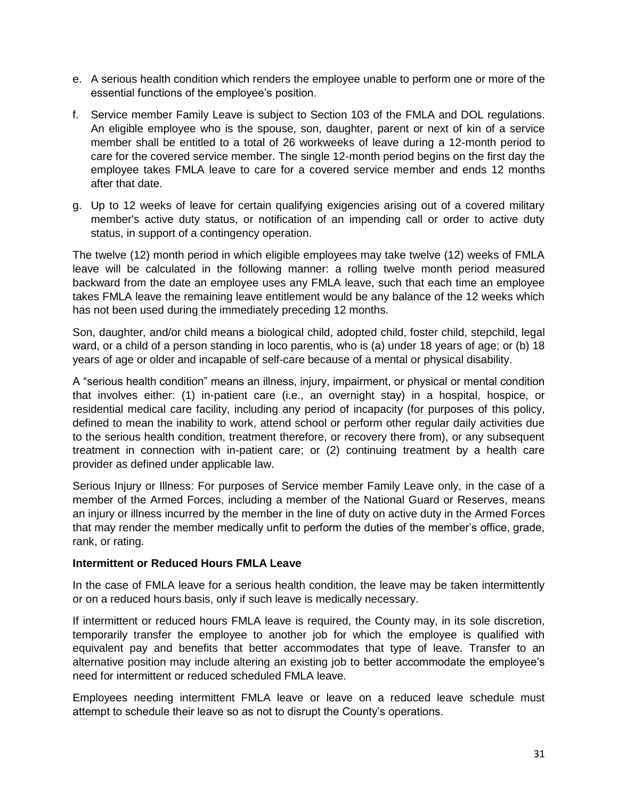- e. A serious health condition which renders the employee unable to perform one or more of the essential functions of the employee's position.
- f. Service member Family Leave is subject to Section 103 of the FMLA and DOL regulations. An eligible employee who is the spouse, son, daughter, parent or next of kin of a service member shall be entitled to a total of 26 workweeks of leave during a 12-month period to care for the covered service member. The single 12-month period begins on the first day the employee takes FMLA leave to care for a covered service member and ends 12 months after that date.
- g. Up to 12 weeks of leave for certain qualifying exigencies arising out of a covered military member's active duty status, or notification of an impending call or order to active duty status, in support of a contingency operation.

The twelve (12) month period in which eligible employees may take twelve (12) weeks of FMLA leave will be calculated in the following manner: a rolling twelve month period measured backward from the date an employee uses any FMLA leave, such that each time an employee takes FMLA leave the remaining leave entitlement would be any balance of the 12 weeks which has not been used during the immediately preceding 12 months.

Son, daughter, and/or child means a biological child, adopted child, foster child, stepchild, legal ward, or a child of a person standing in loco parentis, who is (a) under 18 years of age; or (b) 18 years of age or older and incapable of self-care because of a mental or physical disability.

A "serious health condition" means an illness, injury, impairment, or physical or mental condition that involves either: (1) in-patient care (i.e., an overnight stay) in a hospital, hospice, or residential medical care facility, including any period of incapacity (for purposes of this policy, defined to mean the inability to work, attend school or perform other regular daily activities due to the serious health condition, treatment therefore, or recovery there from), or any subsequent treatment in connection with in-patient care; or (2) continuing treatment by a health care provider as defined under applicable law.

Serious Injury or Illness: For purposes of Service member Family Leave only, in the case of a member of the Armed Forces, including a member of the National Guard or Reserves, means an injury or illness incurred by the member in the line of duty on active duty in the Armed Forces that may render the member medically unfit to perform the duties of the member's office, grade, rank, or rating.

### **Intermittent or Reduced Hours FMLA Leave**

In the case of FMLA leave for a serious health condition, the leave may be taken intermittently or on a reduced hours basis, only if such leave is medically necessary.

If intermittent or reduced hours FMLA leave is required, the County may, in its sole discretion, temporarily transfer the employee to another job for which the employee is qualified with equivalent pay and benefits that better accommodates that type of leave. Transfer to an alternative position may include altering an existing job to better accommodate the employee's need for intermittent or reduced scheduled FMLA leave.

Employees needing intermittent FMLA leave or leave on a reduced leave schedule must attempt to schedule their leave so as not to disrupt the County's operations.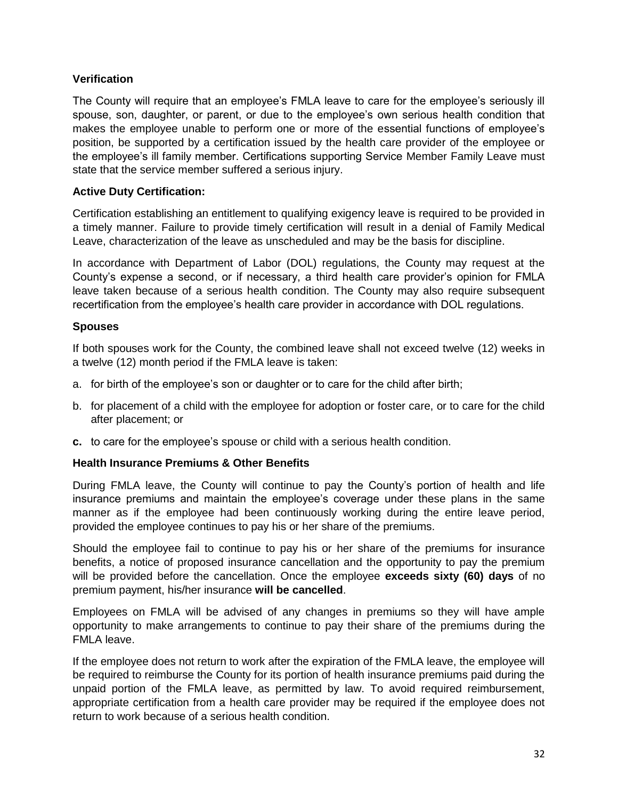# **Verification**

The County will require that an employee's FMLA leave to care for the employee's seriously ill spouse, son, daughter, or parent, or due to the employee's own serious health condition that makes the employee unable to perform one or more of the essential functions of employee's position, be supported by a certification issued by the health care provider of the employee or the employee's ill family member. Certifications supporting Service Member Family Leave must state that the service member suffered a serious injury.

# **Active Duty Certification:**

Certification establishing an entitlement to qualifying exigency leave is required to be provided in a timely manner. Failure to provide timely certification will result in a denial of Family Medical Leave, characterization of the leave as unscheduled and may be the basis for discipline.

In accordance with Department of Labor (DOL) regulations, the County may request at the County's expense a second, or if necessary, a third health care provider's opinion for FMLA leave taken because of a serious health condition. The County may also require subsequent recertification from the employee's health care provider in accordance with DOL regulations.

### **Spouses**

If both spouses work for the County, the combined leave shall not exceed twelve (12) weeks in a twelve (12) month period if the FMLA leave is taken:

- a. for birth of the employee's son or daughter or to care for the child after birth;
- b. for placement of a child with the employee for adoption or foster care, or to care for the child after placement; or
- **c.** to care for the employee's spouse or child with a serious health condition.

### **Health Insurance Premiums & Other Benefits**

During FMLA leave, the County will continue to pay the County's portion of health and life insurance premiums and maintain the employee's coverage under these plans in the same manner as if the employee had been continuously working during the entire leave period, provided the employee continues to pay his or her share of the premiums.

Should the employee fail to continue to pay his or her share of the premiums for insurance benefits, a notice of proposed insurance cancellation and the opportunity to pay the premium will be provided before the cancellation. Once the employee **exceeds sixty (60) days** of no premium payment, his/her insurance **will be cancelled**.

Employees on FMLA will be advised of any changes in premiums so they will have ample opportunity to make arrangements to continue to pay their share of the premiums during the FMLA leave.

If the employee does not return to work after the expiration of the FMLA leave, the employee will be required to reimburse the County for its portion of health insurance premiums paid during the unpaid portion of the FMLA leave, as permitted by law. To avoid required reimbursement, appropriate certification from a health care provider may be required if the employee does not return to work because of a serious health condition.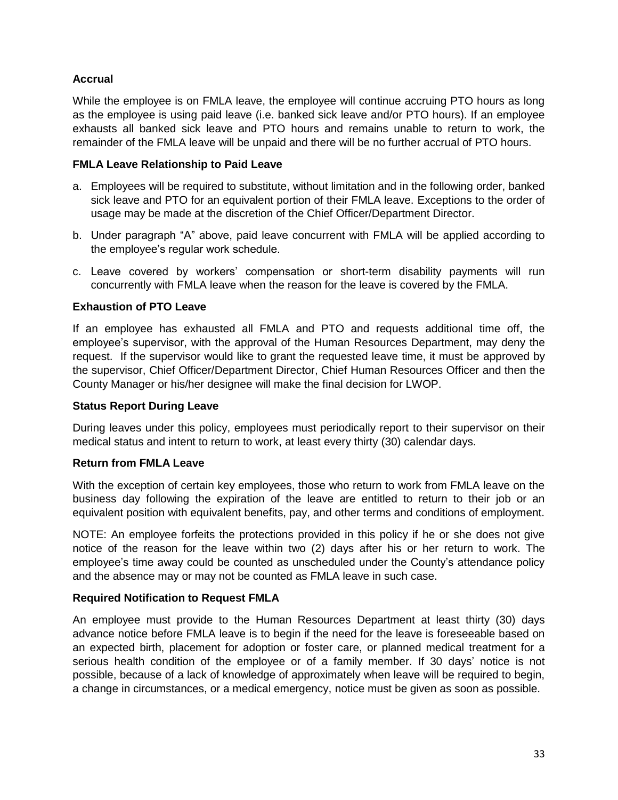# **Accrual**

While the employee is on FMLA leave, the employee will continue accruing PTO hours as long as the employee is using paid leave (i.e. banked sick leave and/or PTO hours). If an employee exhausts all banked sick leave and PTO hours and remains unable to return to work, the remainder of the FMLA leave will be unpaid and there will be no further accrual of PTO hours.

# **FMLA Leave Relationship to Paid Leave**

- a. Employees will be required to substitute, without limitation and in the following order, banked sick leave and PTO for an equivalent portion of their FMLA leave. Exceptions to the order of usage may be made at the discretion of the Chief Officer/Department Director.
- b. Under paragraph "A" above, paid leave concurrent with FMLA will be applied according to the employee's regular work schedule.
- c. Leave covered by workers' compensation or short-term disability payments will run concurrently with FMLA leave when the reason for the leave is covered by the FMLA.

# **Exhaustion of PTO Leave**

If an employee has exhausted all FMLA and PTO and requests additional time off, the employee's supervisor, with the approval of the Human Resources Department, may deny the request. If the supervisor would like to grant the requested leave time, it must be approved by the supervisor, Chief Officer/Department Director, Chief Human Resources Officer and then the County Manager or his/her designee will make the final decision for LWOP.

## **Status Report During Leave**

During leaves under this policy, employees must periodically report to their supervisor on their medical status and intent to return to work, at least every thirty (30) calendar days.

### **Return from FMLA Leave**

With the exception of certain key employees, those who return to work from FMLA leave on the business day following the expiration of the leave are entitled to return to their job or an equivalent position with equivalent benefits, pay, and other terms and conditions of employment.

NOTE: An employee forfeits the protections provided in this policy if he or she does not give notice of the reason for the leave within two (2) days after his or her return to work. The employee's time away could be counted as unscheduled under the County's attendance policy and the absence may or may not be counted as FMLA leave in such case.

### **Required Notification to Request FMLA**

An employee must provide to the Human Resources Department at least thirty (30) days advance notice before FMLA leave is to begin if the need for the leave is foreseeable based on an expected birth, placement for adoption or foster care, or planned medical treatment for a serious health condition of the employee or of a family member. If 30 days' notice is not possible, because of a lack of knowledge of approximately when leave will be required to begin, a change in circumstances, or a medical emergency, notice must be given as soon as possible.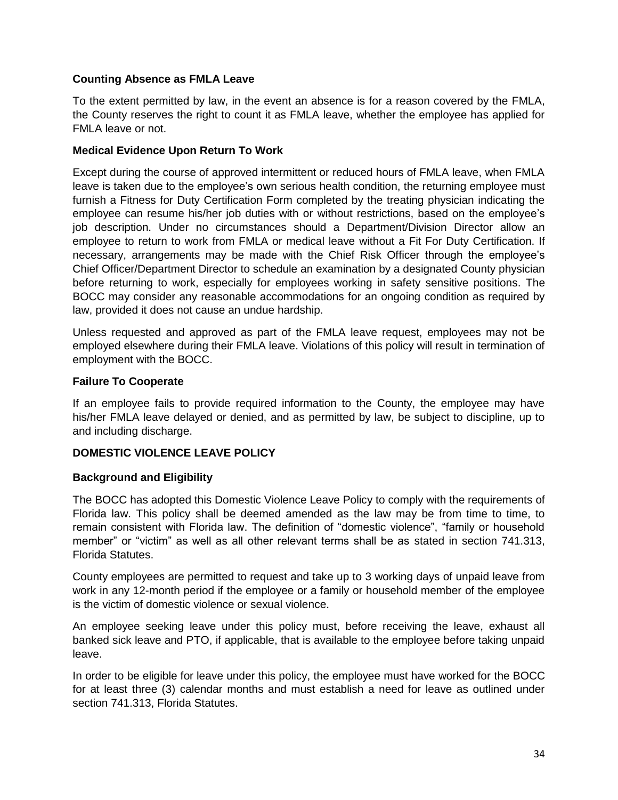## **Counting Absence as FMLA Leave**

To the extent permitted by law, in the event an absence is for a reason covered by the FMLA, the County reserves the right to count it as FMLA leave, whether the employee has applied for FMLA leave or not.

# **Medical Evidence Upon Return To Work**

Except during the course of approved intermittent or reduced hours of FMLA leave, when FMLA leave is taken due to the employee's own serious health condition, the returning employee must furnish a Fitness for Duty Certification Form completed by the treating physician indicating the employee can resume his/her job duties with or without restrictions, based on the employee's job description. Under no circumstances should a Department/Division Director allow an employee to return to work from FMLA or medical leave without a Fit For Duty Certification. If necessary, arrangements may be made with the Chief Risk Officer through the employee's Chief Officer/Department Director to schedule an examination by a designated County physician before returning to work, especially for employees working in safety sensitive positions. The BOCC may consider any reasonable accommodations for an ongoing condition as required by law, provided it does not cause an undue hardship.

Unless requested and approved as part of the FMLA leave request, employees may not be employed elsewhere during their FMLA leave. Violations of this policy will result in termination of employment with the BOCC.

# **Failure To Cooperate**

If an employee fails to provide required information to the County, the employee may have his/her FMLA leave delayed or denied, and as permitted by law, be subject to discipline, up to and including discharge.

# <span id="page-33-0"></span>**DOMESTIC VIOLENCE LEAVE POLICY**

### **Background and Eligibility**

The BOCC has adopted this Domestic Violence Leave Policy to comply with the requirements of Florida law. This policy shall be deemed amended as the law may be from time to time, to remain consistent with Florida law. The definition of "domestic violence", "family or household member" or "victim" as well as all other relevant terms shall be as stated in section 741.313, Florida Statutes.

County employees are permitted to request and take up to 3 working days of unpaid leave from work in any 12-month period if the employee or a family or household member of the employee is the victim of domestic violence or sexual violence.

An employee seeking leave under this policy must, before receiving the leave, exhaust all banked sick leave and PTO, if applicable, that is available to the employee before taking unpaid leave.

In order to be eligible for leave under this policy, the employee must have worked for the BOCC for at least three (3) calendar months and must establish a need for leave as outlined under section 741.313, Florida Statutes.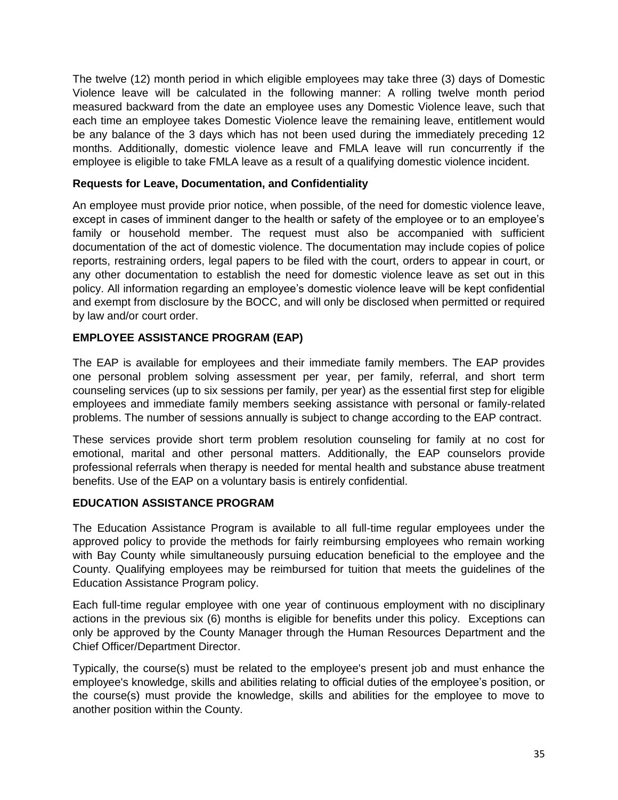The twelve (12) month period in which eligible employees may take three (3) days of Domestic Violence leave will be calculated in the following manner: A rolling twelve month period measured backward from the date an employee uses any Domestic Violence leave, such that each time an employee takes Domestic Violence leave the remaining leave, entitlement would be any balance of the 3 days which has not been used during the immediately preceding 12 months. Additionally, domestic violence leave and FMLA leave will run concurrently if the employee is eligible to take FMLA leave as a result of a qualifying domestic violence incident.

## **Requests for Leave, Documentation, and Confidentiality**

An employee must provide prior notice, when possible, of the need for domestic violence leave, except in cases of imminent danger to the health or safety of the employee or to an employee's family or household member. The request must also be accompanied with sufficient documentation of the act of domestic violence. The documentation may include copies of police reports, restraining orders, legal papers to be filed with the court, orders to appear in court, or any other documentation to establish the need for domestic violence leave as set out in this policy. All information regarding an employee's domestic violence leave will be kept confidential and exempt from disclosure by the BOCC, and will only be disclosed when permitted or required by law and/or court order.

# <span id="page-34-0"></span>**EMPLOYEE ASSISTANCE PROGRAM (EAP)**

The EAP is available for employees and their immediate family members. The EAP provides one personal problem solving assessment per year, per family, referral, and short term counseling services (up to six sessions per family, per year) as the essential first step for eligible employees and immediate family members seeking assistance with personal or family-related problems. The number of sessions annually is subject to change according to the EAP contract.

These services provide short term problem resolution counseling for family at no cost for emotional, marital and other personal matters. Additionally, the EAP counselors provide professional referrals when therapy is needed for mental health and substance abuse treatment benefits. Use of the EAP on a voluntary basis is entirely confidential.

### <span id="page-34-1"></span>**EDUCATION ASSISTANCE PROGRAM**

The Education Assistance Program is available to all full-time regular employees under the approved policy to provide the methods for fairly reimbursing employees who remain working with Bay County while simultaneously pursuing education beneficial to the employee and the County. Qualifying employees may be reimbursed for tuition that meets the guidelines of the Education Assistance Program policy.

Each full-time regular employee with one year of continuous employment with no disciplinary actions in the previous six (6) months is eligible for benefits under this policy. Exceptions can only be approved by the County Manager through the Human Resources Department and the Chief Officer/Department Director.

Typically, the course(s) must be related to the employee's present job and must enhance the employee's knowledge, skills and abilities relating to official duties of the employee's position, or the course(s) must provide the knowledge, skills and abilities for the employee to move to another position within the County.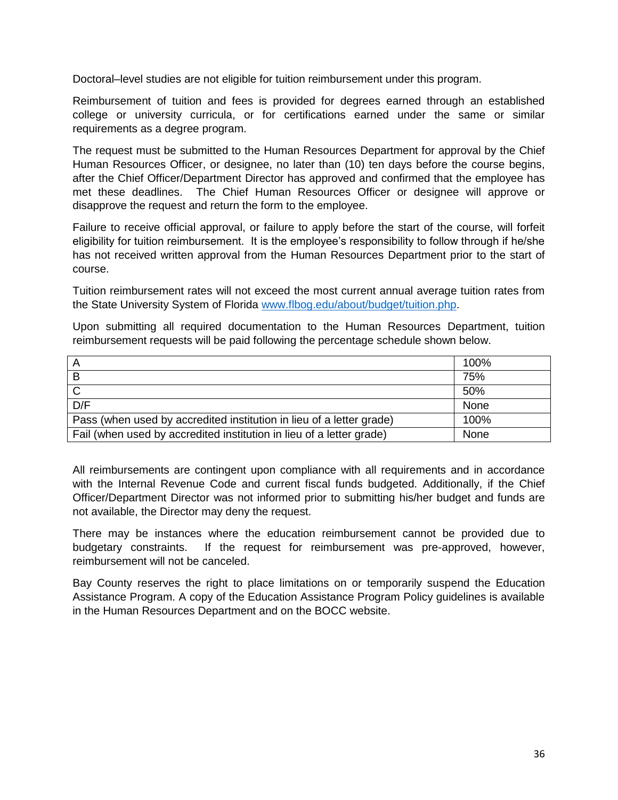Doctoral–level studies are not eligible for tuition reimbursement under this program.

Reimbursement of tuition and fees is provided for degrees earned through an established college or university curricula, or for certifications earned under the same or similar requirements as a degree program.

The request must be submitted to the Human Resources Department for approval by the Chief Human Resources Officer, or designee, no later than (10) ten days before the course begins, after the Chief Officer/Department Director has approved and confirmed that the employee has met these deadlines. The Chief Human Resources Officer or designee will approve or disapprove the request and return the form to the employee.

Failure to receive official approval, or failure to apply before the start of the course, will forfeit eligibility for tuition reimbursement. It is the employee's responsibility to follow through if he/she has not received written approval from the Human Resources Department prior to the start of course.

Tuition reimbursement rates will not exceed the most current annual average tuition rates from the State University System of Florida [www.flbog.edu/about/budget/tuition.php.](http://www.flbog.edu/about/budget/tuition.php)

Upon submitting all required documentation to the Human Resources Department, tuition reimbursement requests will be paid following the percentage schedule shown below.

|                                                                      | 100% |
|----------------------------------------------------------------------|------|
| B                                                                    | 75%  |
| $\mathsf{C}$                                                         | 50%  |
| D/F                                                                  | None |
| Pass (when used by accredited institution in lieu of a letter grade) | 100% |
| Fail (when used by accredited institution in lieu of a letter grade) | None |

All reimbursements are contingent upon compliance with all requirements and in accordance with the Internal Revenue Code and current fiscal funds budgeted. Additionally, if the Chief Officer/Department Director was not informed prior to submitting his/her budget and funds are not available, the Director may deny the request.

There may be instances where the education reimbursement cannot be provided due to budgetary constraints. If the request for reimbursement was pre-approved, however, reimbursement will not be canceled.

Bay County reserves the right to place limitations on or temporarily suspend the Education Assistance Program. A copy of the Education Assistance Program Policy guidelines is available in the Human Resources Department and on the BOCC website.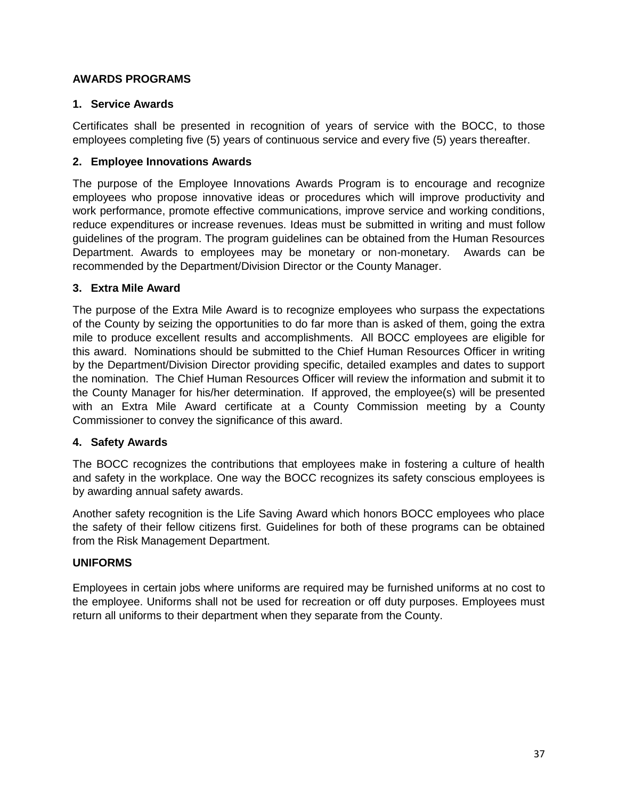## **AWARDS PROGRAMS**

## **1. Service Awards**

Certificates shall be presented in recognition of years of service with the BOCC, to those employees completing five (5) years of continuous service and every five (5) years thereafter.

## **2. Employee Innovations Awards**

The purpose of the Employee Innovations Awards Program is to encourage and recognize employees who propose innovative ideas or procedures which will improve productivity and work performance, promote effective communications, improve service and working conditions, reduce expenditures or increase revenues. Ideas must be submitted in writing and must follow guidelines of the program. The program guidelines can be obtained from the Human Resources Department. Awards to employees may be monetary or non-monetary. Awards can be recommended by the Department/Division Director or the County Manager.

## **3. Extra Mile Award**

The purpose of the Extra Mile Award is to recognize employees who surpass the expectations of the County by seizing the opportunities to do far more than is asked of them, going the extra mile to produce excellent results and accomplishments. All BOCC employees are eligible for this award. Nominations should be submitted to the Chief Human Resources Officer in writing by the Department/Division Director providing specific, detailed examples and dates to support the nomination. The Chief Human Resources Officer will review the information and submit it to the County Manager for his/her determination. If approved, the employee(s) will be presented with an Extra Mile Award certificate at a County Commission meeting by a County Commissioner to convey the significance of this award.

## **4. Safety Awards**

The BOCC recognizes the contributions that employees make in fostering a culture of health and safety in the workplace. One way the BOCC recognizes its safety conscious employees is by awarding annual safety awards.

Another safety recognition is the Life Saving Award which honors BOCC employees who place the safety of their fellow citizens first. Guidelines for both of these programs can be obtained from the Risk Management Department.

## **UNIFORMS**

Employees in certain jobs where uniforms are required may be furnished uniforms at no cost to the employee. Uniforms shall not be used for recreation or off duty purposes. Employees must return all uniforms to their department when they separate from the County.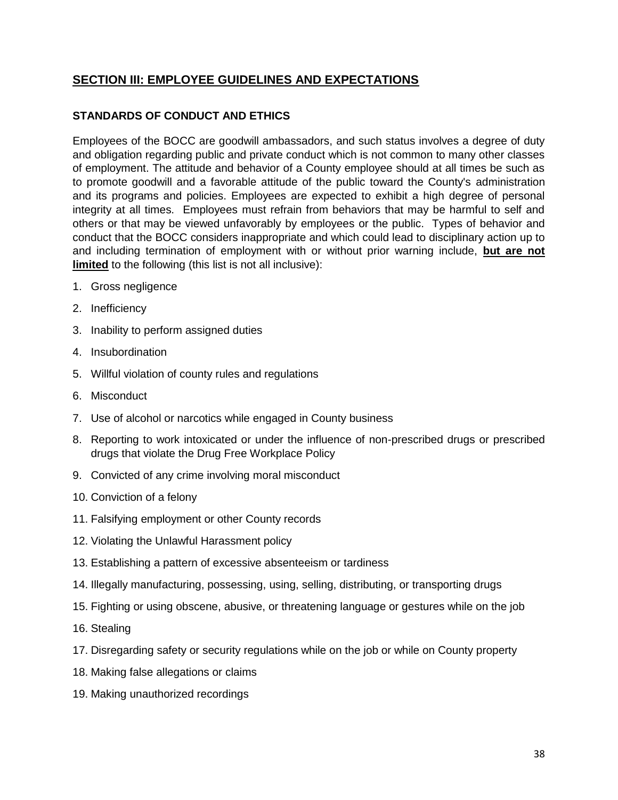# **SECTION III: EMPLOYEE GUIDELINES AND EXPECTATIONS**

## **STANDARDS OF CONDUCT AND ETHICS**

Employees of the BOCC are goodwill ambassadors, and such status involves a degree of duty and obligation regarding public and private conduct which is not common to many other classes of employment. The attitude and behavior of a County employee should at all times be such as to promote goodwill and a favorable attitude of the public toward the County's administration and its programs and policies. Employees are expected to exhibit a high degree of personal integrity at all times. Employees must refrain from behaviors that may be harmful to self and others or that may be viewed unfavorably by employees or the public. Types of behavior and conduct that the BOCC considers inappropriate and which could lead to disciplinary action up to and including termination of employment with or without prior warning include, **but are not limited** to the following (this list is not all inclusive):

- 1. Gross negligence
- 2. Inefficiency
- 3. Inability to perform assigned duties
- 4. Insubordination
- 5. Willful violation of county rules and regulations
- 6. Misconduct
- 7. Use of alcohol or narcotics while engaged in County business
- 8. Reporting to work intoxicated or under the influence of non-prescribed drugs or prescribed drugs that violate the Drug Free Workplace Policy
- 9. Convicted of any crime involving moral misconduct
- 10. Conviction of a felony
- 11. Falsifying employment or other County records
- 12. Violating the Unlawful Harassment policy
- 13. Establishing a pattern of excessive absenteeism or tardiness
- 14. Illegally manufacturing, possessing, using, selling, distributing, or transporting drugs
- 15. Fighting or using obscene, abusive, or threatening language or gestures while on the job
- 16. Stealing
- 17. Disregarding safety or security regulations while on the job or while on County property
- 18. Making false allegations or claims
- 19. Making unauthorized recordings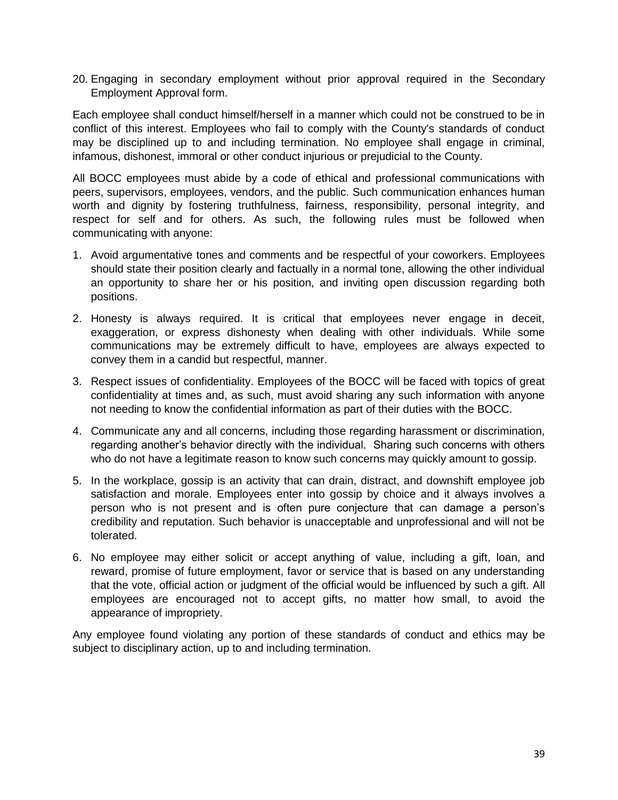20. Engaging in secondary employment without prior approval required in the Secondary Employment Approval form.

Each employee shall conduct himself/herself in a manner which could not be construed to be in conflict of this interest. Employees who fail to comply with the County's standards of conduct may be disciplined up to and including termination. No employee shall engage in criminal, infamous, dishonest, immoral or other conduct injurious or prejudicial to the County.

All BOCC employees must abide by a code of ethical and professional communications with peers, supervisors, employees, vendors, and the public. Such communication enhances human worth and dignity by fostering truthfulness, fairness, responsibility, personal integrity, and respect for self and for others. As such, the following rules must be followed when communicating with anyone:

- 1. Avoid argumentative tones and comments and be respectful of your coworkers. Employees should state their position clearly and factually in a normal tone, allowing the other individual an opportunity to share her or his position, and inviting open discussion regarding both positions.
- 2. Honesty is always required. It is critical that employees never engage in deceit, exaggeration, or express dishonesty when dealing with other individuals. While some communications may be extremely difficult to have, employees are always expected to convey them in a candid but respectful, manner.
- 3. Respect issues of confidentiality. Employees of the BOCC will be faced with topics of great confidentiality at times and, as such, must avoid sharing any such information with anyone not needing to know the confidential information as part of their duties with the BOCC.
- 4. Communicate any and all concerns, including those regarding harassment or discrimination, regarding another's behavior directly with the individual. Sharing such concerns with others who do not have a legitimate reason to know such concerns may quickly amount to gossip.
- 5. In the workplace, gossip is an activity that can drain, distract, and downshift employee job satisfaction and morale. Employees enter into gossip by choice and it always involves a person who is not present and is often pure conjecture that can damage a person's credibility and reputation. Such behavior is unacceptable and unprofessional and will not be tolerated.
- 6. No employee may either solicit or accept anything of value, including a gift, loan, and reward, promise of future employment, favor or service that is based on any understanding that the vote, official action or judgment of the official would be influenced by such a gift. All employees are encouraged not to accept gifts, no matter how small, to avoid the appearance of impropriety.

Any employee found violating any portion of these standards of conduct and ethics may be subject to disciplinary action, up to and including termination.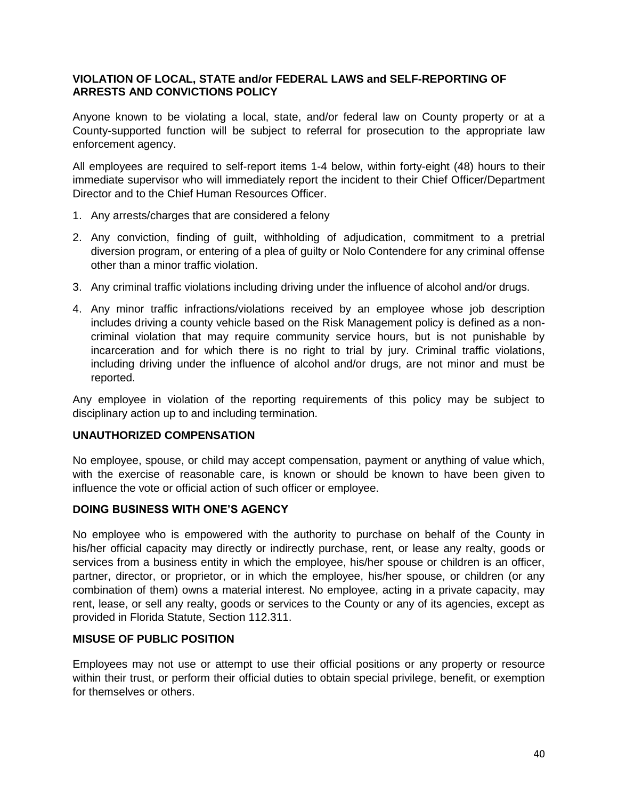## **VIOLATION OF LOCAL, STATE and/or FEDERAL LAWS and SELF-REPORTING OF ARRESTS AND CONVICTIONS POLICY**

Anyone known to be violating a local, state, and/or federal law on County property or at a County-supported function will be subject to referral for prosecution to the appropriate law enforcement agency.

All employees are required to self-report items 1-4 below, within forty-eight (48) hours to their immediate supervisor who will immediately report the incident to their Chief Officer/Department Director and to the Chief Human Resources Officer.

- 1. Any arrests/charges that are considered a felony
- 2. Any conviction, finding of guilt, withholding of adjudication, commitment to a pretrial diversion program, or entering of a plea of guilty or Nolo Contendere for any criminal offense other than a minor traffic violation.
- 3. Any criminal traffic violations including driving under the influence of alcohol and/or drugs.
- 4. Any minor traffic infractions/violations received by an employee whose job description includes driving a county vehicle based on the Risk Management policy is defined as a noncriminal violation that may require community service hours, but is not punishable by incarceration and for which there is no right to trial by jury. Criminal traffic violations, including driving under the influence of alcohol and/or drugs, are not minor and must be reported.

Any employee in violation of the reporting requirements of this policy may be subject to disciplinary action up to and including termination.

#### **UNAUTHORIZED COMPENSATION**

No employee, spouse, or child may accept compensation, payment or anything of value which, with the exercise of reasonable care, is known or should be known to have been given to influence the vote or official action of such officer or employee.

#### **DOING BUSINESS WITH ONE'S AGENCY**

No employee who is empowered with the authority to purchase on behalf of the County in his/her official capacity may directly or indirectly purchase, rent, or lease any realty, goods or services from a business entity in which the employee, his/her spouse or children is an officer, partner, director, or proprietor, or in which the employee, his/her spouse, or children (or any combination of them) owns a material interest. No employee, acting in a private capacity, may rent, lease, or sell any realty, goods or services to the County or any of its agencies, except as provided in Florida Statute, Section 112.311.

## **MISUSE OF PUBLIC POSITION**

Employees may not use or attempt to use their official positions or any property or resource within their trust, or perform their official duties to obtain special privilege, benefit, or exemption for themselves or others.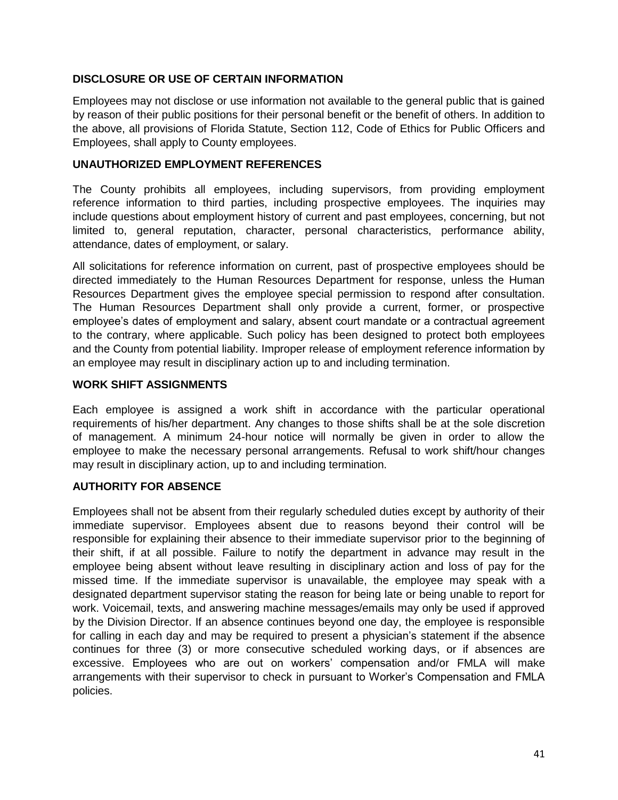## **DISCLOSURE OR USE OF CERTAIN INFORMATION**

Employees may not disclose or use information not available to the general public that is gained by reason of their public positions for their personal benefit or the benefit of others. In addition to the above, all provisions of Florida Statute, Section 112, Code of Ethics for Public Officers and Employees, shall apply to County employees.

## **UNAUTHORIZED EMPLOYMENT REFERENCES**

The County prohibits all employees, including supervisors, from providing employment reference information to third parties, including prospective employees. The inquiries may include questions about employment history of current and past employees, concerning, but not limited to, general reputation, character, personal characteristics, performance ability, attendance, dates of employment, or salary.

All solicitations for reference information on current, past of prospective employees should be directed immediately to the Human Resources Department for response, unless the Human Resources Department gives the employee special permission to respond after consultation. The Human Resources Department shall only provide a current, former, or prospective employee's dates of employment and salary, absent court mandate or a contractual agreement to the contrary, where applicable. Such policy has been designed to protect both employees and the County from potential liability. Improper release of employment reference information by an employee may result in disciplinary action up to and including termination.

### **WORK SHIFT ASSIGNMENTS**

Each employee is assigned a work shift in accordance with the particular operational requirements of his/her department. Any changes to those shifts shall be at the sole discretion of management. A minimum 24-hour notice will normally be given in order to allow the employee to make the necessary personal arrangements. Refusal to work shift/hour changes may result in disciplinary action, up to and including termination.

## **AUTHORITY FOR ABSENCE**

Employees shall not be absent from their regularly scheduled duties except by authority of their immediate supervisor. Employees absent due to reasons beyond their control will be responsible for explaining their absence to their immediate supervisor prior to the beginning of their shift, if at all possible. Failure to notify the department in advance may result in the employee being absent without leave resulting in disciplinary action and loss of pay for the missed time. If the immediate supervisor is unavailable, the employee may speak with a designated department supervisor stating the reason for being late or being unable to report for work. Voicemail, texts, and answering machine messages/emails may only be used if approved by the Division Director. If an absence continues beyond one day, the employee is responsible for calling in each day and may be required to present a physician's statement if the absence continues for three (3) or more consecutive scheduled working days, or if absences are excessive. Employees who are out on workers' compensation and/or FMLA will make arrangements with their supervisor to check in pursuant to Worker's Compensation and FMLA policies.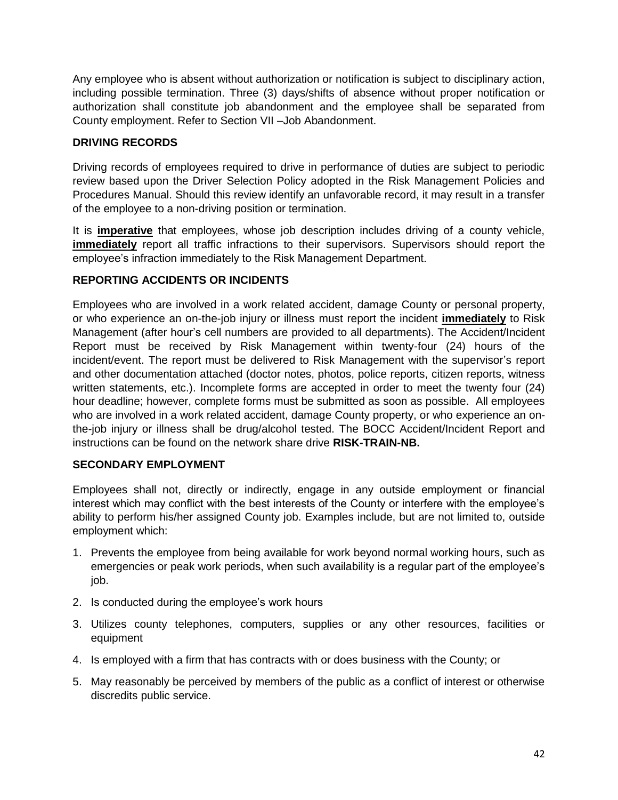Any employee who is absent without authorization or notification is subject to disciplinary action, including possible termination. Three (3) days/shifts of absence without proper notification or authorization shall constitute job abandonment and the employee shall be separated from County employment. Refer to Section VII –Job Abandonment.

## **DRIVING RECORDS**

Driving records of employees required to drive in performance of duties are subject to periodic review based upon the Driver Selection Policy adopted in the Risk Management Policies and Procedures Manual. Should this review identify an unfavorable record, it may result in a transfer of the employee to a non-driving position or termination.

It is **imperative** that employees, whose job description includes driving of a county vehicle, **immediately** report all traffic infractions to their supervisors. Supervisors should report the employee's infraction immediately to the Risk Management Department.

## **REPORTING ACCIDENTS OR INCIDENTS**

Employees who are involved in a work related accident, damage County or personal property, or who experience an on-the-job injury or illness must report the incident **immediately** to Risk Management (after hour's cell numbers are provided to all departments). The Accident/Incident Report must be received by Risk Management within twenty-four (24) hours of the incident/event. The report must be delivered to Risk Management with the supervisor's report and other documentation attached (doctor notes, photos, police reports, citizen reports, witness written statements, etc.). Incomplete forms are accepted in order to meet the twenty four (24) hour deadline; however, complete forms must be submitted as soon as possible. All employees who are involved in a work related accident, damage County property, or who experience an onthe-job injury or illness shall be drug/alcohol tested. The BOCC Accident/Incident Report and instructions can be found on the network share drive **RISK-TRAIN-NB.**

## **SECONDARY EMPLOYMENT**

Employees shall not, directly or indirectly, engage in any outside employment or financial interest which may conflict with the best interests of the County or interfere with the employee's ability to perform his/her assigned County job. Examples include, but are not limited to, outside employment which:

- 1. Prevents the employee from being available for work beyond normal working hours, such as emergencies or peak work periods, when such availability is a regular part of the employee's job.
- 2. Is conducted during the employee's work hours
- 3. Utilizes county telephones, computers, supplies or any other resources, facilities or equipment
- 4. Is employed with a firm that has contracts with or does business with the County; or
- 5. May reasonably be perceived by members of the public as a conflict of interest or otherwise discredits public service.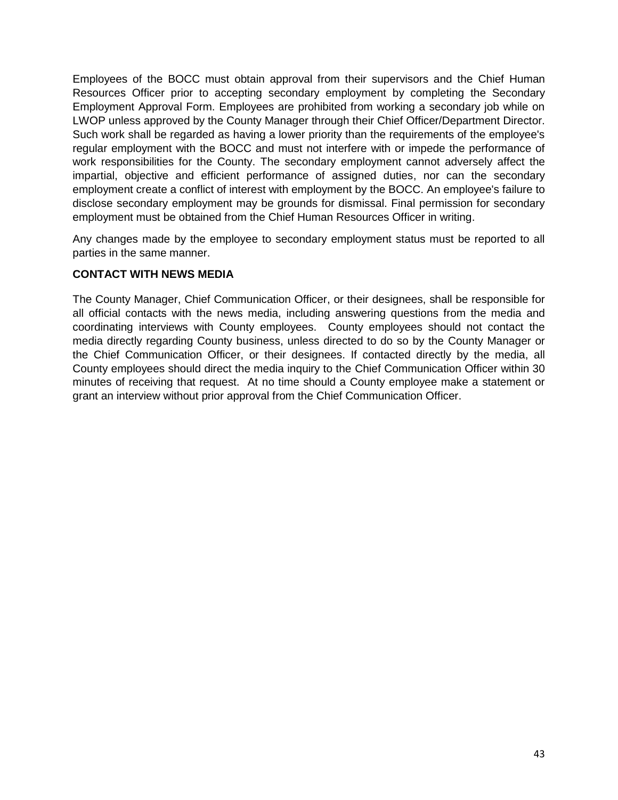Employees of the BOCC must obtain approval from their supervisors and the Chief Human Resources Officer prior to accepting secondary employment by completing the Secondary Employment Approval Form. Employees are prohibited from working a secondary job while on LWOP unless approved by the County Manager through their Chief Officer/Department Director. Such work shall be regarded as having a lower priority than the requirements of the employee's regular employment with the BOCC and must not interfere with or impede the performance of work responsibilities for the County. The secondary employment cannot adversely affect the impartial, objective and efficient performance of assigned duties, nor can the secondary employment create a conflict of interest with employment by the BOCC. An employee's failure to disclose secondary employment may be grounds for dismissal. Final permission for secondary employment must be obtained from the Chief Human Resources Officer in writing.

Any changes made by the employee to secondary employment status must be reported to all parties in the same manner.

## **CONTACT WITH NEWS MEDIA**

The County Manager, Chief Communication Officer, or their designees, shall be responsible for all official contacts with the news media, including answering questions from the media and coordinating interviews with County employees. County employees should not contact the media directly regarding County business, unless directed to do so by the County Manager or the Chief Communication Officer, or their designees. If contacted directly by the media, all County employees should direct the media inquiry to the Chief Communication Officer within 30 minutes of receiving that request. At no time should a County employee make a statement or grant an interview without prior approval from the Chief Communication Officer.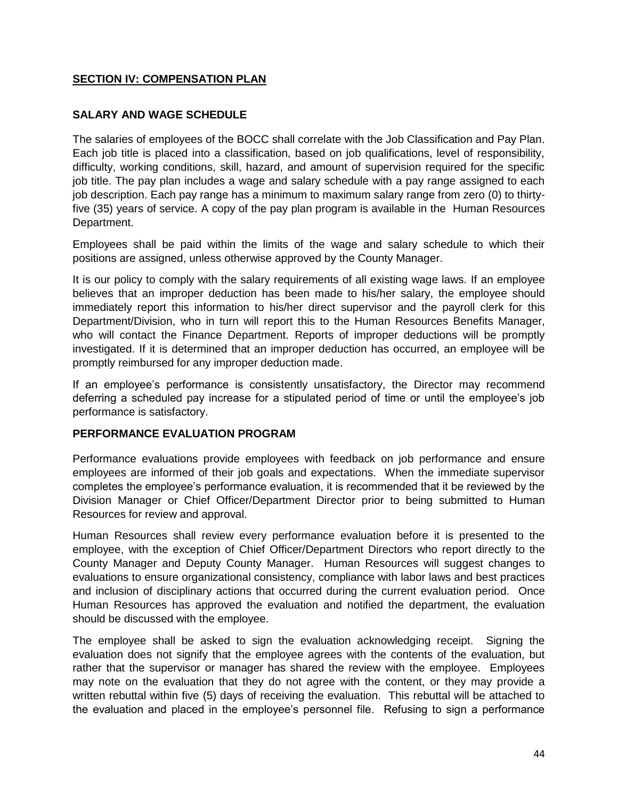## **SECTION IV: COMPENSATION PLAN**

## **SALARY AND WAGE SCHEDULE**

The salaries of employees of the BOCC shall correlate with the Job Classification and Pay Plan. Each job title is placed into a classification, based on job qualifications, level of responsibility, difficulty, working conditions, skill, hazard, and amount of supervision required for the specific job title. The pay plan includes a wage and salary schedule with a pay range assigned to each job description. Each pay range has a minimum to maximum salary range from zero (0) to thirtyfive (35) years of service. A copy of the pay plan program is available in the Human Resources Department.

Employees shall be paid within the limits of the wage and salary schedule to which their positions are assigned, unless otherwise approved by the County Manager.

It is our policy to comply with the salary requirements of all existing wage laws. If an employee believes that an improper deduction has been made to his/her salary, the employee should immediately report this information to his/her direct supervisor and the payroll clerk for this Department/Division, who in turn will report this to the Human Resources Benefits Manager, who will contact the Finance Department. Reports of improper deductions will be promptly investigated. If it is determined that an improper deduction has occurred, an employee will be promptly reimbursed for any improper deduction made.

If an employee's performance is consistently unsatisfactory, the Director may recommend deferring a scheduled pay increase for a stipulated period of time or until the employee's job performance is satisfactory.

## **PERFORMANCE EVALUATION PROGRAM**

Performance evaluations provide employees with feedback on job performance and ensure employees are informed of their job goals and expectations. When the immediate supervisor completes the employee's performance evaluation, it is recommended that it be reviewed by the Division Manager or Chief Officer/Department Director prior to being submitted to Human Resources for review and approval.

Human Resources shall review every performance evaluation before it is presented to the employee, with the exception of Chief Officer/Department Directors who report directly to the County Manager and Deputy County Manager. Human Resources will suggest changes to evaluations to ensure organizational consistency, compliance with labor laws and best practices and inclusion of disciplinary actions that occurred during the current evaluation period. Once Human Resources has approved the evaluation and notified the department, the evaluation should be discussed with the employee.

The employee shall be asked to sign the evaluation acknowledging receipt. Signing the evaluation does not signify that the employee agrees with the contents of the evaluation, but rather that the supervisor or manager has shared the review with the employee. Employees may note on the evaluation that they do not agree with the content, or they may provide a written rebuttal within five (5) days of receiving the evaluation. This rebuttal will be attached to the evaluation and placed in the employee's personnel file. Refusing to sign a performance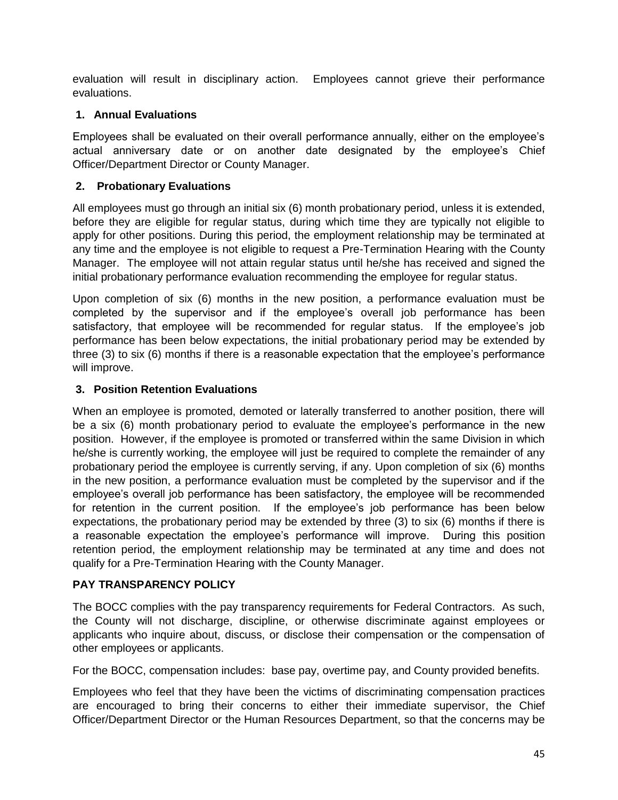evaluation will result in disciplinary action. Employees cannot grieve their performance evaluations.

# **1. Annual Evaluations**

Employees shall be evaluated on their overall performance annually, either on the employee's actual anniversary date or on another date designated by the employee's Chief Officer/Department Director or County Manager.

# **2. Probationary Evaluations**

All employees must go through an initial six (6) month probationary period, unless it is extended, before they are eligible for regular status, during which time they are typically not eligible to apply for other positions. During this period, the employment relationship may be terminated at any time and the employee is not eligible to request a Pre-Termination Hearing with the County Manager. The employee will not attain regular status until he/she has received and signed the initial probationary performance evaluation recommending the employee for regular status.

Upon completion of six (6) months in the new position, a performance evaluation must be completed by the supervisor and if the employee's overall job performance has been satisfactory, that employee will be recommended for regular status. If the employee's job performance has been below expectations, the initial probationary period may be extended by three (3) to six (6) months if there is a reasonable expectation that the employee's performance will improve.

# **3. Position Retention Evaluations**

When an employee is promoted, demoted or laterally transferred to another position, there will be a six (6) month probationary period to evaluate the employee's performance in the new position. However, if the employee is promoted or transferred within the same Division in which he/she is currently working, the employee will just be required to complete the remainder of any probationary period the employee is currently serving, if any. Upon completion of six (6) months in the new position, a performance evaluation must be completed by the supervisor and if the employee's overall job performance has been satisfactory, the employee will be recommended for retention in the current position. If the employee's job performance has been below expectations, the probationary period may be extended by three (3) to six (6) months if there is a reasonable expectation the employee's performance will improve. During this position retention period, the employment relationship may be terminated at any time and does not qualify for a Pre-Termination Hearing with the County Manager.

## **PAY TRANSPARENCY POLICY**

The BOCC complies with the pay transparency requirements for Federal Contractors. As such, the County will not discharge, discipline, or otherwise discriminate against employees or applicants who inquire about, discuss, or disclose their compensation or the compensation of other employees or applicants.

For the BOCC, compensation includes: base pay, overtime pay, and County provided benefits.

Employees who feel that they have been the victims of discriminating compensation practices are encouraged to bring their concerns to either their immediate supervisor, the Chief Officer/Department Director or the Human Resources Department, so that the concerns may be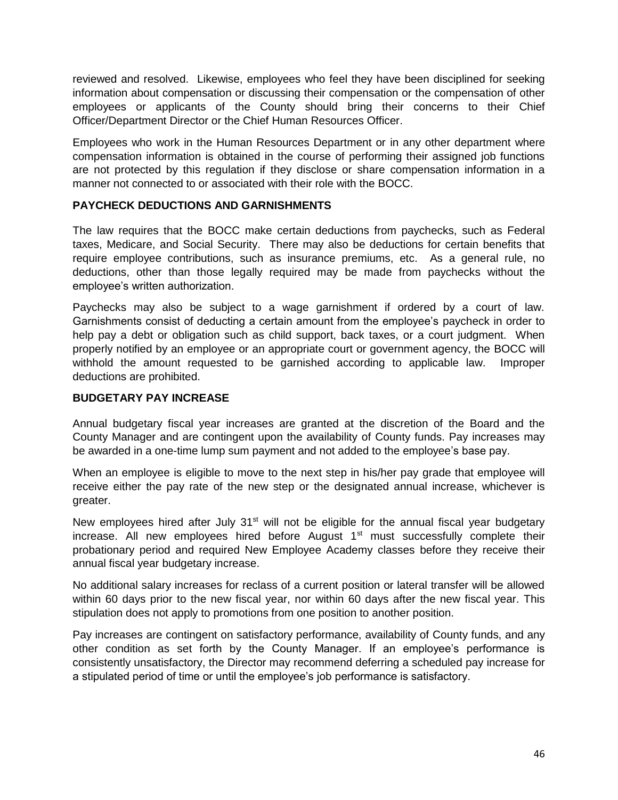reviewed and resolved. Likewise, employees who feel they have been disciplined for seeking information about compensation or discussing their compensation or the compensation of other employees or applicants of the County should bring their concerns to their Chief Officer/Department Director or the Chief Human Resources Officer.

Employees who work in the Human Resources Department or in any other department where compensation information is obtained in the course of performing their assigned job functions are not protected by this regulation if they disclose or share compensation information in a manner not connected to or associated with their role with the BOCC.

## **PAYCHECK DEDUCTIONS AND GARNISHMENTS**

The law requires that the BOCC make certain deductions from paychecks, such as Federal taxes, Medicare, and Social Security. There may also be deductions for certain benefits that require employee contributions, such as insurance premiums, etc. As a general rule, no deductions, other than those legally required may be made from paychecks without the employee's written authorization.

Paychecks may also be subject to a wage garnishment if ordered by a court of law. Garnishments consist of deducting a certain amount from the employee's paycheck in order to help pay a debt or obligation such as child support, back taxes, or a court judgment. When properly notified by an employee or an appropriate court or government agency, the BOCC will withhold the amount requested to be garnished according to applicable law. Improper deductions are prohibited.

### **BUDGETARY PAY INCREASE**

Annual budgetary fiscal year increases are granted at the discretion of the Board and the County Manager and are contingent upon the availability of County funds. Pay increases may be awarded in a one-time lump sum payment and not added to the employee's base pay.

When an employee is eligible to move to the next step in his/her pay grade that employee will receive either the pay rate of the new step or the designated annual increase, whichever is greater.

New employees hired after July  $31<sup>st</sup>$  will not be eligible for the annual fiscal year budgetary increase. All new employees hired before August  $1<sup>st</sup>$  must successfully complete their probationary period and required New Employee Academy classes before they receive their annual fiscal year budgetary increase.

No additional salary increases for reclass of a current position or lateral transfer will be allowed within 60 days prior to the new fiscal year, nor within 60 days after the new fiscal year. This stipulation does not apply to promotions from one position to another position.

Pay increases are contingent on satisfactory performance, availability of County funds, and any other condition as set forth by the County Manager. If an employee's performance is consistently unsatisfactory, the Director may recommend deferring a scheduled pay increase for a stipulated period of time or until the employee's job performance is satisfactory.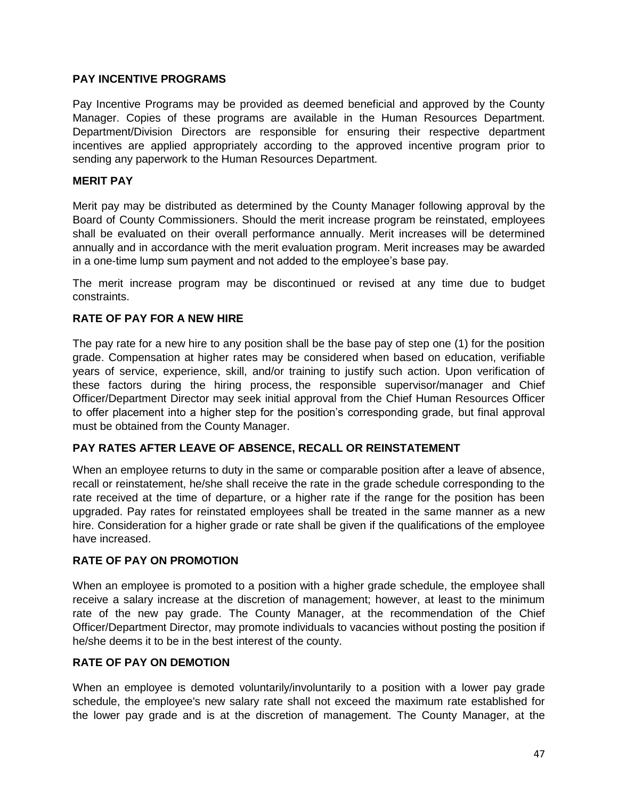## **PAY INCENTIVE PROGRAMS**

Pay Incentive Programs may be provided as deemed beneficial and approved by the County Manager. Copies of these programs are available in the Human Resources Department. Department/Division Directors are responsible for ensuring their respective department incentives are applied appropriately according to the approved incentive program prior to sending any paperwork to the Human Resources Department.

## **MERIT PAY**

Merit pay may be distributed as determined by the County Manager following approval by the Board of County Commissioners. Should the merit increase program be reinstated, employees shall be evaluated on their overall performance annually. Merit increases will be determined annually and in accordance with the merit evaluation program. Merit increases may be awarded in a one-time lump sum payment and not added to the employee's base pay.

The merit increase program may be discontinued or revised at any time due to budget constraints.

## **RATE OF PAY FOR A NEW HIRE**

The pay rate for a new hire to any position shall be the base pay of step one (1) for the position grade. Compensation at higher rates may be considered when based on education, verifiable years of service, experience, skill, and/or training to justify such action. Upon verification of these factors during the hiring process, the responsible supervisor/manager and Chief Officer/Department Director may seek initial approval from the Chief Human Resources Officer to offer placement into a higher step for the position's corresponding grade, but final approval must be obtained from the County Manager.

## **PAY RATES AFTER LEAVE OF ABSENCE, RECALL OR REINSTATEMENT**

When an employee returns to duty in the same or comparable position after a leave of absence, recall or reinstatement, he/she shall receive the rate in the grade schedule corresponding to the rate received at the time of departure, or a higher rate if the range for the position has been upgraded. Pay rates for reinstated employees shall be treated in the same manner as a new hire. Consideration for a higher grade or rate shall be given if the qualifications of the employee have increased.

## **RATE OF PAY ON PROMOTION**

When an employee is promoted to a position with a higher grade schedule, the employee shall receive a salary increase at the discretion of management; however, at least to the minimum rate of the new pay grade. The County Manager, at the recommendation of the Chief Officer/Department Director, may promote individuals to vacancies without posting the position if he/she deems it to be in the best interest of the county.

## **RATE OF PAY ON DEMOTION**

When an employee is demoted voluntarily/involuntarily to a position with a lower pay grade schedule, the employee's new salary rate shall not exceed the maximum rate established for the lower pay grade and is at the discretion of management. The County Manager, at the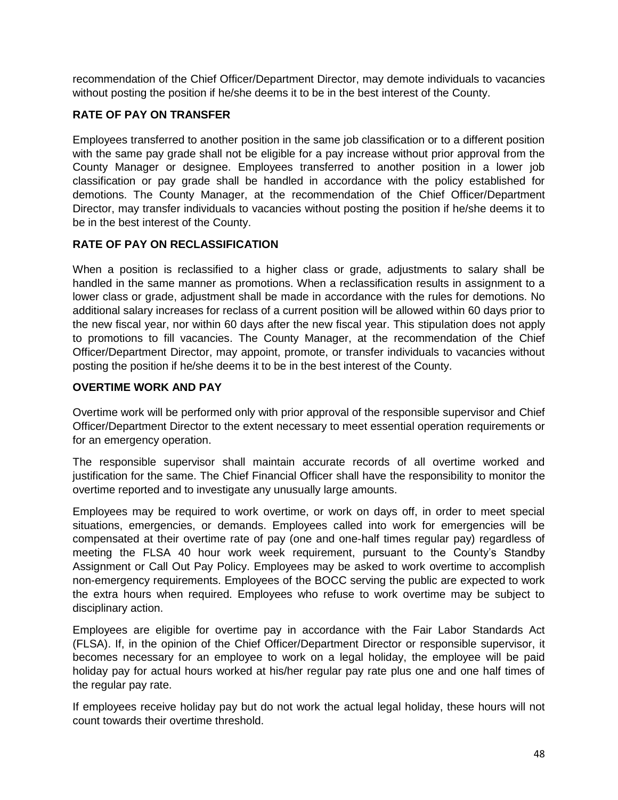recommendation of the Chief Officer/Department Director, may demote individuals to vacancies without posting the position if he/she deems it to be in the best interest of the County.

## **RATE OF PAY ON TRANSFER**

Employees transferred to another position in the same job classification or to a different position with the same pay grade shall not be eligible for a pay increase without prior approval from the County Manager or designee. Employees transferred to another position in a lower job classification or pay grade shall be handled in accordance with the policy established for demotions. The County Manager, at the recommendation of the Chief Officer/Department Director, may transfer individuals to vacancies without posting the position if he/she deems it to be in the best interest of the County.

## **RATE OF PAY ON RECLASSIFICATION**

When a position is reclassified to a higher class or grade, adjustments to salary shall be handled in the same manner as promotions. When a reclassification results in assignment to a lower class or grade, adjustment shall be made in accordance with the rules for demotions. No additional salary increases for reclass of a current position will be allowed within 60 days prior to the new fiscal year, nor within 60 days after the new fiscal year. This stipulation does not apply to promotions to fill vacancies. The County Manager, at the recommendation of the Chief Officer/Department Director, may appoint, promote, or transfer individuals to vacancies without posting the position if he/she deems it to be in the best interest of the County.

## **OVERTIME WORK AND PAY**

Overtime work will be performed only with prior approval of the responsible supervisor and Chief Officer/Department Director to the extent necessary to meet essential operation requirements or for an emergency operation.

The responsible supervisor shall maintain accurate records of all overtime worked and justification for the same. The Chief Financial Officer shall have the responsibility to monitor the overtime reported and to investigate any unusually large amounts.

Employees may be required to work overtime, or work on days off, in order to meet special situations, emergencies, or demands. Employees called into work for emergencies will be compensated at their overtime rate of pay (one and one-half times regular pay) regardless of meeting the FLSA 40 hour work week requirement, pursuant to the County's Standby Assignment or Call Out Pay Policy. Employees may be asked to work overtime to accomplish non-emergency requirements. Employees of the BOCC serving the public are expected to work the extra hours when required. Employees who refuse to work overtime may be subject to disciplinary action.

Employees are eligible for overtime pay in accordance with the Fair Labor Standards Act (FLSA). If, in the opinion of the Chief Officer/Department Director or responsible supervisor, it becomes necessary for an employee to work on a legal holiday, the employee will be paid holiday pay for actual hours worked at his/her regular pay rate plus one and one half times of the regular pay rate.

If employees receive holiday pay but do not work the actual legal holiday, these hours will not count towards their overtime threshold.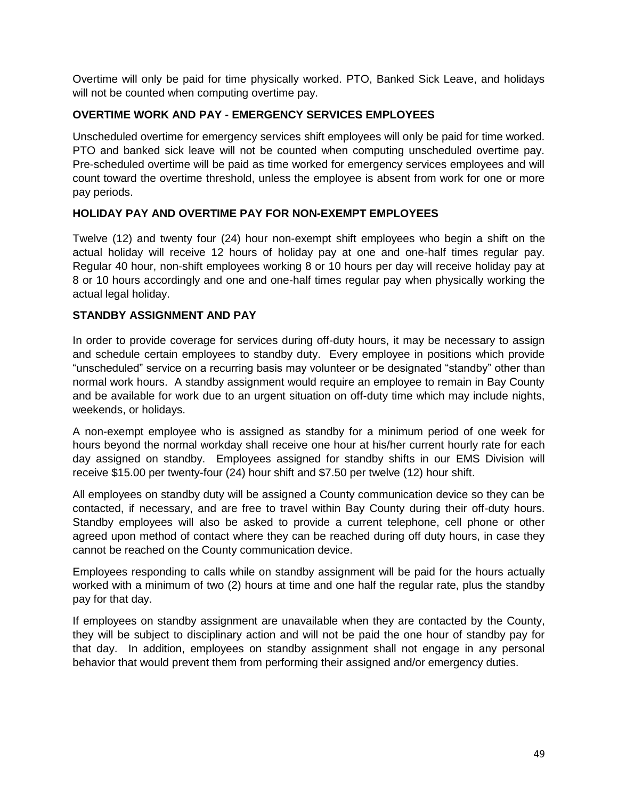Overtime will only be paid for time physically worked. PTO, Banked Sick Leave, and holidays will not be counted when computing overtime pay.

## **OVERTIME WORK AND PAY - EMERGENCY SERVICES EMPLOYEES**

Unscheduled overtime for emergency services shift employees will only be paid for time worked. PTO and banked sick leave will not be counted when computing unscheduled overtime pay. Pre-scheduled overtime will be paid as time worked for emergency services employees and will count toward the overtime threshold, unless the employee is absent from work for one or more pay periods.

## **HOLIDAY PAY AND OVERTIME PAY FOR NON-EXEMPT EMPLOYEES**

Twelve (12) and twenty four (24) hour non-exempt shift employees who begin a shift on the actual holiday will receive 12 hours of holiday pay at one and one-half times regular pay. Regular 40 hour, non-shift employees working 8 or 10 hours per day will receive holiday pay at 8 or 10 hours accordingly and one and one-half times regular pay when physically working the actual legal holiday.

## **STANDBY ASSIGNMENT AND PAY**

In order to provide coverage for services during off-duty hours, it may be necessary to assign and schedule certain employees to standby duty. Every employee in positions which provide "unscheduled" service on a recurring basis may volunteer or be designated "standby" other than normal work hours. A standby assignment would require an employee to remain in Bay County and be available for work due to an urgent situation on off-duty time which may include nights, weekends, or holidays.

A non-exempt employee who is assigned as standby for a minimum period of one week for hours beyond the normal workday shall receive one hour at his/her current hourly rate for each day assigned on standby. Employees assigned for standby shifts in our EMS Division will receive \$15.00 per twenty-four (24) hour shift and \$7.50 per twelve (12) hour shift.

All employees on standby duty will be assigned a County communication device so they can be contacted, if necessary, and are free to travel within Bay County during their off-duty hours. Standby employees will also be asked to provide a current telephone, cell phone or other agreed upon method of contact where they can be reached during off duty hours, in case they cannot be reached on the County communication device.

Employees responding to calls while on standby assignment will be paid for the hours actually worked with a minimum of two (2) hours at time and one half the regular rate, plus the standby pay for that day.

If employees on standby assignment are unavailable when they are contacted by the County, they will be subject to disciplinary action and will not be paid the one hour of standby pay for that day. In addition, employees on standby assignment shall not engage in any personal behavior that would prevent them from performing their assigned and/or emergency duties.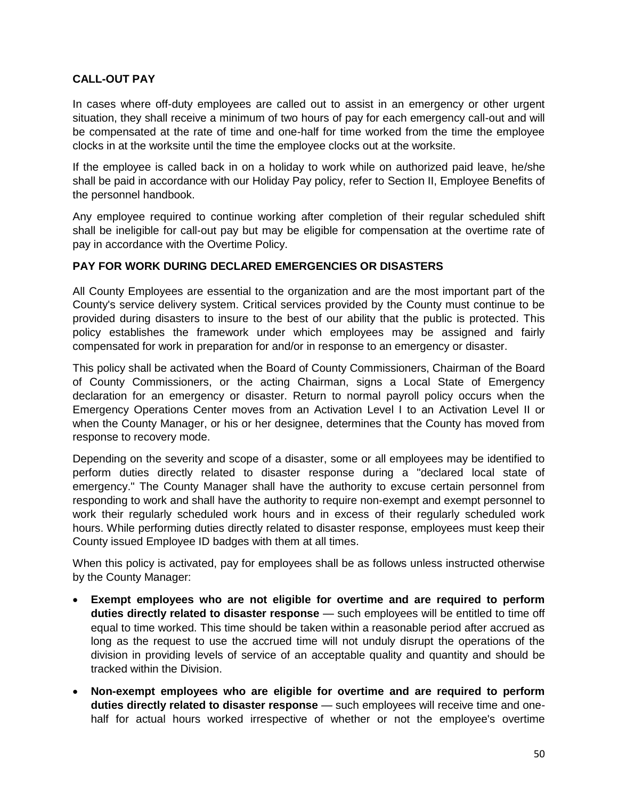## **CALL-OUT PAY**

In cases where off-duty employees are called out to assist in an emergency or other urgent situation, they shall receive a minimum of two hours of pay for each emergency call-out and will be compensated at the rate of time and one-half for time worked from the time the employee clocks in at the worksite until the time the employee clocks out at the worksite.

If the employee is called back in on a holiday to work while on authorized paid leave, he/she shall be paid in accordance with our Holiday Pay policy, refer to Section II, Employee Benefits of the personnel handbook.

Any employee required to continue working after completion of their regular scheduled shift shall be ineligible for call-out pay but may be eligible for compensation at the overtime rate of pay in accordance with the Overtime Policy.

## **PAY FOR WORK DURING DECLARED EMERGENCIES OR DISASTERS**

All County Employees are essential to the organization and are the most important part of the County's service delivery system. Critical services provided by the County must continue to be provided during disasters to insure to the best of our ability that the public is protected. This policy establishes the framework under which employees may be assigned and fairly compensated for work in preparation for and/or in response to an emergency or disaster.

This policy shall be activated when the Board of County Commissioners, Chairman of the Board of County Commissioners, or the acting Chairman, signs a Local State of Emergency declaration for an emergency or disaster. Return to normal payroll policy occurs when the Emergency Operations Center moves from an Activation Level I to an Activation Level II or when the County Manager, or his or her designee, determines that the County has moved from response to recovery mode.

Depending on the severity and scope of a disaster, some or all employees may be identified to perform duties directly related to disaster response during a "declared local state of emergency." The County Manager shall have the authority to excuse certain personnel from responding to work and shall have the authority to require non-exempt and exempt personnel to work their regularly scheduled work hours and in excess of their regularly scheduled work hours. While performing duties directly related to disaster response, employees must keep their County issued Employee ID badges with them at all times.

When this policy is activated, pay for employees shall be as follows unless instructed otherwise by the County Manager:

- **Exempt employees who are not eligible for overtime and are required to perform duties directly related to disaster response** — such employees will be entitled to time off equal to time worked. This time should be taken within a reasonable period after accrued as long as the request to use the accrued time will not unduly disrupt the operations of the division in providing levels of service of an acceptable quality and quantity and should be tracked within the Division.
- **Non-exempt employees who are eligible for overtime and are required to perform duties directly related to disaster response** — such employees will receive time and onehalf for actual hours worked irrespective of whether or not the employee's overtime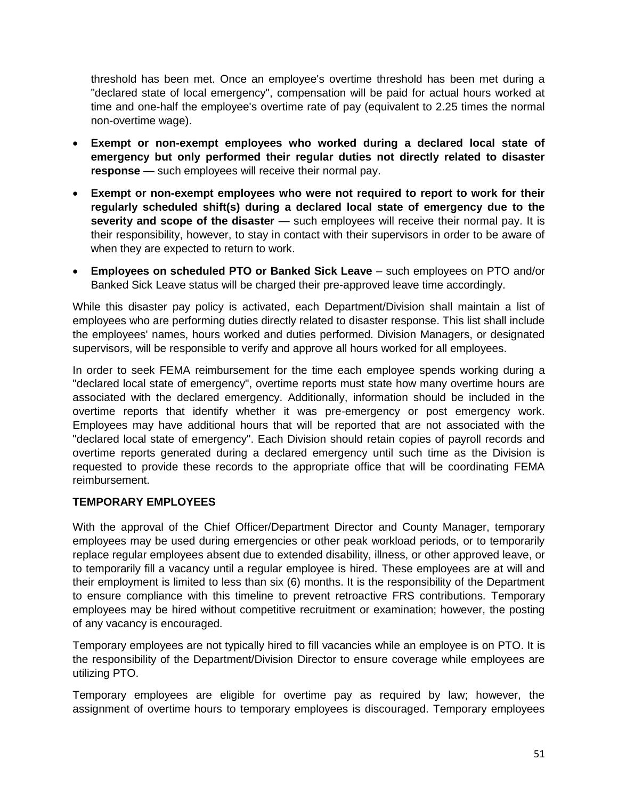threshold has been met. Once an employee's overtime threshold has been met during a "declared state of local emergency", compensation will be paid for actual hours worked at time and one-half the employee's overtime rate of pay (equivalent to 2.25 times the normal non-overtime wage).

- **Exempt or non-exempt employees who worked during a declared local state of emergency but only performed their regular duties not directly related to disaster response** — such employees will receive their normal pay.
- **Exempt or non-exempt employees who were not required to report to work for their regularly scheduled shift(s) during a declared local state of emergency due to the severity and scope of the disaster** — such employees will receive their normal pay. It is their responsibility, however, to stay in contact with their supervisors in order to be aware of when they are expected to return to work.
- **Employees on scheduled PTO or Banked Sick Leave** such employees on PTO and/or Banked Sick Leave status will be charged their pre-approved leave time accordingly.

While this disaster pay policy is activated, each Department/Division shall maintain a list of employees who are performing duties directly related to disaster response. This list shall include the employees' names, hours worked and duties performed. Division Managers, or designated supervisors, will be responsible to verify and approve all hours worked for all employees.

In order to seek FEMA reimbursement for the time each employee spends working during a "declared local state of emergency", overtime reports must state how many overtime hours are associated with the declared emergency. Additionally, information should be included in the overtime reports that identify whether it was pre-emergency or post emergency work. Employees may have additional hours that will be reported that are not associated with the "declared local state of emergency". Each Division should retain copies of payroll records and overtime reports generated during a declared emergency until such time as the Division is requested to provide these records to the appropriate office that will be coordinating FEMA reimbursement.

## **TEMPORARY EMPLOYEES**

With the approval of the Chief Officer/Department Director and County Manager, temporary employees may be used during emergencies or other peak workload periods, or to temporarily replace regular employees absent due to extended disability, illness, or other approved leave, or to temporarily fill a vacancy until a regular employee is hired. These employees are at will and their employment is limited to less than six (6) months. It is the responsibility of the Department to ensure compliance with this timeline to prevent retroactive FRS contributions. Temporary employees may be hired without competitive recruitment or examination; however, the posting of any vacancy is encouraged.

Temporary employees are not typically hired to fill vacancies while an employee is on PTO. It is the responsibility of the Department/Division Director to ensure coverage while employees are utilizing PTO.

Temporary employees are eligible for overtime pay as required by law; however, the assignment of overtime hours to temporary employees is discouraged. Temporary employees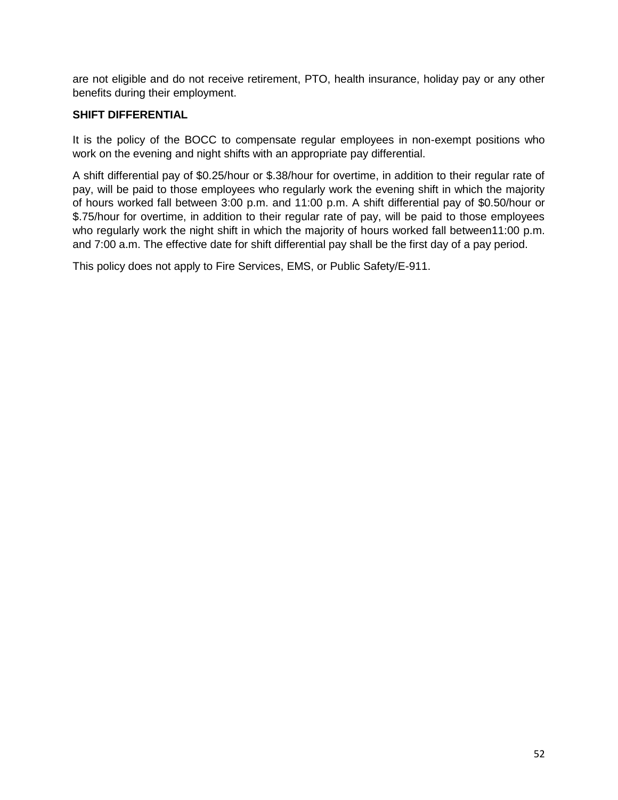are not eligible and do not receive retirement, PTO, health insurance, holiday pay or any other benefits during their employment.

## **SHIFT DIFFERENTIAL**

It is the policy of the BOCC to compensate regular employees in non-exempt positions who work on the evening and night shifts with an appropriate pay differential.

A shift differential pay of \$0.25/hour or \$.38/hour for overtime, in addition to their regular rate of pay, will be paid to those employees who regularly work the evening shift in which the majority of hours worked fall between 3:00 p.m. and 11:00 p.m. A shift differential pay of \$0.50/hour or \$.75/hour for overtime, in addition to their regular rate of pay, will be paid to those employees who regularly work the night shift in which the majority of hours worked fall between11:00 p.m. and 7:00 a.m. The effective date for shift differential pay shall be the first day of a pay period.

This policy does not apply to Fire Services, EMS, or Public Safety/E-911.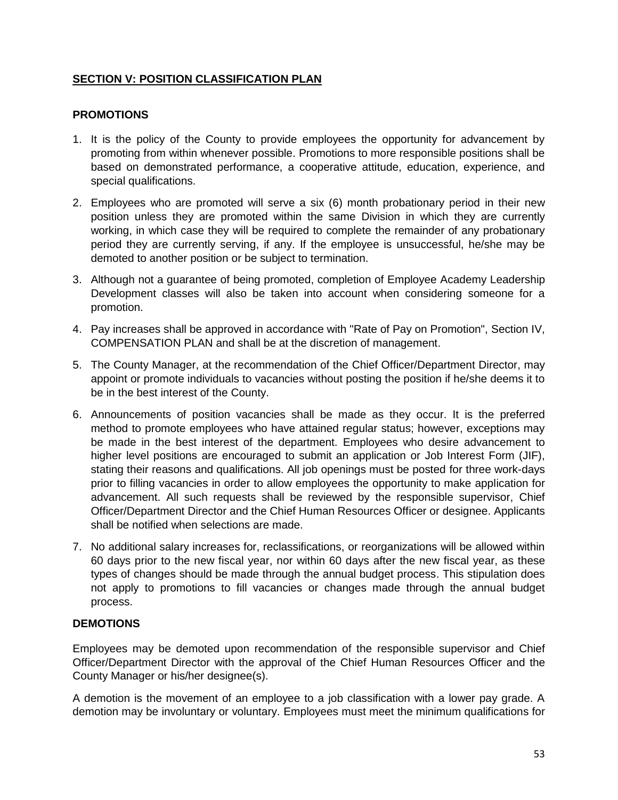## **SECTION V: POSITION CLASSIFICATION PLAN**

## **PROMOTIONS**

- 1. It is the policy of the County to provide employees the opportunity for advancement by promoting from within whenever possible. Promotions to more responsible positions shall be based on demonstrated performance, a cooperative attitude, education, experience, and special qualifications.
- 2. Employees who are promoted will serve a six (6) month probationary period in their new position unless they are promoted within the same Division in which they are currently working, in which case they will be required to complete the remainder of any probationary period they are currently serving, if any. If the employee is unsuccessful, he/she may be demoted to another position or be subject to termination.
- 3. Although not a guarantee of being promoted, completion of Employee Academy Leadership Development classes will also be taken into account when considering someone for a promotion.
- 4. Pay increases shall be approved in accordance with "Rate of Pay on Promotion", Section IV, COMPENSATION PLAN and shall be at the discretion of management.
- 5. The County Manager, at the recommendation of the Chief Officer/Department Director, may appoint or promote individuals to vacancies without posting the position if he/she deems it to be in the best interest of the County.
- 6. Announcements of position vacancies shall be made as they occur. It is the preferred method to promote employees who have attained regular status; however, exceptions may be made in the best interest of the department. Employees who desire advancement to higher level positions are encouraged to submit an application or Job Interest Form (JIF), stating their reasons and qualifications. All job openings must be posted for three work-days prior to filling vacancies in order to allow employees the opportunity to make application for advancement. All such requests shall be reviewed by the responsible supervisor, Chief Officer/Department Director and the Chief Human Resources Officer or designee. Applicants shall be notified when selections are made.
- 7. No additional salary increases for, reclassifications, or reorganizations will be allowed within 60 days prior to the new fiscal year, nor within 60 days after the new fiscal year, as these types of changes should be made through the annual budget process. This stipulation does not apply to promotions to fill vacancies or changes made through the annual budget process.

## **DEMOTIONS**

Employees may be demoted upon recommendation of the responsible supervisor and Chief Officer/Department Director with the approval of the Chief Human Resources Officer and the County Manager or his/her designee(s).

A demotion is the movement of an employee to a job classification with a lower pay grade. A demotion may be involuntary or voluntary. Employees must meet the minimum qualifications for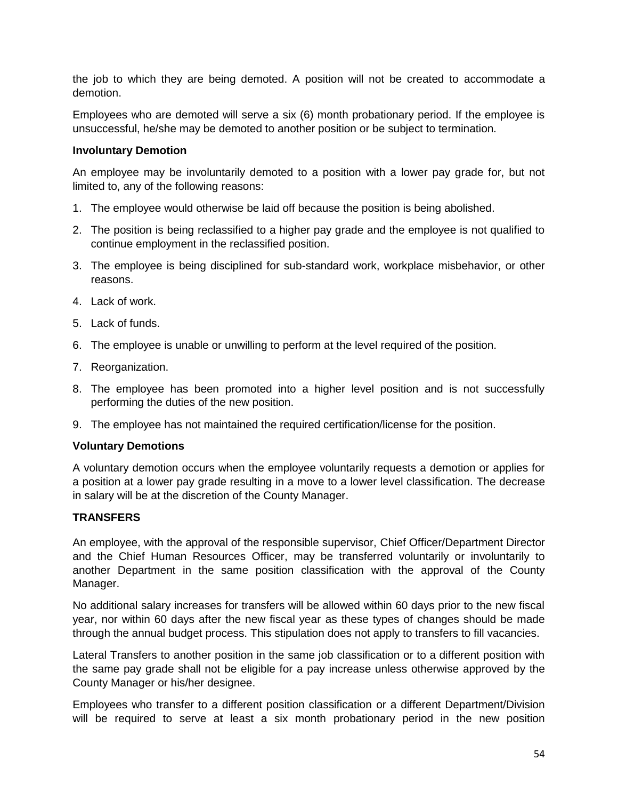the job to which they are being demoted. A position will not be created to accommodate a demotion.

Employees who are demoted will serve a six (6) month probationary period. If the employee is unsuccessful, he/she may be demoted to another position or be subject to termination.

### **Involuntary Demotion**

An employee may be involuntarily demoted to a position with a lower pay grade for, but not limited to, any of the following reasons:

- 1. The employee would otherwise be laid off because the position is being abolished.
- 2. The position is being reclassified to a higher pay grade and the employee is not qualified to continue employment in the reclassified position.
- 3. The employee is being disciplined for sub-standard work, workplace misbehavior, or other reasons.
- 4. Lack of work.
- 5. Lack of funds.
- 6. The employee is unable or unwilling to perform at the level required of the position.
- 7. Reorganization.
- 8. The employee has been promoted into a higher level position and is not successfully performing the duties of the new position.
- 9. The employee has not maintained the required certification/license for the position.

#### **Voluntary Demotions**

A voluntary demotion occurs when the employee voluntarily requests a demotion or applies for a position at a lower pay grade resulting in a move to a lower level classification. The decrease in salary will be at the discretion of the County Manager.

## **TRANSFERS**

An employee, with the approval of the responsible supervisor, Chief Officer/Department Director and the Chief Human Resources Officer, may be transferred voluntarily or involuntarily to another Department in the same position classification with the approval of the County Manager.

No additional salary increases for transfers will be allowed within 60 days prior to the new fiscal year, nor within 60 days after the new fiscal year as these types of changes should be made through the annual budget process. This stipulation does not apply to transfers to fill vacancies.

Lateral Transfers to another position in the same job classification or to a different position with the same pay grade shall not be eligible for a pay increase unless otherwise approved by the County Manager or his/her designee.

Employees who transfer to a different position classification or a different Department/Division will be required to serve at least a six month probationary period in the new position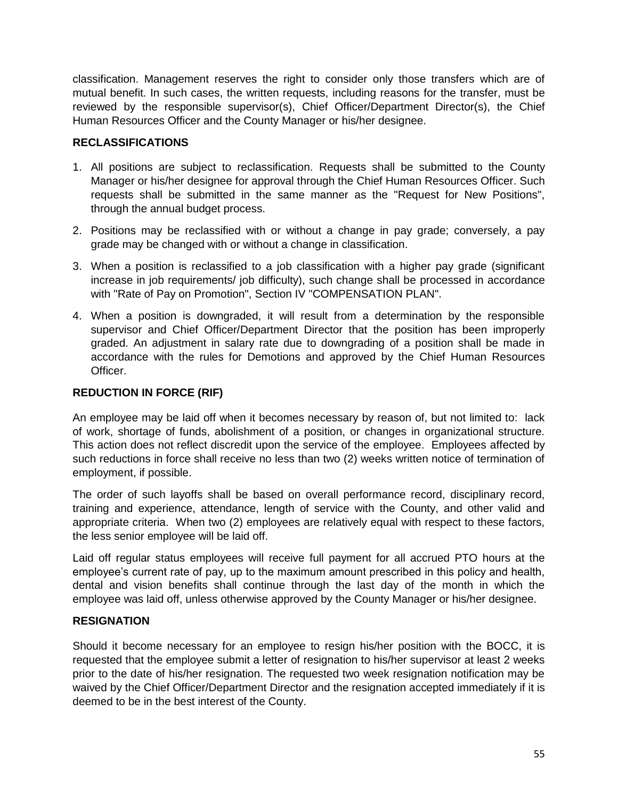classification. Management reserves the right to consider only those transfers which are of mutual benefit. In such cases, the written requests, including reasons for the transfer, must be reviewed by the responsible supervisor(s), Chief Officer/Department Director(s), the Chief Human Resources Officer and the County Manager or his/her designee.

## **RECLASSIFICATIONS**

- 1. All positions are subject to reclassification. Requests shall be submitted to the County Manager or his/her designee for approval through the Chief Human Resources Officer. Such requests shall be submitted in the same manner as the "Request for New Positions", through the annual budget process.
- 2. Positions may be reclassified with or without a change in pay grade; conversely, a pay grade may be changed with or without a change in classification.
- 3. When a position is reclassified to a job classification with a higher pay grade (significant increase in job requirements/ job difficulty), such change shall be processed in accordance with "Rate of Pay on Promotion", Section IV "COMPENSATION PLAN".
- 4. When a position is downgraded, it will result from a determination by the responsible supervisor and Chief Officer/Department Director that the position has been improperly graded. An adjustment in salary rate due to downgrading of a position shall be made in accordance with the rules for Demotions and approved by the Chief Human Resources Officer.

## **REDUCTION IN FORCE (RIF)**

An employee may be laid off when it becomes necessary by reason of, but not limited to: lack of work, shortage of funds, abolishment of a position, or changes in organizational structure. This action does not reflect discredit upon the service of the employee. Employees affected by such reductions in force shall receive no less than two (2) weeks written notice of termination of employment, if possible.

The order of such layoffs shall be based on overall performance record, disciplinary record, training and experience, attendance, length of service with the County, and other valid and appropriate criteria. When two (2) employees are relatively equal with respect to these factors, the less senior employee will be laid off.

Laid off regular status employees will receive full payment for all accrued PTO hours at the employee's current rate of pay, up to the maximum amount prescribed in this policy and health, dental and vision benefits shall continue through the last day of the month in which the employee was laid off, unless otherwise approved by the County Manager or his/her designee.

## **RESIGNATION**

Should it become necessary for an employee to resign his/her position with the BOCC, it is requested that the employee submit a letter of resignation to his/her supervisor at least 2 weeks prior to the date of his/her resignation. The requested two week resignation notification may be waived by the Chief Officer/Department Director and the resignation accepted immediately if it is deemed to be in the best interest of the County.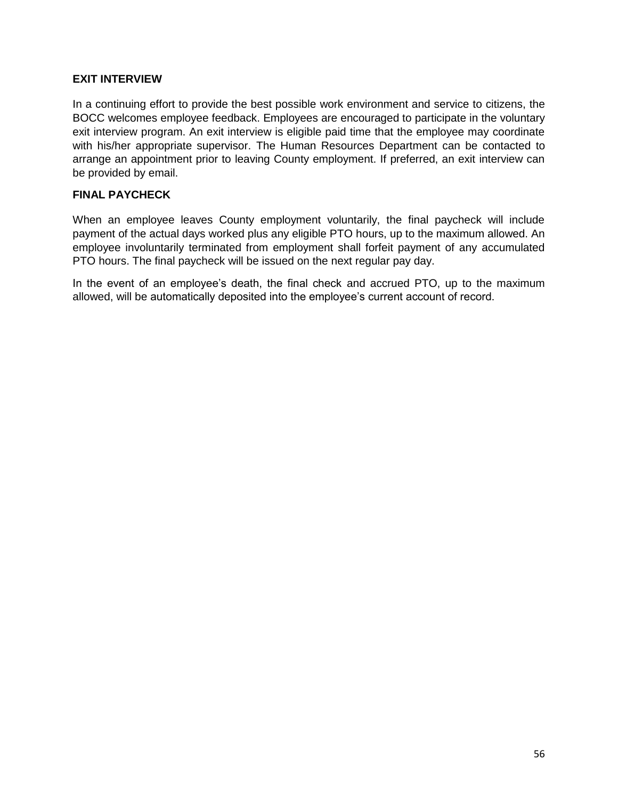## **EXIT INTERVIEW**

In a continuing effort to provide the best possible work environment and service to citizens, the BOCC welcomes employee feedback. Employees are encouraged to participate in the voluntary exit interview program. An exit interview is eligible paid time that the employee may coordinate with his/her appropriate supervisor. The Human Resources Department can be contacted to arrange an appointment prior to leaving County employment. If preferred, an exit interview can be provided by email.

## **FINAL PAYCHECK**

When an employee leaves County employment voluntarily, the final paycheck will include payment of the actual days worked plus any eligible PTO hours, up to the maximum allowed. An employee involuntarily terminated from employment shall forfeit payment of any accumulated PTO hours. The final paycheck will be issued on the next regular pay day.

In the event of an employee's death, the final check and accrued PTO, up to the maximum allowed, will be automatically deposited into the employee's current account of record.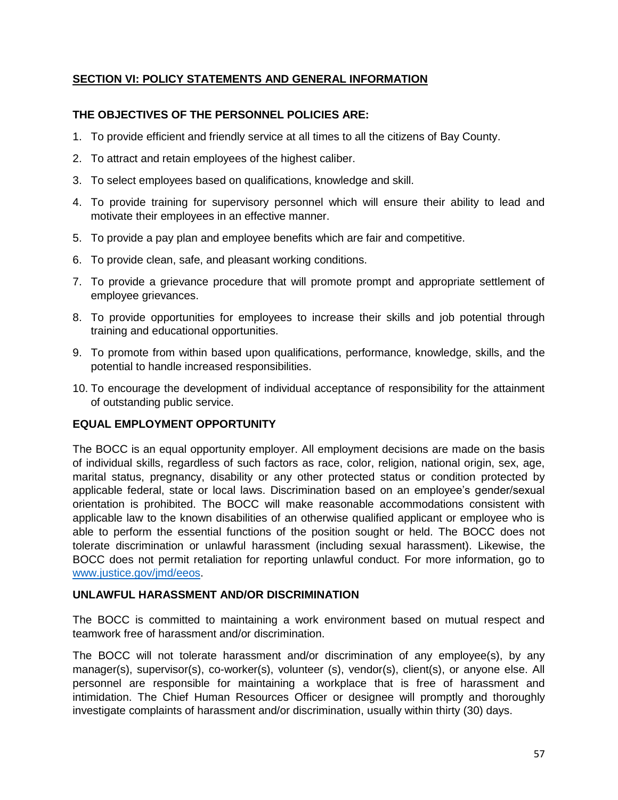## **SECTION VI: POLICY STATEMENTS AND GENERAL INFORMATION**

## **THE OBJECTIVES OF THE PERSONNEL POLICIES ARE:**

- 1. To provide efficient and friendly service at all times to all the citizens of Bay County.
- 2. To attract and retain employees of the highest caliber.
- 3. To select employees based on qualifications, knowledge and skill.
- 4. To provide training for supervisory personnel which will ensure their ability to lead and motivate their employees in an effective manner.
- 5. To provide a pay plan and employee benefits which are fair and competitive.
- 6. To provide clean, safe, and pleasant working conditions.
- 7. To provide a grievance procedure that will promote prompt and appropriate settlement of employee grievances.
- 8. To provide opportunities for employees to increase their skills and job potential through training and educational opportunities.
- 9. To promote from within based upon qualifications, performance, knowledge, skills, and the potential to handle increased responsibilities.
- 10. To encourage the development of individual acceptance of responsibility for the attainment of outstanding public service.

## **EQUAL EMPLOYMENT OPPORTUNITY**

The BOCC is an equal opportunity employer. All employment decisions are made on the basis of individual skills, regardless of such factors as race, color, religion, national origin, sex, age, marital status, pregnancy, disability or any other protected status or condition protected by applicable federal, state or local laws. Discrimination based on an employee's gender/sexual orientation is prohibited. The BOCC will make reasonable accommodations consistent with applicable law to the known disabilities of an otherwise qualified applicant or employee who is able to perform the essential functions of the position sought or held. The BOCC does not tolerate discrimination or unlawful harassment (including sexual harassment). Likewise, the BOCC does not permit retaliation for reporting unlawful conduct. For more information, go to [www.justice.gov/jmd/eeos.](http://www.justice.gov/jmd/eeos)

## **UNLAWFUL HARASSMENT AND/OR DISCRIMINATION**

The BOCC is committed to maintaining a work environment based on mutual respect and teamwork free of harassment and/or discrimination.

The BOCC will not tolerate harassment and/or discrimination of any employee(s), by any manager(s), supervisor(s), co-worker(s), volunteer (s), vendor(s), client(s), or anyone else. All personnel are responsible for maintaining a workplace that is free of harassment and intimidation. The Chief Human Resources Officer or designee will promptly and thoroughly investigate complaints of harassment and/or discrimination, usually within thirty (30) days.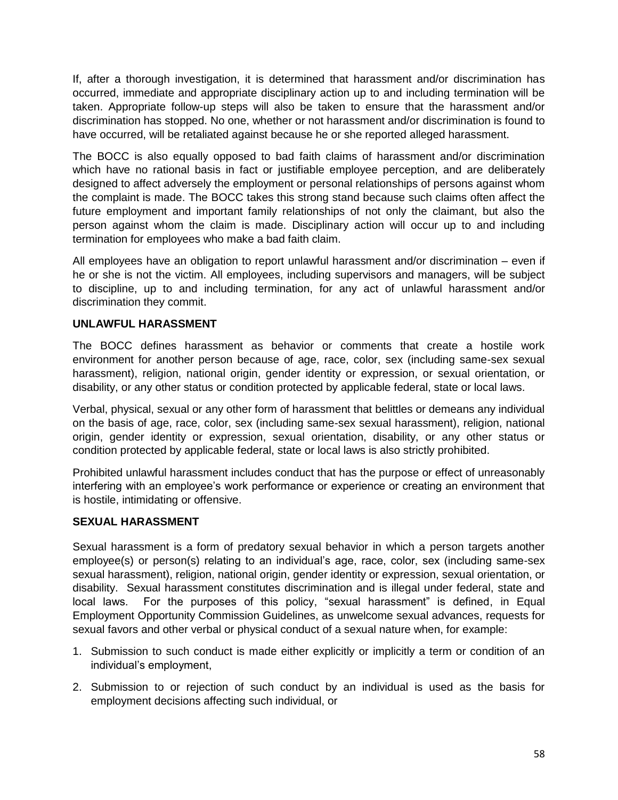If, after a thorough investigation, it is determined that harassment and/or discrimination has occurred, immediate and appropriate disciplinary action up to and including termination will be taken. Appropriate follow-up steps will also be taken to ensure that the harassment and/or discrimination has stopped. No one, whether or not harassment and/or discrimination is found to have occurred, will be retaliated against because he or she reported alleged harassment.

The BOCC is also equally opposed to bad faith claims of harassment and/or discrimination which have no rational basis in fact or justifiable employee perception, and are deliberately designed to affect adversely the employment or personal relationships of persons against whom the complaint is made. The BOCC takes this strong stand because such claims often affect the future employment and important family relationships of not only the claimant, but also the person against whom the claim is made. Disciplinary action will occur up to and including termination for employees who make a bad faith claim.

All employees have an obligation to report unlawful harassment and/or discrimination – even if he or she is not the victim. All employees, including supervisors and managers, will be subject to discipline, up to and including termination, for any act of unlawful harassment and/or discrimination they commit.

## **UNLAWFUL HARASSMENT**

The BOCC defines harassment as behavior or comments that create a hostile work environment for another person because of age, race, color, sex (including same-sex sexual harassment), religion, national origin, gender identity or expression, or sexual orientation, or disability, or any other status or condition protected by applicable federal, state or local laws.

Verbal, physical, sexual or any other form of harassment that belittles or demeans any individual on the basis of age, race, color, sex (including same-sex sexual harassment), religion, national origin, gender identity or expression, sexual orientation, disability, or any other status or condition protected by applicable federal, state or local laws is also strictly prohibited.

Prohibited unlawful harassment includes conduct that has the purpose or effect of unreasonably interfering with an employee's work performance or experience or creating an environment that is hostile, intimidating or offensive.

## **SEXUAL HARASSMENT**

Sexual harassment is a form of predatory sexual behavior in which a person targets another employee(s) or person(s) relating to an individual's age, race, color, sex (including same-sex sexual harassment), religion, national origin, gender identity or expression, sexual orientation, or disability. Sexual harassment constitutes discrimination and is illegal under federal, state and local laws. For the purposes of this policy, "sexual harassment" is defined, in Equal Employment Opportunity Commission Guidelines, as unwelcome sexual advances, requests for sexual favors and other verbal or physical conduct of a sexual nature when, for example:

- 1. Submission to such conduct is made either explicitly or implicitly a term or condition of an individual's employment,
- 2. Submission to or rejection of such conduct by an individual is used as the basis for employment decisions affecting such individual, or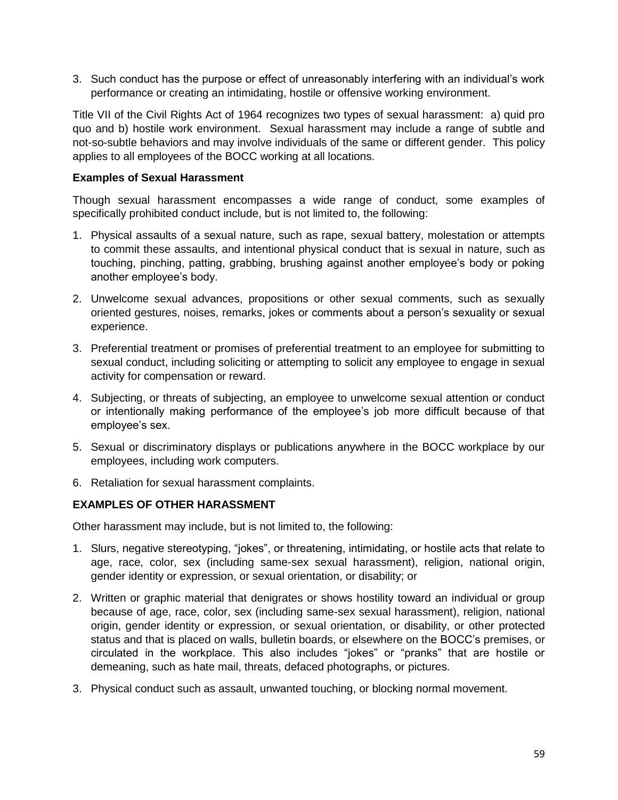3. Such conduct has the purpose or effect of unreasonably interfering with an individual's work performance or creating an intimidating, hostile or offensive working environment.

Title VII of the Civil Rights Act of 1964 recognizes two types of sexual harassment: a) quid pro quo and b) hostile work environment. Sexual harassment may include a range of subtle and not-so-subtle behaviors and may involve individuals of the same or different gender. This policy applies to all employees of the BOCC working at all locations.

### **Examples of Sexual Harassment**

Though sexual harassment encompasses a wide range of conduct, some examples of specifically prohibited conduct include, but is not limited to, the following:

- 1. Physical assaults of a sexual nature, such as rape, sexual battery, molestation or attempts to commit these assaults, and intentional physical conduct that is sexual in nature, such as touching, pinching, patting, grabbing, brushing against another employee's body or poking another employee's body.
- 2. Unwelcome sexual advances, propositions or other sexual comments, such as sexually oriented gestures, noises, remarks, jokes or comments about a person's sexuality or sexual experience.
- 3. Preferential treatment or promises of preferential treatment to an employee for submitting to sexual conduct, including soliciting or attempting to solicit any employee to engage in sexual activity for compensation or reward.
- 4. Subjecting, or threats of subjecting, an employee to unwelcome sexual attention or conduct or intentionally making performance of the employee's job more difficult because of that employee's sex.
- 5. Sexual or discriminatory displays or publications anywhere in the BOCC workplace by our employees, including work computers.
- 6. Retaliation for sexual harassment complaints.

## **EXAMPLES OF OTHER HARASSMENT**

Other harassment may include, but is not limited to, the following:

- 1. Slurs, negative stereotyping, "jokes", or threatening, intimidating, or hostile acts that relate to age, race, color, sex (including same-sex sexual harassment), religion, national origin, gender identity or expression, or sexual orientation, or disability; or
- 2. Written or graphic material that denigrates or shows hostility toward an individual or group because of age, race, color, sex (including same-sex sexual harassment), religion, national origin, gender identity or expression, or sexual orientation, or disability, or other protected status and that is placed on walls, bulletin boards, or elsewhere on the BOCC's premises, or circulated in the workplace. This also includes "jokes" or "pranks" that are hostile or demeaning, such as hate mail, threats, defaced photographs, or pictures.
- 3. Physical conduct such as assault, unwanted touching, or blocking normal movement.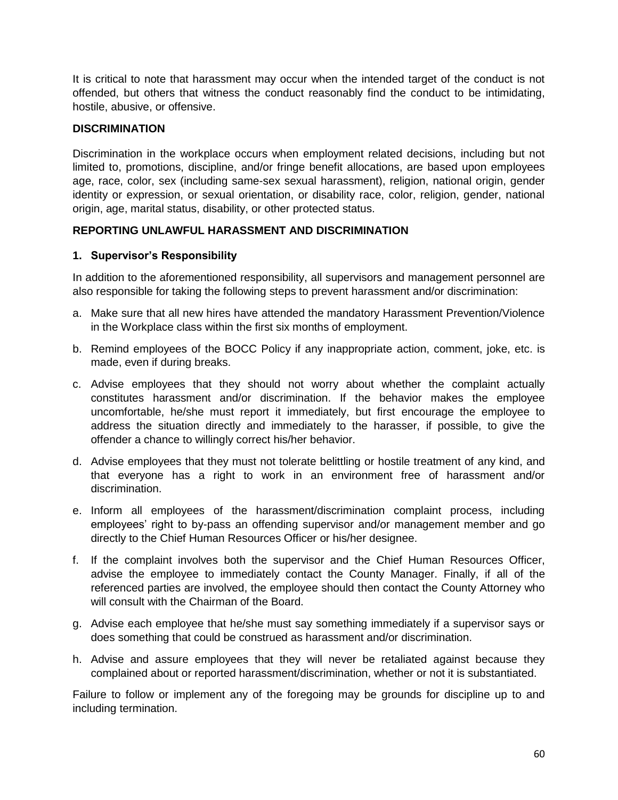It is critical to note that harassment may occur when the intended target of the conduct is not offended, but others that witness the conduct reasonably find the conduct to be intimidating, hostile, abusive, or offensive.

## **DISCRIMINATION**

Discrimination in the workplace occurs when employment related decisions, including but not limited to, promotions, discipline, and/or fringe benefit allocations, are based upon employees age, race, color, sex (including same-sex sexual harassment), religion, national origin, gender identity or expression, or sexual orientation, or disability race, color, religion, gender, national origin, age, marital status, disability, or other protected status.

## **REPORTING UNLAWFUL HARASSMENT AND DISCRIMINATION**

## **1. Supervisor's Responsibility**

In addition to the aforementioned responsibility, all supervisors and management personnel are also responsible for taking the following steps to prevent harassment and/or discrimination:

- a. Make sure that all new hires have attended the mandatory Harassment Prevention/Violence in the Workplace class within the first six months of employment.
- b. Remind employees of the BOCC Policy if any inappropriate action, comment, joke, etc. is made, even if during breaks.
- c. Advise employees that they should not worry about whether the complaint actually constitutes harassment and/or discrimination. If the behavior makes the employee uncomfortable, he/she must report it immediately, but first encourage the employee to address the situation directly and immediately to the harasser, if possible, to give the offender a chance to willingly correct his/her behavior.
- d. Advise employees that they must not tolerate belittling or hostile treatment of any kind, and that everyone has a right to work in an environment free of harassment and/or discrimination.
- e. Inform all employees of the harassment/discrimination complaint process, including employees' right to by-pass an offending supervisor and/or management member and go directly to the Chief Human Resources Officer or his/her designee.
- f. If the complaint involves both the supervisor and the Chief Human Resources Officer, advise the employee to immediately contact the County Manager. Finally, if all of the referenced parties are involved, the employee should then contact the County Attorney who will consult with the Chairman of the Board.
- g. Advise each employee that he/she must say something immediately if a supervisor says or does something that could be construed as harassment and/or discrimination.
- h. Advise and assure employees that they will never be retaliated against because they complained about or reported harassment/discrimination, whether or not it is substantiated.

Failure to follow or implement any of the foregoing may be grounds for discipline up to and including termination.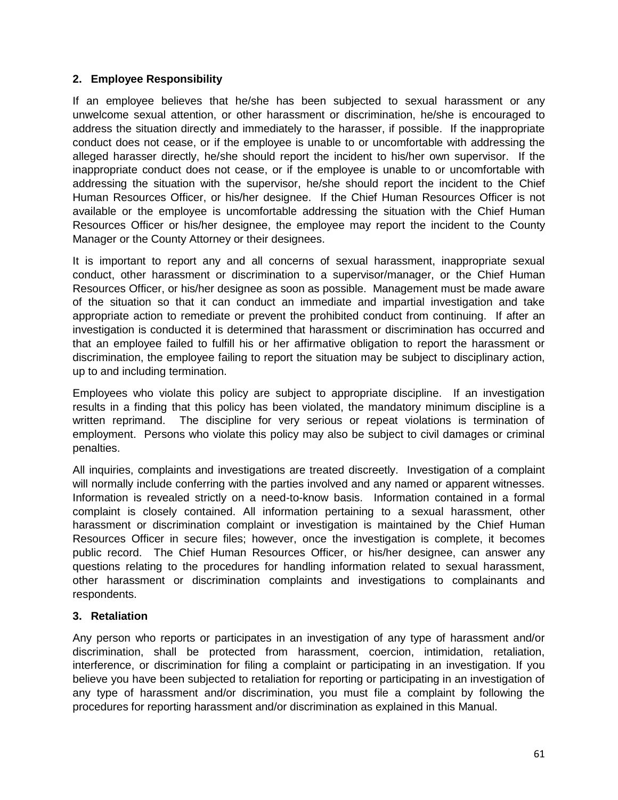## **2. Employee Responsibility**

If an employee believes that he/she has been subjected to sexual harassment or any unwelcome sexual attention, or other harassment or discrimination, he/she is encouraged to address the situation directly and immediately to the harasser, if possible. If the inappropriate conduct does not cease, or if the employee is unable to or uncomfortable with addressing the alleged harasser directly, he/she should report the incident to his/her own supervisor. If the inappropriate conduct does not cease, or if the employee is unable to or uncomfortable with addressing the situation with the supervisor, he/she should report the incident to the Chief Human Resources Officer, or his/her designee. If the Chief Human Resources Officer is not available or the employee is uncomfortable addressing the situation with the Chief Human Resources Officer or his/her designee, the employee may report the incident to the County Manager or the County Attorney or their designees.

It is important to report any and all concerns of sexual harassment, inappropriate sexual conduct, other harassment or discrimination to a supervisor/manager, or the Chief Human Resources Officer, or his/her designee as soon as possible. Management must be made aware of the situation so that it can conduct an immediate and impartial investigation and take appropriate action to remediate or prevent the prohibited conduct from continuing. If after an investigation is conducted it is determined that harassment or discrimination has occurred and that an employee failed to fulfill his or her affirmative obligation to report the harassment or discrimination, the employee failing to report the situation may be subject to disciplinary action, up to and including termination.

Employees who violate this policy are subject to appropriate discipline. If an investigation results in a finding that this policy has been violated, the mandatory minimum discipline is a written reprimand. The discipline for very serious or repeat violations is termination of employment. Persons who violate this policy may also be subject to civil damages or criminal penalties.

All inquiries, complaints and investigations are treated discreetly. Investigation of a complaint will normally include conferring with the parties involved and any named or apparent witnesses. Information is revealed strictly on a need-to-know basis. Information contained in a formal complaint is closely contained. All information pertaining to a sexual harassment, other harassment or discrimination complaint or investigation is maintained by the Chief Human Resources Officer in secure files; however, once the investigation is complete, it becomes public record. The Chief Human Resources Officer, or his/her designee, can answer any questions relating to the procedures for handling information related to sexual harassment, other harassment or discrimination complaints and investigations to complainants and respondents.

## **3. Retaliation**

Any person who reports or participates in an investigation of any type of harassment and/or discrimination, shall be protected from harassment, coercion, intimidation, retaliation, interference, or discrimination for filing a complaint or participating in an investigation. If you believe you have been subjected to retaliation for reporting or participating in an investigation of any type of harassment and/or discrimination, you must file a complaint by following the procedures for reporting harassment and/or discrimination as explained in this Manual.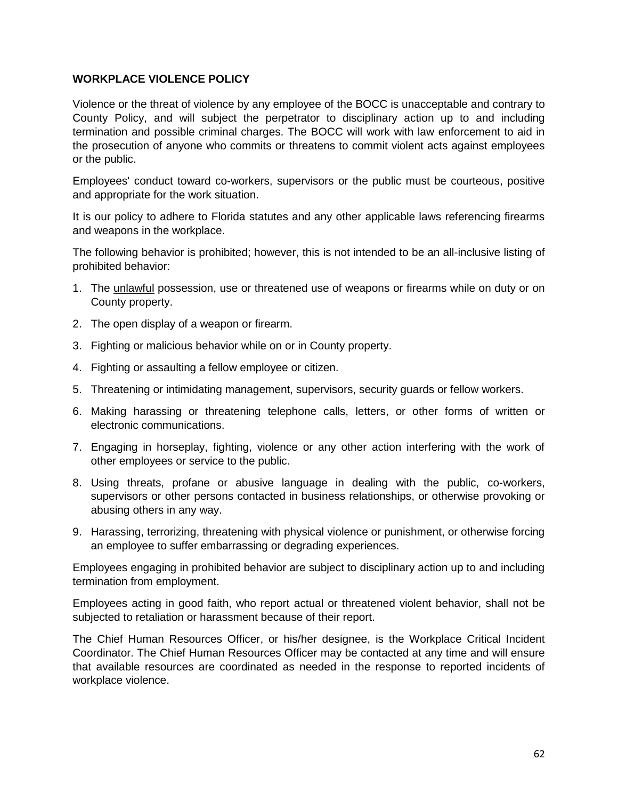### **WORKPLACE VIOLENCE POLICY**

Violence or the threat of violence by any employee of the BOCC is unacceptable and contrary to County Policy, and will subject the perpetrator to disciplinary action up to and including termination and possible criminal charges. The BOCC will work with law enforcement to aid in the prosecution of anyone who commits or threatens to commit violent acts against employees or the public.

Employees' conduct toward co-workers, supervisors or the public must be courteous, positive and appropriate for the work situation.

It is our policy to adhere to Florida statutes and any other applicable laws referencing firearms and weapons in the workplace.

The following behavior is prohibited; however, this is not intended to be an all-inclusive listing of prohibited behavior:

- 1. The unlawful possession, use or threatened use of weapons or firearms while on duty or on County property.
- 2. The open display of a weapon or firearm.
- 3. Fighting or malicious behavior while on or in County property.
- 4. Fighting or assaulting a fellow employee or citizen.
- 5. Threatening or intimidating management, supervisors, security guards or fellow workers.
- 6. Making harassing or threatening telephone calls, letters, or other forms of written or electronic communications.
- 7. Engaging in horseplay, fighting, violence or any other action interfering with the work of other employees or service to the public.
- 8. Using threats, profane or abusive language in dealing with the public, co-workers, supervisors or other persons contacted in business relationships, or otherwise provoking or abusing others in any way.
- 9. Harassing, terrorizing, threatening with physical violence or punishment, or otherwise forcing an employee to suffer embarrassing or degrading experiences.

Employees engaging in prohibited behavior are subject to disciplinary action up to and including termination from employment.

Employees acting in good faith, who report actual or threatened violent behavior, shall not be subjected to retaliation or harassment because of their report.

The Chief Human Resources Officer, or his/her designee, is the Workplace Critical Incident Coordinator. The Chief Human Resources Officer may be contacted at any time and will ensure that available resources are coordinated as needed in the response to reported incidents of workplace violence.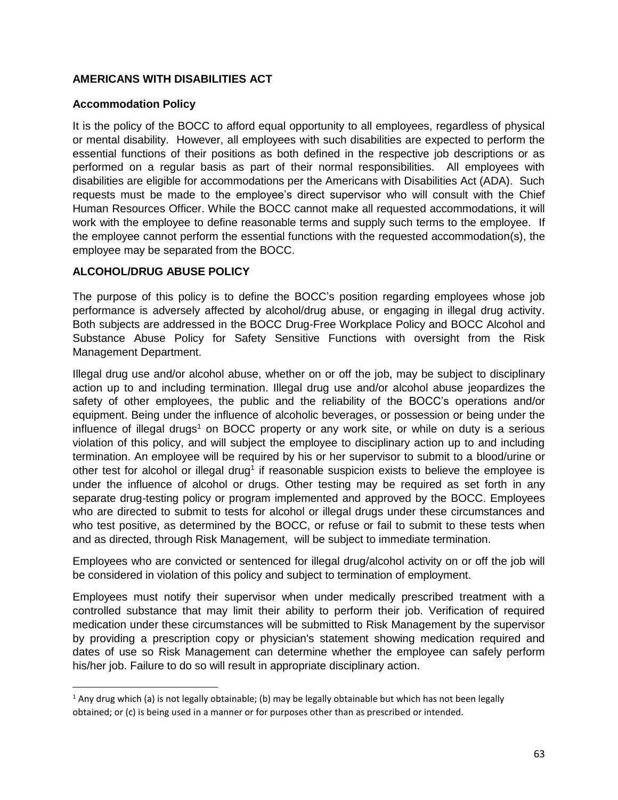## **AMERICANS WITH DISABILITIES ACT**

## **Accommodation Policy**

It is the policy of the BOCC to afford equal opportunity to all employees, regardless of physical or mental disability. However, all employees with such disabilities are expected to perform the essential functions of their positions as both defined in the respective job descriptions or as performed on a regular basis as part of their normal responsibilities. All employees with disabilities are eligible for accommodations per the Americans with Disabilities Act (ADA). Such requests must be made to the employee's direct supervisor who will consult with the Chief Human Resources Officer. While the BOCC cannot make all requested accommodations, it will work with the employee to define reasonable terms and supply such terms to the employee. If the employee cannot perform the essential functions with the requested accommodation(s), the employee may be separated from the BOCC.

## **ALCOHOL/DRUG ABUSE POLICY**

 $\overline{\phantom{a}}$ 

The purpose of this policy is to define the BOCC's position regarding employees whose job performance is adversely affected by alcohol/drug abuse, or engaging in illegal drug activity. Both subjects are addressed in the BOCC Drug-Free Workplace Policy and BOCC Alcohol and Substance Abuse Policy for Safety Sensitive Functions with oversight from the Risk Management Department.

Illegal drug use and/or alcohol abuse, whether on or off the job, may be subject to disciplinary action up to and including termination. Illegal drug use and/or alcohol abuse jeopardizes the safety of other employees, the public and the reliability of the BOCC's operations and/or equipment. Being under the influence of alcoholic beverages, or possession or being under the  $influence$  of illegal drugs<sup>1</sup> on BOCC property or any work site, or while on duty is a serious violation of this policy, and will subject the employee to disciplinary action up to and including termination. An employee will be required by his or her supervisor to submit to a blood/urine or other test for alcohol or illegal drug<sup>1</sup> if reasonable suspicion exists to believe the employee is under the influence of alcohol or drugs. Other testing may be required as set forth in any separate drug-testing policy or program implemented and approved by the BOCC. Employees who are directed to submit to tests for alcohol or illegal drugs under these circumstances and who test positive, as determined by the BOCC, or refuse or fail to submit to these tests when and as directed, through Risk Management, will be subject to immediate termination.

Employees who are convicted or sentenced for illegal drug/alcohol activity on or off the job will be considered in violation of this policy and subject to termination of employment.

Employees must notify their supervisor when under medically prescribed treatment with a controlled substance that may limit their ability to perform their job. Verification of required medication under these circumstances will be submitted to Risk Management by the supervisor by providing a prescription copy or physician's statement showing medication required and dates of use so Risk Management can determine whether the employee can safely perform his/her job. Failure to do so will result in appropriate disciplinary action.

 $1$  Any drug which (a) is not legally obtainable; (b) may be legally obtainable but which has not been legally obtained; or (c) is being used in a manner or for purposes other than as prescribed or intended.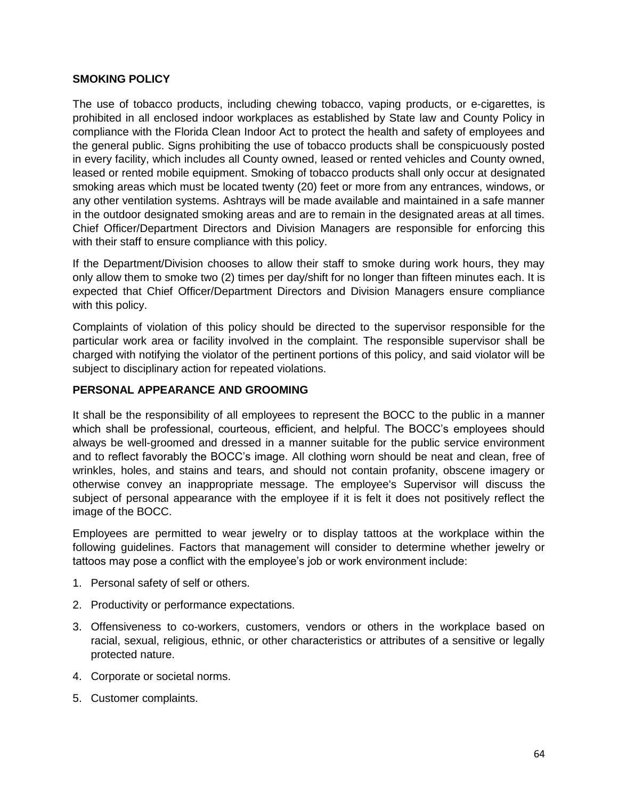## **SMOKING POLICY**

The use of tobacco products, including chewing tobacco, vaping products, or e-cigarettes, is prohibited in all enclosed indoor workplaces as established by State law and County Policy in compliance with the Florida Clean Indoor Act to protect the health and safety of employees and the general public. Signs prohibiting the use of tobacco products shall be conspicuously posted in every facility, which includes all County owned, leased or rented vehicles and County owned, leased or rented mobile equipment. Smoking of tobacco products shall only occur at designated smoking areas which must be located twenty (20) feet or more from any entrances, windows, or any other ventilation systems. Ashtrays will be made available and maintained in a safe manner in the outdoor designated smoking areas and are to remain in the designated areas at all times. Chief Officer/Department Directors and Division Managers are responsible for enforcing this with their staff to ensure compliance with this policy.

If the Department/Division chooses to allow their staff to smoke during work hours, they may only allow them to smoke two (2) times per day/shift for no longer than fifteen minutes each. It is expected that Chief Officer/Department Directors and Division Managers ensure compliance with this policy.

Complaints of violation of this policy should be directed to the supervisor responsible for the particular work area or facility involved in the complaint. The responsible supervisor shall be charged with notifying the violator of the pertinent portions of this policy, and said violator will be subject to disciplinary action for repeated violations.

## **PERSONAL APPEARANCE AND GROOMING**

It shall be the responsibility of all employees to represent the BOCC to the public in a manner which shall be professional, courteous, efficient, and helpful. The BOCC's employees should always be well-groomed and dressed in a manner suitable for the public service environment and to reflect favorably the BOCC's image. All clothing worn should be neat and clean, free of wrinkles, holes, and stains and tears, and should not contain profanity, obscene imagery or otherwise convey an inappropriate message. The employee's Supervisor will discuss the subject of personal appearance with the employee if it is felt it does not positively reflect the image of the BOCC.

Employees are permitted to wear jewelry or to display tattoos at the workplace within the following guidelines. Factors that management will consider to determine whether jewelry or tattoos may pose a conflict with the employee's job or work environment include:

- 1. Personal safety of self or others.
- 2. Productivity or performance expectations.
- 3. Offensiveness to co-workers, customers, vendors or others in the workplace based on racial, sexual, religious, ethnic, or other characteristics or attributes of a sensitive or legally protected nature.
- 4. Corporate or societal norms.
- 5. Customer complaints.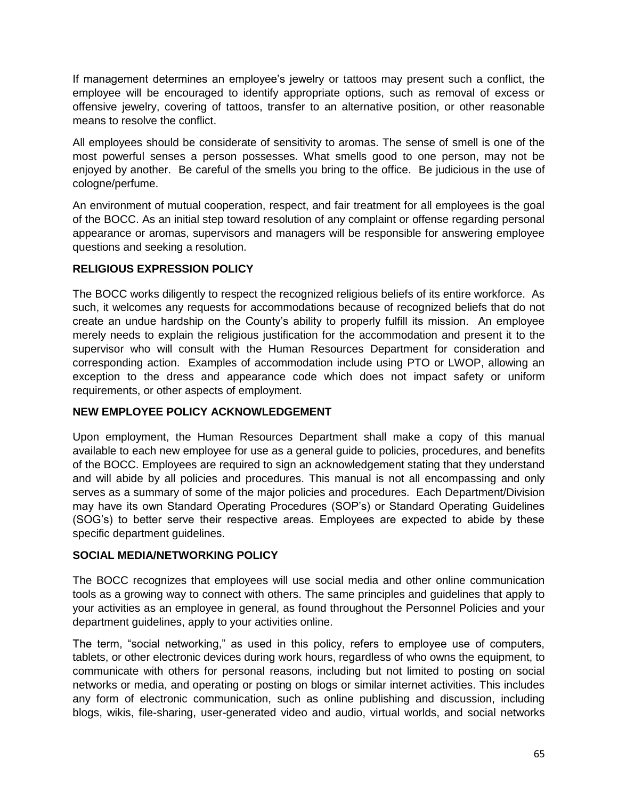If management determines an employee's jewelry or tattoos may present such a conflict, the employee will be encouraged to identify appropriate options, such as removal of excess or offensive jewelry, covering of tattoos, transfer to an alternative position, or other reasonable means to resolve the conflict.

All employees should be considerate of sensitivity to aromas. The sense of smell is one of the most powerful senses a person possesses. What smells good to one person, may not be enjoyed by another. Be careful of the smells you bring to the office. Be judicious in the use of cologne/perfume.

An environment of mutual cooperation, respect, and fair treatment for all employees is the goal of the BOCC. As an initial step toward resolution of any complaint or offense regarding personal appearance or aromas, supervisors and managers will be responsible for answering employee questions and seeking a resolution.

## **RELIGIOUS EXPRESSION POLICY**

The BOCC works diligently to respect the recognized religious beliefs of its entire workforce. As such, it welcomes any requests for accommodations because of recognized beliefs that do not create an undue hardship on the County's ability to properly fulfill its mission. An employee merely needs to explain the religious justification for the accommodation and present it to the supervisor who will consult with the Human Resources Department for consideration and corresponding action. Examples of accommodation include using PTO or LWOP, allowing an exception to the dress and appearance code which does not impact safety or uniform requirements, or other aspects of employment.

## **NEW EMPLOYEE POLICY ACKNOWLEDGEMENT**

Upon employment, the Human Resources Department shall make a copy of this manual available to each new employee for use as a general guide to policies, procedures, and benefits of the BOCC. Employees are required to sign an acknowledgement stating that they understand and will abide by all policies and procedures. This manual is not all encompassing and only serves as a summary of some of the major policies and procedures. Each Department/Division may have its own Standard Operating Procedures (SOP's) or Standard Operating Guidelines (SOG's) to better serve their respective areas. Employees are expected to abide by these specific department guidelines.

## **SOCIAL MEDIA/NETWORKING POLICY**

The BOCC recognizes that employees will use social media and other online communication tools as a growing way to connect with others. The same principles and guidelines that apply to your activities as an employee in general, as found throughout the Personnel Policies and your department guidelines, apply to your activities online.

The term, "social networking," as used in this policy, refers to employee use of computers, tablets, or other electronic devices during work hours, regardless of who owns the equipment, to communicate with others for personal reasons, including but not limited to posting on social networks or media, and operating or posting on blogs or similar internet activities. This includes any form of electronic communication, such as online publishing and discussion, including blogs, wikis, file-sharing, user-generated video and audio, virtual worlds, and social networks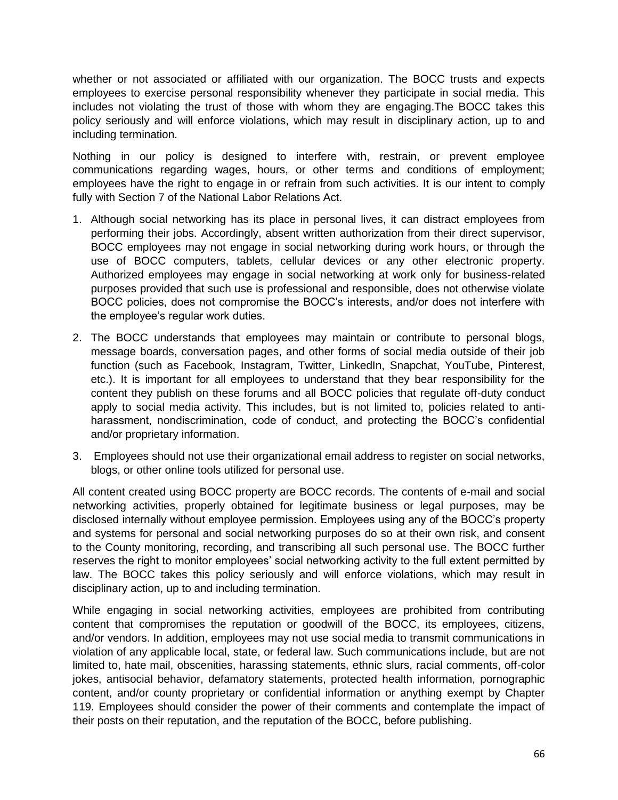whether or not associated or affiliated with our organization. The BOCC trusts and expects employees to exercise personal responsibility whenever they participate in social media. This includes not violating the trust of those with whom they are engaging.The BOCC takes this policy seriously and will enforce violations, which may result in disciplinary action, up to and including termination.

Nothing in our policy is designed to interfere with, restrain, or prevent employee communications regarding wages, hours, or other terms and conditions of employment; employees have the right to engage in or refrain from such activities. It is our intent to comply fully with Section 7 of the National Labor Relations Act.

- 1. Although social networking has its place in personal lives, it can distract employees from performing their jobs. Accordingly, absent written authorization from their direct supervisor, BOCC employees may not engage in social networking during work hours, or through the use of BOCC computers, tablets, cellular devices or any other electronic property. Authorized employees may engage in social networking at work only for business-related purposes provided that such use is professional and responsible, does not otherwise violate BOCC policies, does not compromise the BOCC's interests, and/or does not interfere with the employee's regular work duties.
- 2. The BOCC understands that employees may maintain or contribute to personal blogs, message boards, conversation pages, and other forms of social media outside of their job function (such as Facebook, Instagram, Twitter, LinkedIn, Snapchat, YouTube, Pinterest, etc.). It is important for all employees to understand that they bear responsibility for the content they publish on these forums and all BOCC policies that regulate off-duty conduct apply to social media activity. This includes, but is not limited to, policies related to antiharassment, nondiscrimination, code of conduct, and protecting the BOCC's confidential and/or proprietary information.
- 3. Employees should not use their organizational email address to register on social networks, blogs, or other online tools utilized for personal use.

All content created using BOCC property are BOCC records. The contents of e-mail and social networking activities, properly obtained for legitimate business or legal purposes, may be disclosed internally without employee permission. Employees using any of the BOCC's property and systems for personal and social networking purposes do so at their own risk, and consent to the County monitoring, recording, and transcribing all such personal use. The BOCC further reserves the right to monitor employees' social networking activity to the full extent permitted by law. The BOCC takes this policy seriously and will enforce violations, which may result in disciplinary action, up to and including termination.

While engaging in social networking activities, employees are prohibited from contributing content that compromises the reputation or goodwill of the BOCC, its employees, citizens, and/or vendors. In addition, employees may not use social media to transmit communications in violation of any applicable local, state, or federal law. Such communications include, but are not limited to, hate mail, obscenities, harassing statements, ethnic slurs, racial comments, off-color jokes, antisocial behavior, defamatory statements, protected health information, pornographic content, and/or county proprietary or confidential information or anything exempt by Chapter 119. Employees should consider the power of their comments and contemplate the impact of their posts on their reputation, and the reputation of the BOCC, before publishing.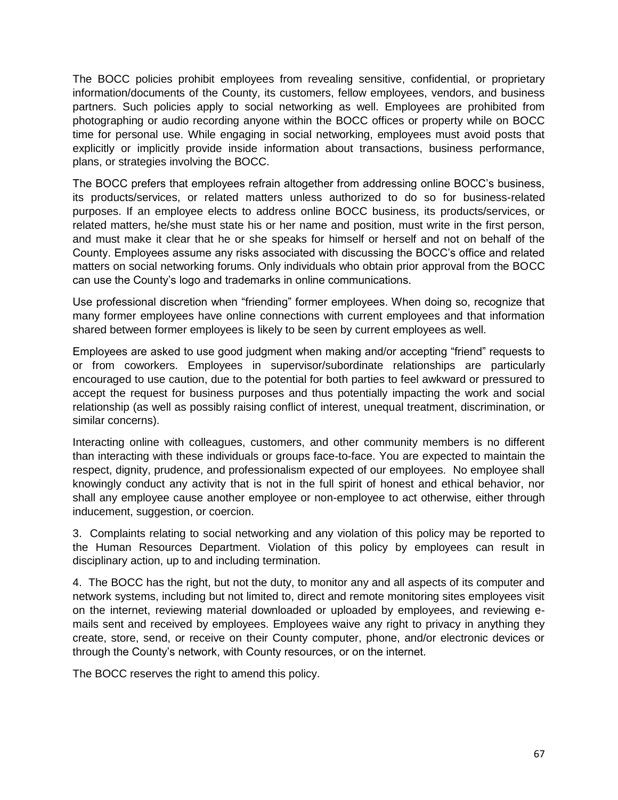The BOCC policies prohibit employees from revealing sensitive, confidential, or proprietary information/documents of the County, its customers, fellow employees, vendors, and business partners. Such policies apply to social networking as well. Employees are prohibited from photographing or audio recording anyone within the BOCC offices or property while on BOCC time for personal use. While engaging in social networking, employees must avoid posts that explicitly or implicitly provide inside information about transactions, business performance, plans, or strategies involving the BOCC.

The BOCC prefers that employees refrain altogether from addressing online BOCC's business, its products/services, or related matters unless authorized to do so for business-related purposes. If an employee elects to address online BOCC business, its products/services, or related matters, he/she must state his or her name and position, must write in the first person, and must make it clear that he or she speaks for himself or herself and not on behalf of the County. Employees assume any risks associated with discussing the BOCC's office and related matters on social networking forums. Only individuals who obtain prior approval from the BOCC can use the County's logo and trademarks in online communications.

Use professional discretion when "friending" former employees. When doing so, recognize that many former employees have online connections with current employees and that information shared between former employees is likely to be seen by current employees as well.

Employees are asked to use good judgment when making and/or accepting "friend" requests to or from coworkers. Employees in supervisor/subordinate relationships are particularly encouraged to use caution, due to the potential for both parties to feel awkward or pressured to accept the request for business purposes and thus potentially impacting the work and social relationship (as well as possibly raising conflict of interest, unequal treatment, discrimination, or similar concerns).

Interacting online with colleagues, customers, and other community members is no different than interacting with these individuals or groups face-to-face. You are expected to maintain the respect, dignity, prudence, and professionalism expected of our employees. No employee shall knowingly conduct any activity that is not in the full spirit of honest and ethical behavior, nor shall any employee cause another employee or non-employee to act otherwise, either through inducement, suggestion, or coercion.

3. Complaints relating to social networking and any violation of this policy may be reported to the Human Resources Department. Violation of this policy by employees can result in disciplinary action, up to and including termination.

4. The BOCC has the right, but not the duty, to monitor any and all aspects of its computer and network systems, including but not limited to, direct and remote monitoring sites employees visit on the internet, reviewing material downloaded or uploaded by employees, and reviewing emails sent and received by employees. Employees waive any right to privacy in anything they create, store, send, or receive on their County computer, phone, and/or electronic devices or through the County's network, with County resources, or on the internet.

The BOCC reserves the right to amend this policy.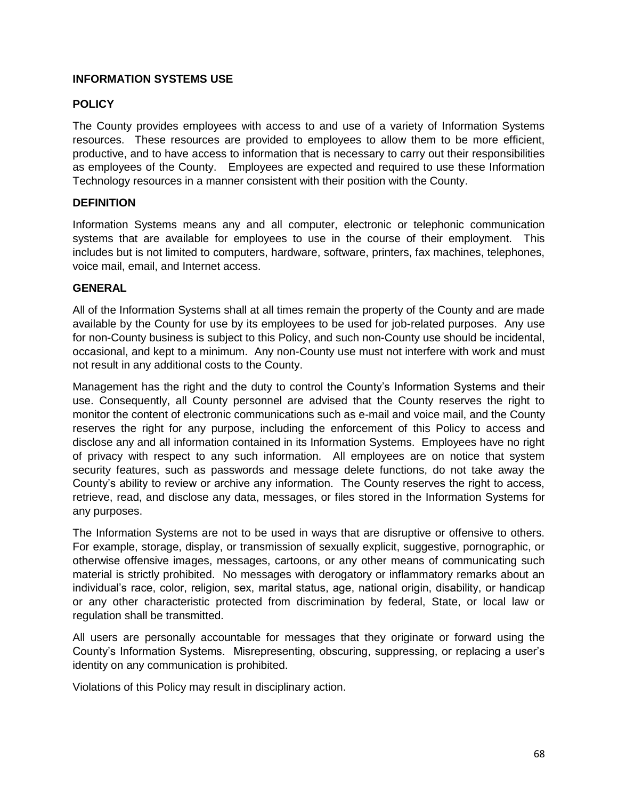## **INFORMATION SYSTEMS USE**

## **POLICY**

The County provides employees with access to and use of a variety of Information Systems resources. These resources are provided to employees to allow them to be more efficient, productive, and to have access to information that is necessary to carry out their responsibilities as employees of the County. Employees are expected and required to use these Information Technology resources in a manner consistent with their position with the County.

## **DEFINITION**

Information Systems means any and all computer, electronic or telephonic communication systems that are available for employees to use in the course of their employment. This includes but is not limited to computers, hardware, software, printers, fax machines, telephones, voice mail, email, and Internet access.

## **GENERAL**

All of the Information Systems shall at all times remain the property of the County and are made available by the County for use by its employees to be used for job-related purposes. Any use for non-County business is subject to this Policy, and such non-County use should be incidental, occasional, and kept to a minimum. Any non-County use must not interfere with work and must not result in any additional costs to the County.

Management has the right and the duty to control the County's Information Systems and their use. Consequently, all County personnel are advised that the County reserves the right to monitor the content of electronic communications such as e-mail and voice mail, and the County reserves the right for any purpose, including the enforcement of this Policy to access and disclose any and all information contained in its Information Systems. Employees have no right of privacy with respect to any such information. All employees are on notice that system security features, such as passwords and message delete functions, do not take away the County's ability to review or archive any information. The County reserves the right to access, retrieve, read, and disclose any data, messages, or files stored in the Information Systems for any purposes.

The Information Systems are not to be used in ways that are disruptive or offensive to others. For example, storage, display, or transmission of sexually explicit, suggestive, pornographic, or otherwise offensive images, messages, cartoons, or any other means of communicating such material is strictly prohibited. No messages with derogatory or inflammatory remarks about an individual's race, color, religion, sex, marital status, age, national origin, disability, or handicap or any other characteristic protected from discrimination by federal, State, or local law or regulation shall be transmitted.

All users are personally accountable for messages that they originate or forward using the County's Information Systems. Misrepresenting, obscuring, suppressing, or replacing a user's identity on any communication is prohibited.

Violations of this Policy may result in disciplinary action.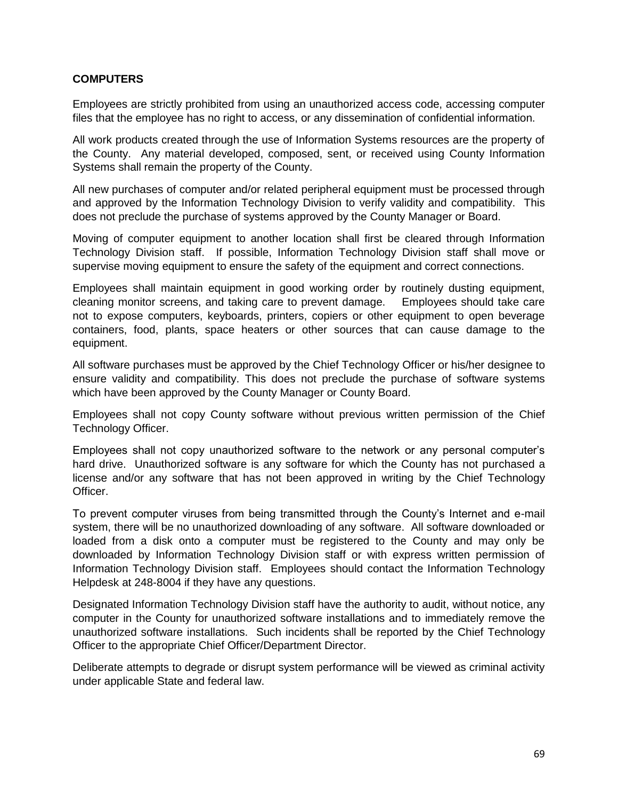## **COMPUTERS**

Employees are strictly prohibited from using an unauthorized access code, accessing computer files that the employee has no right to access, or any dissemination of confidential information.

All work products created through the use of Information Systems resources are the property of the County. Any material developed, composed, sent, or received using County Information Systems shall remain the property of the County.

All new purchases of computer and/or related peripheral equipment must be processed through and approved by the Information Technology Division to verify validity and compatibility. This does not preclude the purchase of systems approved by the County Manager or Board.

Moving of computer equipment to another location shall first be cleared through Information Technology Division staff. If possible, Information Technology Division staff shall move or supervise moving equipment to ensure the safety of the equipment and correct connections.

Employees shall maintain equipment in good working order by routinely dusting equipment, cleaning monitor screens, and taking care to prevent damage. Employees should take care not to expose computers, keyboards, printers, copiers or other equipment to open beverage containers, food, plants, space heaters or other sources that can cause damage to the equipment.

All software purchases must be approved by the Chief Technology Officer or his/her designee to ensure validity and compatibility. This does not preclude the purchase of software systems which have been approved by the County Manager or County Board.

Employees shall not copy County software without previous written permission of the Chief Technology Officer.

Employees shall not copy unauthorized software to the network or any personal computer's hard drive. Unauthorized software is any software for which the County has not purchased a license and/or any software that has not been approved in writing by the Chief Technology Officer.

To prevent computer viruses from being transmitted through the County's Internet and e-mail system, there will be no unauthorized downloading of any software. All software downloaded or loaded from a disk onto a computer must be registered to the County and may only be downloaded by Information Technology Division staff or with express written permission of Information Technology Division staff. Employees should contact the Information Technology Helpdesk at 248-8004 if they have any questions.

Designated Information Technology Division staff have the authority to audit, without notice, any computer in the County for unauthorized software installations and to immediately remove the unauthorized software installations. Such incidents shall be reported by the Chief Technology Officer to the appropriate Chief Officer/Department Director.

Deliberate attempts to degrade or disrupt system performance will be viewed as criminal activity under applicable State and federal law.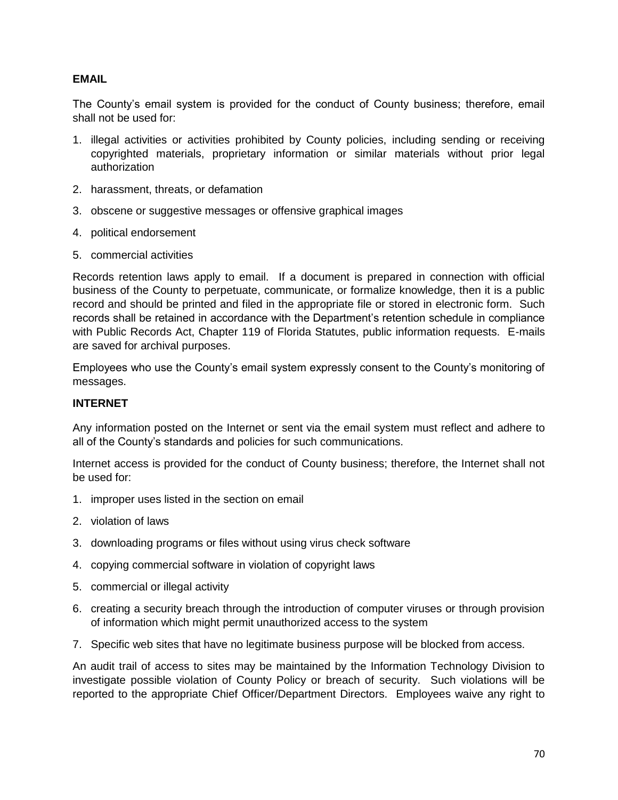## **EMAIL**

The County's email system is provided for the conduct of County business; therefore, email shall not be used for:

- 1. illegal activities or activities prohibited by County policies, including sending or receiving copyrighted materials, proprietary information or similar materials without prior legal authorization
- 2. harassment, threats, or defamation
- 3. obscene or suggestive messages or offensive graphical images
- 4. political endorsement
- 5. commercial activities

Records retention laws apply to email. If a document is prepared in connection with official business of the County to perpetuate, communicate, or formalize knowledge, then it is a public record and should be printed and filed in the appropriate file or stored in electronic form. Such records shall be retained in accordance with the Department's retention schedule in compliance with Public Records Act, Chapter 119 of Florida Statutes, public information requests. E-mails are saved for archival purposes.

Employees who use the County's email system expressly consent to the County's monitoring of messages.

## **INTERNET**

Any information posted on the Internet or sent via the email system must reflect and adhere to all of the County's standards and policies for such communications.

Internet access is provided for the conduct of County business; therefore, the Internet shall not be used for:

- 1. improper uses listed in the section on email
- 2. violation of laws
- 3. downloading programs or files without using virus check software
- 4. copying commercial software in violation of copyright laws
- 5. commercial or illegal activity
- 6. creating a security breach through the introduction of computer viruses or through provision of information which might permit unauthorized access to the system
- 7. Specific web sites that have no legitimate business purpose will be blocked from access.

An audit trail of access to sites may be maintained by the Information Technology Division to investigate possible violation of County Policy or breach of security. Such violations will be reported to the appropriate Chief Officer/Department Directors. Employees waive any right to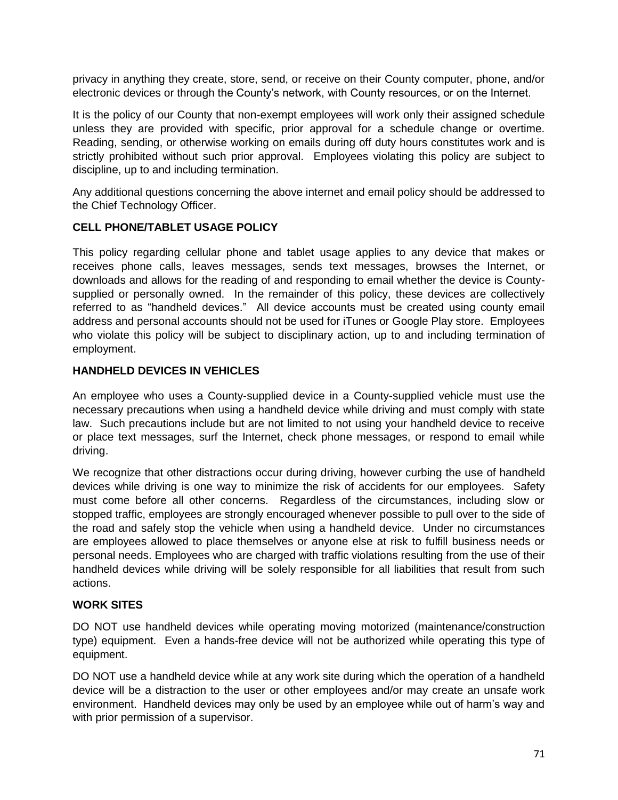privacy in anything they create, store, send, or receive on their County computer, phone, and/or electronic devices or through the County's network, with County resources, or on the Internet.

It is the policy of our County that non-exempt employees will work only their assigned schedule unless they are provided with specific, prior approval for a schedule change or overtime. Reading, sending, or otherwise working on emails during off duty hours constitutes work and is strictly prohibited without such prior approval. Employees violating this policy are subject to discipline, up to and including termination.

Any additional questions concerning the above internet and email policy should be addressed to the Chief Technology Officer.

## **CELL PHONE/TABLET USAGE POLICY**

This policy regarding cellular phone and tablet usage applies to any device that makes or receives phone calls, leaves messages, sends text messages, browses the Internet, or downloads and allows for the reading of and responding to email whether the device is Countysupplied or personally owned. In the remainder of this policy, these devices are collectively referred to as "handheld devices." All device accounts must be created using county email address and personal accounts should not be used for iTunes or Google Play store. Employees who violate this policy will be subject to disciplinary action, up to and including termination of employment.

## **HANDHELD DEVICES IN VEHICLES**

An employee who uses a County-supplied device in a County-supplied vehicle must use the necessary precautions when using a handheld device while driving and must comply with state law. Such precautions include but are not limited to not using your handheld device to receive or place text messages, surf the Internet, check phone messages, or respond to email while driving.

We recognize that other distractions occur during driving, however curbing the use of handheld devices while driving is one way to minimize the risk of accidents for our employees. Safety must come before all other concerns. Regardless of the circumstances, including slow or stopped traffic, employees are strongly encouraged whenever possible to pull over to the side of the road and safely stop the vehicle when using a handheld device. Under no circumstances are employees allowed to place themselves or anyone else at risk to fulfill business needs or personal needs. Employees who are charged with traffic violations resulting from the use of their handheld devices while driving will be solely responsible for all liabilities that result from such actions.

## **WORK SITES**

DO NOT use handheld devices while operating moving motorized (maintenance/construction type) equipment. Even a hands-free device will not be authorized while operating this type of equipment.

DO NOT use a handheld device while at any work site during which the operation of a handheld device will be a distraction to the user or other employees and/or may create an unsafe work environment. Handheld devices may only be used by an employee while out of harm's way and with prior permission of a supervisor.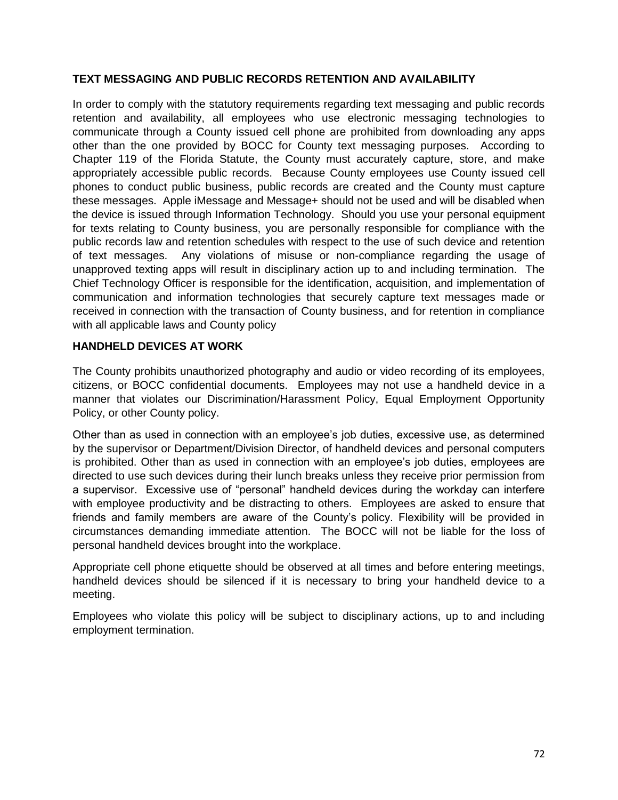## **TEXT MESSAGING AND PUBLIC RECORDS RETENTION AND AVAILABILITY**

In order to comply with the statutory requirements regarding text messaging and public records retention and availability, all employees who use electronic messaging technologies to communicate through a County issued cell phone are prohibited from downloading any apps other than the one provided by BOCC for County text messaging purposes. According to Chapter 119 of the Florida Statute, the County must accurately capture, store, and make appropriately accessible public records. Because County employees use County issued cell phones to conduct public business, public records are created and the County must capture these messages. Apple iMessage and Message+ should not be used and will be disabled when the device is issued through Information Technology. Should you use your personal equipment for texts relating to County business, you are personally responsible for compliance with the public records law and retention schedules with respect to the use of such device and retention of text messages. Any violations of misuse or non-compliance regarding the usage of unapproved texting apps will result in disciplinary action up to and including termination. The Chief Technology Officer is responsible for the identification, acquisition, and implementation of communication and information technologies that securely capture text messages made or received in connection with the transaction of County business, and for retention in compliance with all applicable laws and County policy

## **HANDHELD DEVICES AT WORK**

The County prohibits unauthorized photography and audio or video recording of its employees, citizens, or BOCC confidential documents. Employees may not use a handheld device in a manner that violates our Discrimination/Harassment Policy, Equal Employment Opportunity Policy, or other County policy.

Other than as used in connection with an employee's job duties, excessive use, as determined by the supervisor or Department/Division Director, of handheld devices and personal computers is prohibited. Other than as used in connection with an employee's job duties, employees are directed to use such devices during their lunch breaks unless they receive prior permission from a supervisor. Excessive use of "personal" handheld devices during the workday can interfere with employee productivity and be distracting to others. Employees are asked to ensure that friends and family members are aware of the County's policy. Flexibility will be provided in circumstances demanding immediate attention. The BOCC will not be liable for the loss of personal handheld devices brought into the workplace.

Appropriate cell phone etiquette should be observed at all times and before entering meetings, handheld devices should be silenced if it is necessary to bring your handheld device to a meeting.

Employees who violate this policy will be subject to disciplinary actions, up to and including employment termination.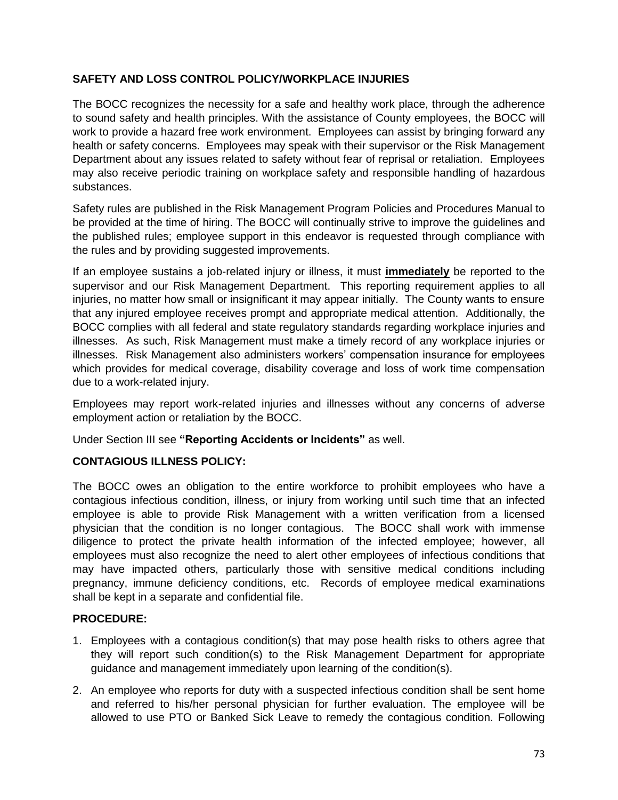# **SAFETY AND LOSS CONTROL POLICY/WORKPLACE INJURIES**

The BOCC recognizes the necessity for a safe and healthy work place, through the adherence to sound safety and health principles. With the assistance of County employees, the BOCC will work to provide a hazard free work environment. Employees can assist by bringing forward any health or safety concerns. Employees may speak with their supervisor or the Risk Management Department about any issues related to safety without fear of reprisal or retaliation. Employees may also receive periodic training on workplace safety and responsible handling of hazardous substances.

Safety rules are published in the Risk Management Program Policies and Procedures Manual to be provided at the time of hiring. The BOCC will continually strive to improve the guidelines and the published rules; employee support in this endeavor is requested through compliance with the rules and by providing suggested improvements.

If an employee sustains a job-related injury or illness, it must **immediately** be reported to the supervisor and our Risk Management Department. This reporting requirement applies to all injuries, no matter how small or insignificant it may appear initially. The County wants to ensure that any injured employee receives prompt and appropriate medical attention. Additionally, the BOCC complies with all federal and state regulatory standards regarding workplace injuries and illnesses. As such, Risk Management must make a timely record of any workplace injuries or illnesses. Risk Management also administers workers' compensation insurance for employees which provides for medical coverage, disability coverage and loss of work time compensation due to a work-related injury.

Employees may report work-related injuries and illnesses without any concerns of adverse employment action or retaliation by the BOCC.

Under Section III see **"Reporting Accidents or Incidents"** as well.

### **CONTAGIOUS ILLNESS POLICY:**

The BOCC owes an obligation to the entire workforce to prohibit employees who have a contagious infectious condition, illness, or injury from working until such time that an infected employee is able to provide Risk Management with a written verification from a licensed physician that the condition is no longer contagious. The BOCC shall work with immense diligence to protect the private health information of the infected employee; however, all employees must also recognize the need to alert other employees of infectious conditions that may have impacted others, particularly those with sensitive medical conditions including pregnancy, immune deficiency conditions, etc. Records of employee medical examinations shall be kept in a separate and confidential file.

### **PROCEDURE:**

- 1. Employees with a contagious condition(s) that may pose health risks to others agree that they will report such condition(s) to the Risk Management Department for appropriate guidance and management immediately upon learning of the condition(s).
- 2. An employee who reports for duty with a suspected infectious condition shall be sent home and referred to his/her personal physician for further evaluation. The employee will be allowed to use PTO or Banked Sick Leave to remedy the contagious condition. Following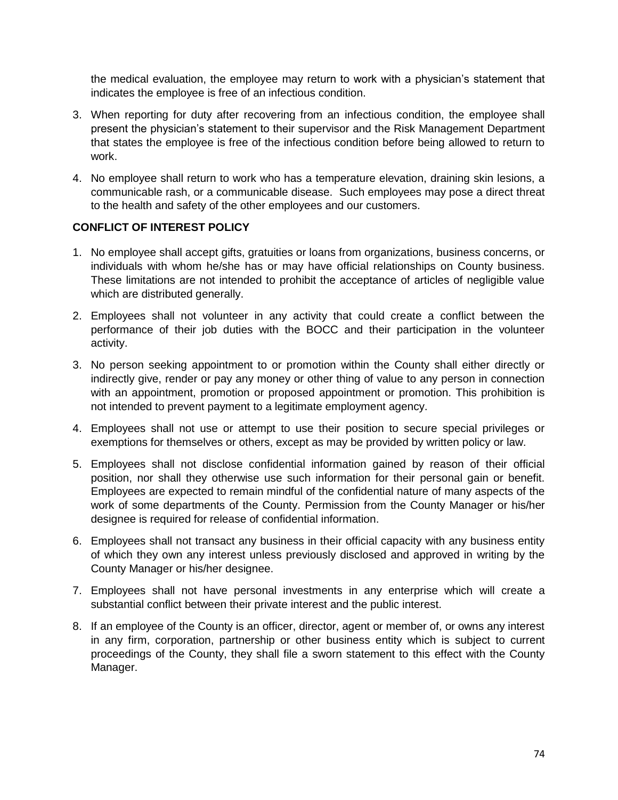the medical evaluation, the employee may return to work with a physician's statement that indicates the employee is free of an infectious condition.

- 3. When reporting for duty after recovering from an infectious condition, the employee shall present the physician's statement to their supervisor and the Risk Management Department that states the employee is free of the infectious condition before being allowed to return to work.
- 4. No employee shall return to work who has a temperature elevation, draining skin lesions, a communicable rash, or a communicable disease. Such employees may pose a direct threat to the health and safety of the other employees and our customers.

## **CONFLICT OF INTEREST POLICY**

- 1. No employee shall accept gifts, gratuities or loans from organizations, business concerns, or individuals with whom he/she has or may have official relationships on County business. These limitations are not intended to prohibit the acceptance of articles of negligible value which are distributed generally.
- 2. Employees shall not volunteer in any activity that could create a conflict between the performance of their job duties with the BOCC and their participation in the volunteer activity.
- 3. No person seeking appointment to or promotion within the County shall either directly or indirectly give, render or pay any money or other thing of value to any person in connection with an appointment, promotion or proposed appointment or promotion. This prohibition is not intended to prevent payment to a legitimate employment agency.
- 4. Employees shall not use or attempt to use their position to secure special privileges or exemptions for themselves or others, except as may be provided by written policy or law.
- 5. Employees shall not disclose confidential information gained by reason of their official position, nor shall they otherwise use such information for their personal gain or benefit. Employees are expected to remain mindful of the confidential nature of many aspects of the work of some departments of the County. Permission from the County Manager or his/her designee is required for release of confidential information.
- 6. Employees shall not transact any business in their official capacity with any business entity of which they own any interest unless previously disclosed and approved in writing by the County Manager or his/her designee.
- 7. Employees shall not have personal investments in any enterprise which will create a substantial conflict between their private interest and the public interest.
- 8. If an employee of the County is an officer, director, agent or member of, or owns any interest in any firm, corporation, partnership or other business entity which is subject to current proceedings of the County, they shall file a sworn statement to this effect with the County Manager.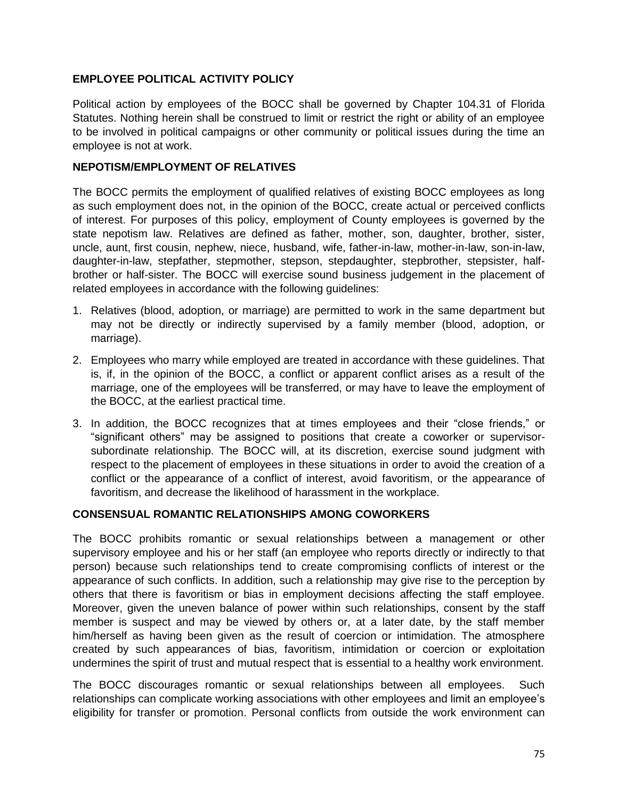## **EMPLOYEE POLITICAL ACTIVITY POLICY**

Political action by employees of the BOCC shall be governed by Chapter 104.31 of Florida Statutes. Nothing herein shall be construed to limit or restrict the right or ability of an employee to be involved in political campaigns or other community or political issues during the time an employee is not at work.

#### **NEPOTISM/EMPLOYMENT OF RELATIVES**

The BOCC permits the employment of qualified relatives of existing BOCC employees as long as such employment does not, in the opinion of the BOCC, create actual or perceived conflicts of interest. For purposes of this policy, employment of County employees is governed by the state nepotism law. Relatives are defined as father, mother, son, daughter, brother, sister, uncle, aunt, first cousin, nephew, niece, husband, wife, father-in-law, mother-in-law, son-in-law, daughter-in-law, stepfather, stepmother, stepson, stepdaughter, stepbrother, stepsister, halfbrother or half-sister. The BOCC will exercise sound business judgement in the placement of related employees in accordance with the following guidelines:

- 1. Relatives (blood, adoption, or marriage) are permitted to work in the same department but may not be directly or indirectly supervised by a family member (blood, adoption, or marriage).
- 2. Employees who marry while employed are treated in accordance with these guidelines. That is, if, in the opinion of the BOCC, a conflict or apparent conflict arises as a result of the marriage, one of the employees will be transferred, or may have to leave the employment of the BOCC, at the earliest practical time.
- 3. In addition, the BOCC recognizes that at times employees and their "close friends," or "significant others" may be assigned to positions that create a coworker or supervisorsubordinate relationship. The BOCC will, at its discretion, exercise sound judgment with respect to the placement of employees in these situations in order to avoid the creation of a conflict or the appearance of a conflict of interest, avoid favoritism, or the appearance of favoritism, and decrease the likelihood of harassment in the workplace.

### **CONSENSUAL ROMANTIC RELATIONSHIPS AMONG COWORKERS**

The BOCC prohibits romantic or sexual relationships between a management or other supervisory employee and his or her staff (an employee who reports directly or indirectly to that person) because such relationships tend to create compromising conflicts of interest or the appearance of such conflicts. In addition, such a relationship may give rise to the perception by others that there is favoritism or bias in employment decisions affecting the staff employee. Moreover, given the uneven balance of power within such relationships, consent by the staff member is suspect and may be viewed by others or, at a later date, by the staff member him/herself as having been given as the result of coercion or intimidation. The atmosphere created by such appearances of bias, favoritism, intimidation or coercion or exploitation undermines the spirit of trust and mutual respect that is essential to a healthy work environment.

The BOCC discourages romantic or sexual relationships between all employees. Such relationships can complicate working associations with other employees and limit an employee's eligibility for transfer or promotion. Personal conflicts from outside the work environment can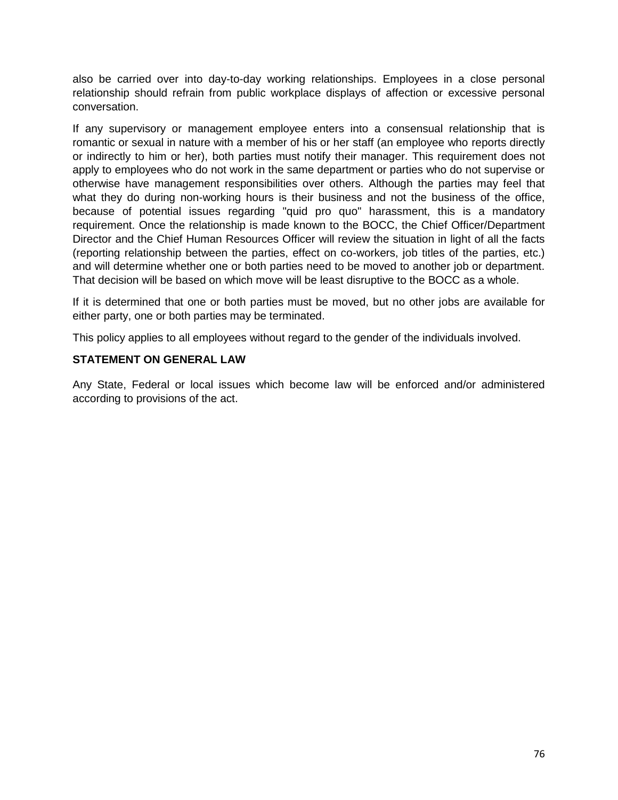also be carried over into day-to-day working relationships. Employees in a close personal relationship should refrain from public workplace displays of affection or excessive personal conversation.

If any supervisory or management employee enters into a consensual relationship that is romantic or sexual in nature with a member of his or her staff (an employee who reports directly or indirectly to him or her), both parties must notify their manager. This requirement does not apply to employees who do not work in the same department or parties who do not supervise or otherwise have management responsibilities over others. Although the parties may feel that what they do during non-working hours is their business and not the business of the office, because of potential issues regarding "quid pro quo" harassment, this is a mandatory requirement. Once the relationship is made known to the BOCC, the Chief Officer/Department Director and the Chief Human Resources Officer will review the situation in light of all the facts (reporting relationship between the parties, effect on co-workers, job titles of the parties, etc.) and will determine whether one or both parties need to be moved to another job or department. That decision will be based on which move will be least disruptive to the BOCC as a whole.

If it is determined that one or both parties must be moved, but no other jobs are available for either party, one or both parties may be terminated.

This policy applies to all employees without regard to the gender of the individuals involved.

## **STATEMENT ON GENERAL LAW**

Any State, Federal or local issues which become law will be enforced and/or administered according to provisions of the act.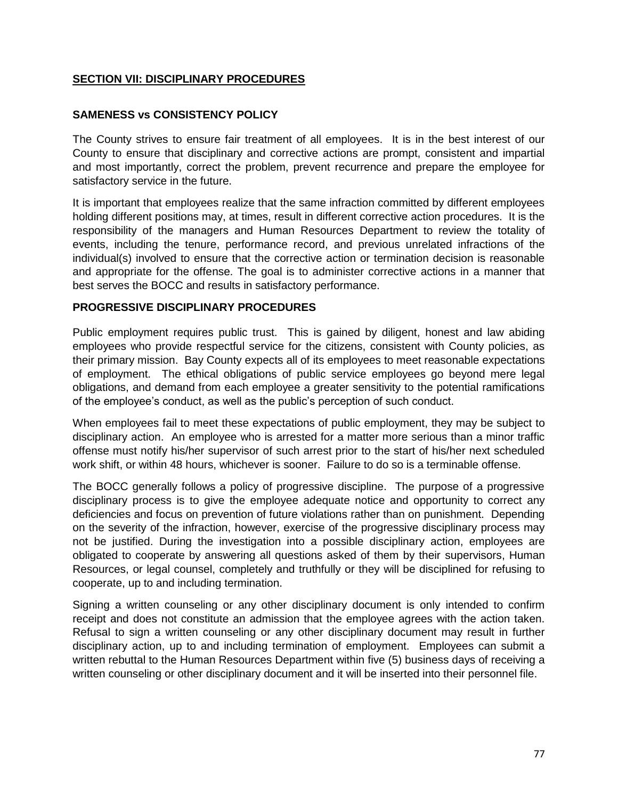## **SECTION VII: DISCIPLINARY PROCEDURES**

### **SAMENESS vs CONSISTENCY POLICY**

The County strives to ensure fair treatment of all employees. It is in the best interest of our County to ensure that disciplinary and corrective actions are prompt, consistent and impartial and most importantly, correct the problem, prevent recurrence and prepare the employee for satisfactory service in the future.

It is important that employees realize that the same infraction committed by different employees holding different positions may, at times, result in different corrective action procedures. It is the responsibility of the managers and Human Resources Department to review the totality of events, including the tenure, performance record, and previous unrelated infractions of the individual(s) involved to ensure that the corrective action or termination decision is reasonable and appropriate for the offense. The goal is to administer corrective actions in a manner that best serves the BOCC and results in satisfactory performance.

### **PROGRESSIVE DISCIPLINARY PROCEDURES**

Public employment requires public trust. This is gained by diligent, honest and law abiding employees who provide respectful service for the citizens, consistent with County policies, as their primary mission. Bay County expects all of its employees to meet reasonable expectations of employment. The ethical obligations of public service employees go beyond mere legal obligations, and demand from each employee a greater sensitivity to the potential ramifications of the employee's conduct, as well as the public's perception of such conduct.

When employees fail to meet these expectations of public employment, they may be subject to disciplinary action. An employee who is arrested for a matter more serious than a minor traffic offense must notify his/her supervisor of such arrest prior to the start of his/her next scheduled work shift, or within 48 hours, whichever is sooner. Failure to do so is a terminable offense.

The BOCC generally follows a policy of progressive discipline. The purpose of a progressive disciplinary process is to give the employee adequate notice and opportunity to correct any deficiencies and focus on prevention of future violations rather than on punishment. Depending on the severity of the infraction, however, exercise of the progressive disciplinary process may not be justified. During the investigation into a possible disciplinary action, employees are obligated to cooperate by answering all questions asked of them by their supervisors, Human Resources, or legal counsel, completely and truthfully or they will be disciplined for refusing to cooperate, up to and including termination.

Signing a written counseling or any other disciplinary document is only intended to confirm receipt and does not constitute an admission that the employee agrees with the action taken. Refusal to sign a written counseling or any other disciplinary document may result in further disciplinary action, up to and including termination of employment. Employees can submit a written rebuttal to the Human Resources Department within five (5) business days of receiving a written counseling or other disciplinary document and it will be inserted into their personnel file.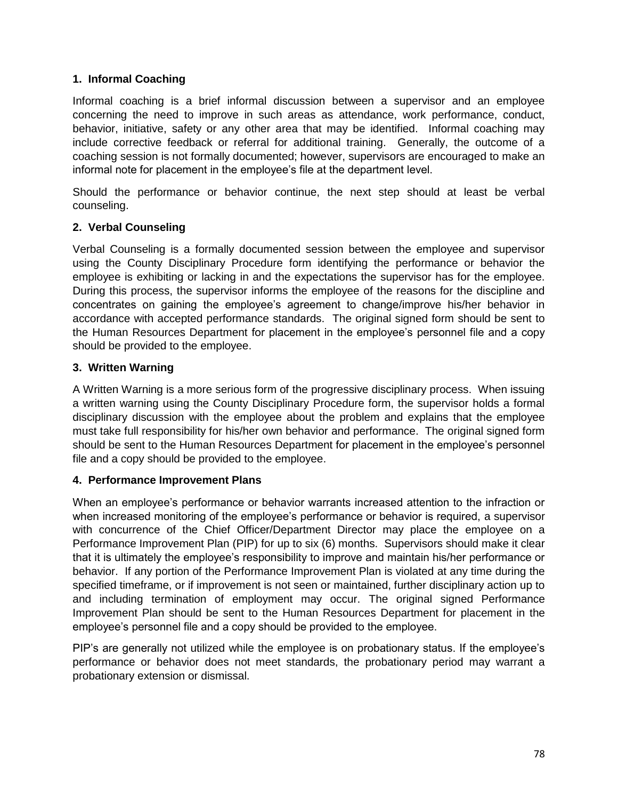## **1. Informal Coaching**

Informal coaching is a brief informal discussion between a supervisor and an employee concerning the need to improve in such areas as attendance, work performance, conduct, behavior, initiative, safety or any other area that may be identified. Informal coaching may include corrective feedback or referral for additional training. Generally, the outcome of a coaching session is not formally documented; however, supervisors are encouraged to make an informal note for placement in the employee's file at the department level.

Should the performance or behavior continue, the next step should at least be verbal counseling.

## **2. Verbal Counseling**

Verbal Counseling is a formally documented session between the employee and supervisor using the County Disciplinary Procedure form identifying the performance or behavior the employee is exhibiting or lacking in and the expectations the supervisor has for the employee. During this process, the supervisor informs the employee of the reasons for the discipline and concentrates on gaining the employee's agreement to change/improve his/her behavior in accordance with accepted performance standards. The original signed form should be sent to the Human Resources Department for placement in the employee's personnel file and a copy should be provided to the employee.

## **3. Written Warning**

A Written Warning is a more serious form of the progressive disciplinary process. When issuing a written warning using the County Disciplinary Procedure form, the supervisor holds a formal disciplinary discussion with the employee about the problem and explains that the employee must take full responsibility for his/her own behavior and performance. The original signed form should be sent to the Human Resources Department for placement in the employee's personnel file and a copy should be provided to the employee.

### **4. Performance Improvement Plans**

When an employee's performance or behavior warrants increased attention to the infraction or when increased monitoring of the employee's performance or behavior is required, a supervisor with concurrence of the Chief Officer/Department Director may place the employee on a Performance Improvement Plan (PIP) for up to six (6) months. Supervisors should make it clear that it is ultimately the employee's responsibility to improve and maintain his/her performance or behavior. If any portion of the Performance Improvement Plan is violated at any time during the specified timeframe, or if improvement is not seen or maintained, further disciplinary action up to and including termination of employment may occur. The original signed Performance Improvement Plan should be sent to the Human Resources Department for placement in the employee's personnel file and a copy should be provided to the employee.

PIP's are generally not utilized while the employee is on probationary status. If the employee's performance or behavior does not meet standards, the probationary period may warrant a probationary extension or dismissal.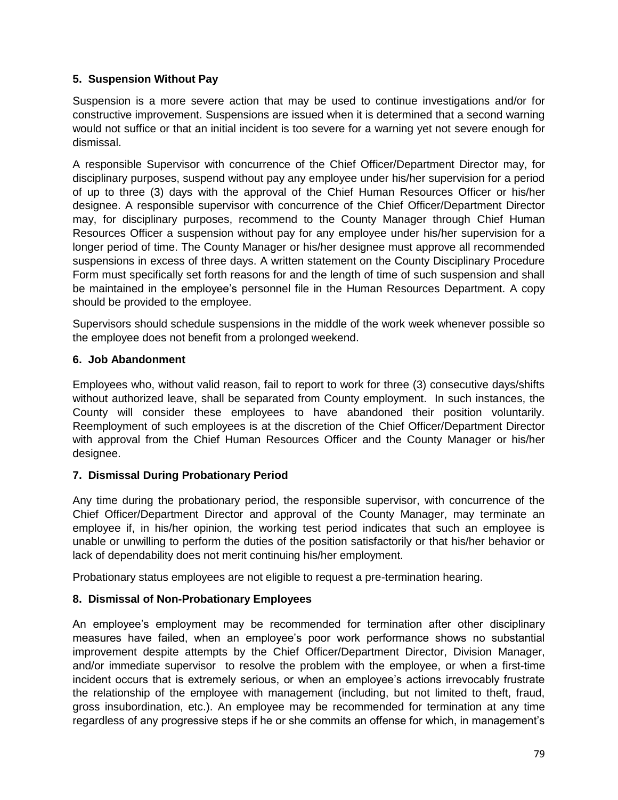# **5. Suspension Without Pay**

Suspension is a more severe action that may be used to continue investigations and/or for constructive improvement. Suspensions are issued when it is determined that a second warning would not suffice or that an initial incident is too severe for a warning yet not severe enough for dismissal.

A responsible Supervisor with concurrence of the Chief Officer/Department Director may, for disciplinary purposes, suspend without pay any employee under his/her supervision for a period of up to three (3) days with the approval of the Chief Human Resources Officer or his/her designee. A responsible supervisor with concurrence of the Chief Officer/Department Director may, for disciplinary purposes, recommend to the County Manager through Chief Human Resources Officer a suspension without pay for any employee under his/her supervision for a longer period of time. The County Manager or his/her designee must approve all recommended suspensions in excess of three days. A written statement on the County Disciplinary Procedure Form must specifically set forth reasons for and the length of time of such suspension and shall be maintained in the employee's personnel file in the Human Resources Department. A copy should be provided to the employee.

Supervisors should schedule suspensions in the middle of the work week whenever possible so the employee does not benefit from a prolonged weekend.

## **6. Job Abandonment**

Employees who, without valid reason, fail to report to work for three (3) consecutive days/shifts without authorized leave, shall be separated from County employment. In such instances, the County will consider these employees to have abandoned their position voluntarily. Reemployment of such employees is at the discretion of the Chief Officer/Department Director with approval from the Chief Human Resources Officer and the County Manager or his/her designee.

# **7. Dismissal During Probationary Period**

Any time during the probationary period, the responsible supervisor, with concurrence of the Chief Officer/Department Director and approval of the County Manager, may terminate an employee if, in his/her opinion, the working test period indicates that such an employee is unable or unwilling to perform the duties of the position satisfactorily or that his/her behavior or lack of dependability does not merit continuing his/her employment.

Probationary status employees are not eligible to request a pre-termination hearing.

# **8. Dismissal of Non-Probationary Employees**

An employee's employment may be recommended for termination after other disciplinary measures have failed, when an employee's poor work performance shows no substantial improvement despite attempts by the Chief Officer/Department Director, Division Manager, and/or immediate supervisor to resolve the problem with the employee, or when a first-time incident occurs that is extremely serious, or when an employee's actions irrevocably frustrate the relationship of the employee with management (including, but not limited to theft, fraud, gross insubordination, etc.). An employee may be recommended for termination at any time regardless of any progressive steps if he or she commits an offense for which, in management's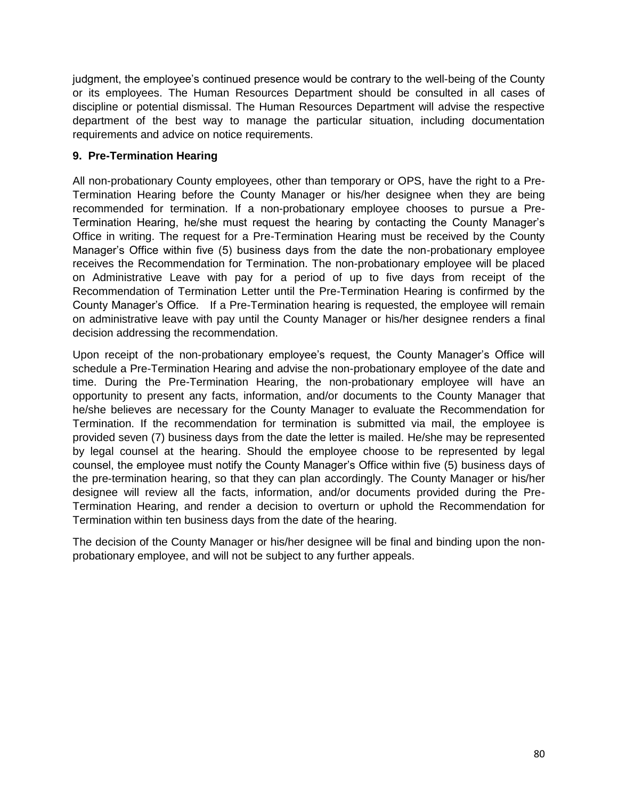judgment, the employee's continued presence would be contrary to the well-being of the County or its employees. The Human Resources Department should be consulted in all cases of discipline or potential dismissal. The Human Resources Department will advise the respective department of the best way to manage the particular situation, including documentation requirements and advice on notice requirements.

# **9. Pre-Termination Hearing**

All non-probationary County employees, other than temporary or OPS, have the right to a Pre-Termination Hearing before the County Manager or his/her designee when they are being recommended for termination. If a non-probationary employee chooses to pursue a Pre-Termination Hearing, he/she must request the hearing by contacting the County Manager's Office in writing. The request for a Pre-Termination Hearing must be received by the County Manager's Office within five (5) business days from the date the non-probationary employee receives the Recommendation for Termination. The non-probationary employee will be placed on Administrative Leave with pay for a period of up to five days from receipt of the Recommendation of Termination Letter until the Pre-Termination Hearing is confirmed by the County Manager's Office. If a Pre-Termination hearing is requested, the employee will remain on administrative leave with pay until the County Manager or his/her designee renders a final decision addressing the recommendation.

Upon receipt of the non-probationary employee's request, the County Manager's Office will schedule a Pre-Termination Hearing and advise the non-probationary employee of the date and time. During the Pre-Termination Hearing, the non-probationary employee will have an opportunity to present any facts, information, and/or documents to the County Manager that he/she believes are necessary for the County Manager to evaluate the Recommendation for Termination. If the recommendation for termination is submitted via mail, the employee is provided seven (7) business days from the date the letter is mailed. He/she may be represented by legal counsel at the hearing. Should the employee choose to be represented by legal counsel, the employee must notify the County Manager's Office within five (5) business days of the pre-termination hearing, so that they can plan accordingly. The County Manager or his/her designee will review all the facts, information, and/or documents provided during the Pre-Termination Hearing, and render a decision to overturn or uphold the Recommendation for Termination within ten business days from the date of the hearing.

The decision of the County Manager or his/her designee will be final and binding upon the nonprobationary employee, and will not be subject to any further appeals.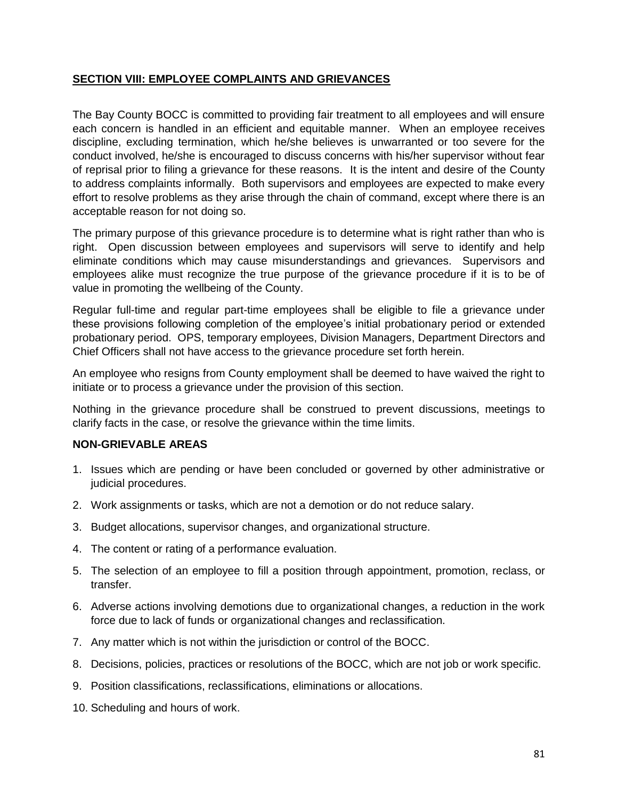# **SECTION VIII: EMPLOYEE COMPLAINTS AND GRIEVANCES**

The Bay County BOCC is committed to providing fair treatment to all employees and will ensure each concern is handled in an efficient and equitable manner. When an employee receives discipline, excluding termination, which he/she believes is unwarranted or too severe for the conduct involved, he/she is encouraged to discuss concerns with his/her supervisor without fear of reprisal prior to filing a grievance for these reasons. It is the intent and desire of the County to address complaints informally. Both supervisors and employees are expected to make every effort to resolve problems as they arise through the chain of command, except where there is an acceptable reason for not doing so.

The primary purpose of this grievance procedure is to determine what is right rather than who is right. Open discussion between employees and supervisors will serve to identify and help eliminate conditions which may cause misunderstandings and grievances. Supervisors and employees alike must recognize the true purpose of the grievance procedure if it is to be of value in promoting the wellbeing of the County.

Regular full-time and regular part-time employees shall be eligible to file a grievance under these provisions following completion of the employee's initial probationary period or extended probationary period. OPS, temporary employees, Division Managers, Department Directors and Chief Officers shall not have access to the grievance procedure set forth herein.

An employee who resigns from County employment shall be deemed to have waived the right to initiate or to process a grievance under the provision of this section.

Nothing in the grievance procedure shall be construed to prevent discussions, meetings to clarify facts in the case, or resolve the grievance within the time limits.

### **NON-GRIEVABLE AREAS**

- 1. Issues which are pending or have been concluded or governed by other administrative or judicial procedures.
- 2. Work assignments or tasks, which are not a demotion or do not reduce salary.
- 3. Budget allocations, supervisor changes, and organizational structure.
- 4. The content or rating of a performance evaluation.
- 5. The selection of an employee to fill a position through appointment, promotion, reclass, or transfer.
- 6. Adverse actions involving demotions due to organizational changes, a reduction in the work force due to lack of funds or organizational changes and reclassification.
- 7. Any matter which is not within the jurisdiction or control of the BOCC.
- 8. Decisions, policies, practices or resolutions of the BOCC, which are not job or work specific.
- 9. Position classifications, reclassifications, eliminations or allocations.
- 10. Scheduling and hours of work.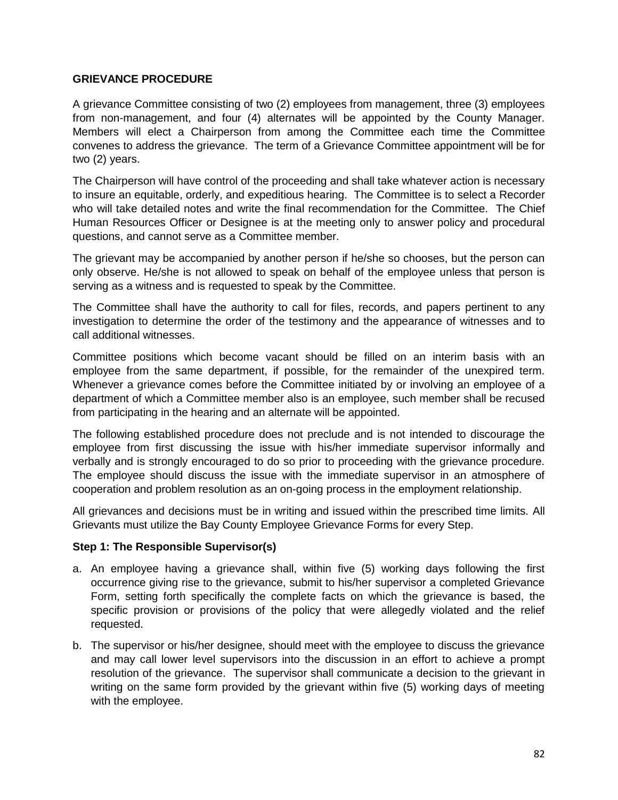## **GRIEVANCE PROCEDURE**

A grievance Committee consisting of two (2) employees from management, three (3) employees from non-management, and four (4) alternates will be appointed by the County Manager. Members will elect a Chairperson from among the Committee each time the Committee convenes to address the grievance. The term of a Grievance Committee appointment will be for two (2) years.

The Chairperson will have control of the proceeding and shall take whatever action is necessary to insure an equitable, orderly, and expeditious hearing. The Committee is to select a Recorder who will take detailed notes and write the final recommendation for the Committee. The Chief Human Resources Officer or Designee is at the meeting only to answer policy and procedural questions, and cannot serve as a Committee member.

The grievant may be accompanied by another person if he/she so chooses, but the person can only observe. He/she is not allowed to speak on behalf of the employee unless that person is serving as a witness and is requested to speak by the Committee.

The Committee shall have the authority to call for files, records, and papers pertinent to any investigation to determine the order of the testimony and the appearance of witnesses and to call additional witnesses.

Committee positions which become vacant should be filled on an interim basis with an employee from the same department, if possible, for the remainder of the unexpired term. Whenever a grievance comes before the Committee initiated by or involving an employee of a department of which a Committee member also is an employee, such member shall be recused from participating in the hearing and an alternate will be appointed.

The following established procedure does not preclude and is not intended to discourage the employee from first discussing the issue with his/her immediate supervisor informally and verbally and is strongly encouraged to do so prior to proceeding with the grievance procedure. The employee should discuss the issue with the immediate supervisor in an atmosphere of cooperation and problem resolution as an on-going process in the employment relationship.

All grievances and decisions must be in writing and issued within the prescribed time limits. All Grievants must utilize the Bay County Employee Grievance Forms for every Step.

### **Step 1: The Responsible Supervisor(s)**

- a. An employee having a grievance shall, within five (5) working days following the first occurrence giving rise to the grievance, submit to his/her supervisor a completed Grievance Form, setting forth specifically the complete facts on which the grievance is based, the specific provision or provisions of the policy that were allegedly violated and the relief requested.
- b. The supervisor or his/her designee, should meet with the employee to discuss the grievance and may call lower level supervisors into the discussion in an effort to achieve a prompt resolution of the grievance. The supervisor shall communicate a decision to the grievant in writing on the same form provided by the grievant within five (5) working days of meeting with the employee.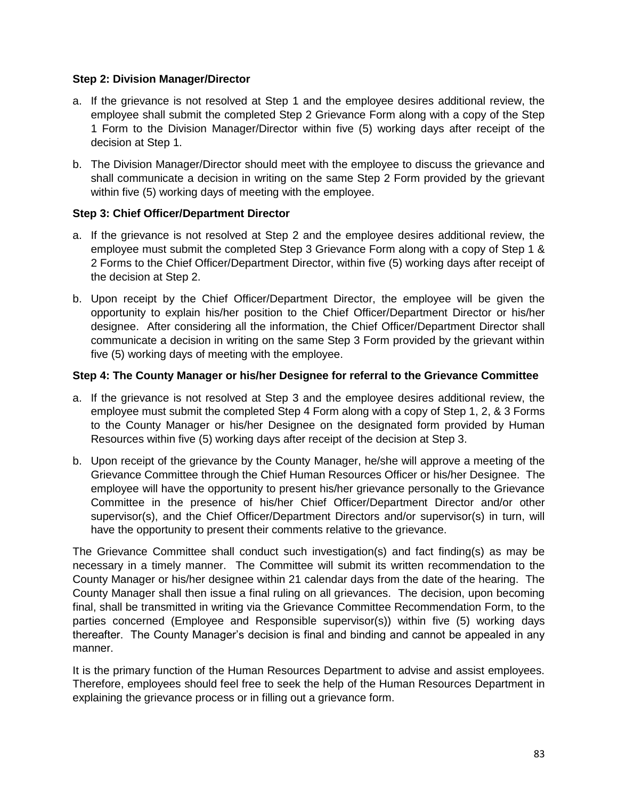### **Step 2: Division Manager/Director**

- a. If the grievance is not resolved at Step 1 and the employee desires additional review, the employee shall submit the completed Step 2 Grievance Form along with a copy of the Step 1 Form to the Division Manager/Director within five (5) working days after receipt of the decision at Step 1.
- b. The Division Manager/Director should meet with the employee to discuss the grievance and shall communicate a decision in writing on the same Step 2 Form provided by the grievant within five (5) working days of meeting with the employee.

## **Step 3: Chief Officer/Department Director**

- a. If the grievance is not resolved at Step 2 and the employee desires additional review, the employee must submit the completed Step 3 Grievance Form along with a copy of Step 1 & 2 Forms to the Chief Officer/Department Director, within five (5) working days after receipt of the decision at Step 2.
- b. Upon receipt by the Chief Officer/Department Director, the employee will be given the opportunity to explain his/her position to the Chief Officer/Department Director or his/her designee. After considering all the information, the Chief Officer/Department Director shall communicate a decision in writing on the same Step 3 Form provided by the grievant within five (5) working days of meeting with the employee.

## **Step 4: The County Manager or his/her Designee for referral to the Grievance Committee**

- a. If the grievance is not resolved at Step 3 and the employee desires additional review, the employee must submit the completed Step 4 Form along with a copy of Step 1, 2, & 3 Forms to the County Manager or his/her Designee on the designated form provided by Human Resources within five (5) working days after receipt of the decision at Step 3.
- b. Upon receipt of the grievance by the County Manager, he/she will approve a meeting of the Grievance Committee through the Chief Human Resources Officer or his/her Designee. The employee will have the opportunity to present his/her grievance personally to the Grievance Committee in the presence of his/her Chief Officer/Department Director and/or other supervisor(s), and the Chief Officer/Department Directors and/or supervisor(s) in turn, will have the opportunity to present their comments relative to the grievance.

The Grievance Committee shall conduct such investigation(s) and fact finding(s) as may be necessary in a timely manner. The Committee will submit its written recommendation to the County Manager or his/her designee within 21 calendar days from the date of the hearing. The County Manager shall then issue a final ruling on all grievances. The decision, upon becoming final, shall be transmitted in writing via the Grievance Committee Recommendation Form, to the parties concerned (Employee and Responsible supervisor(s)) within five (5) working days thereafter. The County Manager's decision is final and binding and cannot be appealed in any manner.

It is the primary function of the Human Resources Department to advise and assist employees. Therefore, employees should feel free to seek the help of the Human Resources Department in explaining the grievance process or in filling out a grievance form.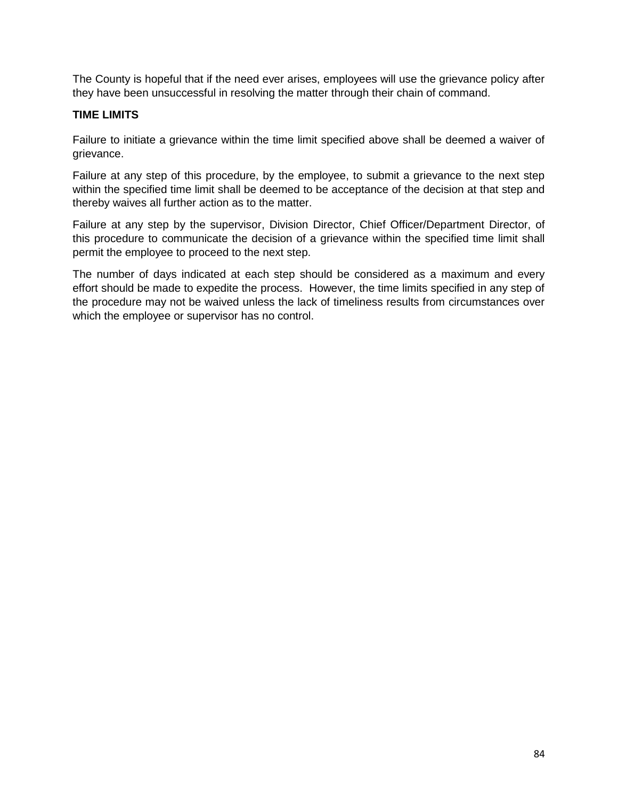The County is hopeful that if the need ever arises, employees will use the grievance policy after they have been unsuccessful in resolving the matter through their chain of command.

### **TIME LIMITS**

Failure to initiate a grievance within the time limit specified above shall be deemed a waiver of grievance.

Failure at any step of this procedure, by the employee, to submit a grievance to the next step within the specified time limit shall be deemed to be acceptance of the decision at that step and thereby waives all further action as to the matter.

Failure at any step by the supervisor, Division Director, Chief Officer/Department Director, of this procedure to communicate the decision of a grievance within the specified time limit shall permit the employee to proceed to the next step.

The number of days indicated at each step should be considered as a maximum and every effort should be made to expedite the process. However, the time limits specified in any step of the procedure may not be waived unless the lack of timeliness results from circumstances over which the employee or supervisor has no control.